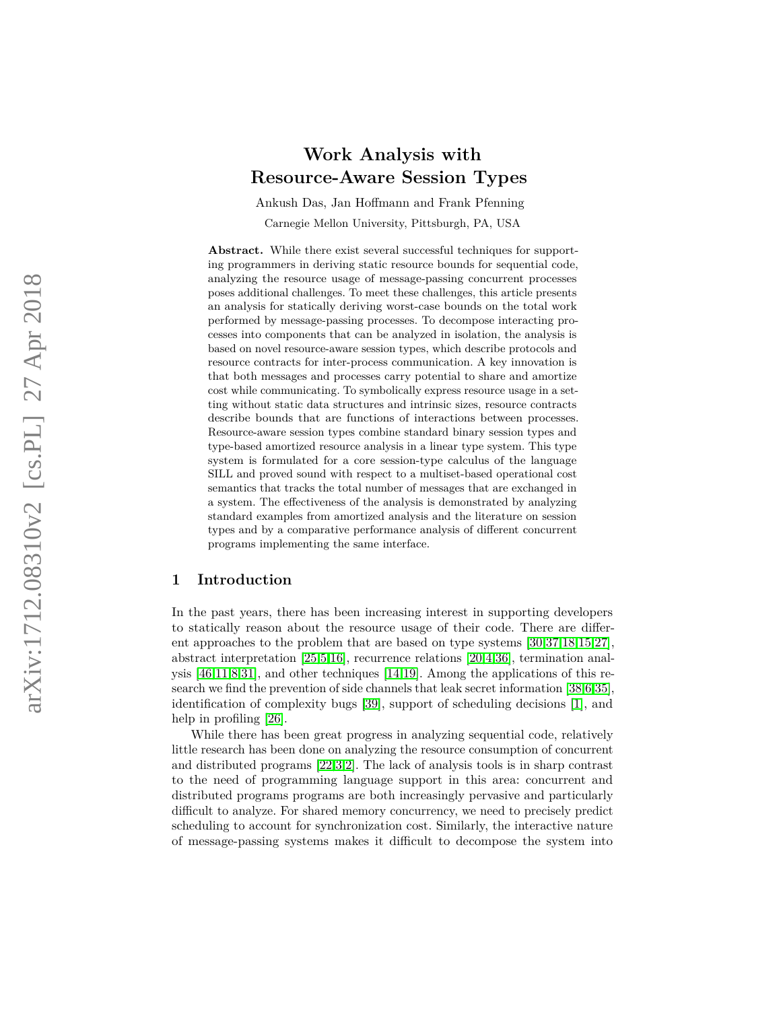# **Work Analysis with Resource-Aware Session Types**

Ankush Das, Jan Hoffmann and Frank Pfenning Carnegie Mellon University, Pittsburgh, PA, USA

**Abstract.** While there exist several successful techniques for supporting programmers in deriving static resource bounds for sequential code, analyzing the resource usage of message-passing concurrent processes poses additional challenges. To meet these challenges, this article presents an analysis for statically deriving worst-case bounds on the total work performed by message-passing processes. To decompose interacting processes into components that can be analyzed in isolation, the analysis is based on novel resource-aware session types, which describe protocols and resource contracts for inter-process communication. A key innovation is that both messages and processes carry potential to share and amortize cost while communicating. To symbolically express resource usage in a setting without static data structures and intrinsic sizes, resource contracts describe bounds that are functions of interactions between processes. Resource-aware session types combine standard binary session types and type-based amortized resource analysis in a linear type system. This type system is formulated for a core session-type calculus of the language SILL and proved sound with respect to a multiset-based operational cost semantics that tracks the total number of messages that are exchanged in a system. The effectiveness of the analysis is demonstrated by analyzing standard examples from amortized analysis and the literature on session types and by a comparative performance analysis of different concurrent programs implementing the same interface.

# **1 Introduction**

In the past years, there has been increasing interest in supporting developers to statically reason about the resource usage of their code. There are different approaches to the problem that are based on type systems [\[30](#page-26-0)[,37](#page-26-1)[,18,](#page-25-0)[15](#page-25-1)[,27\]](#page-26-2), abstract interpretation [\[25](#page-25-2),[5](#page-25-3)[,16\]](#page-25-4), recurrence relations [\[20](#page-25-5),[4](#page-25-6)[,36\]](#page-26-3), termination analysis [\[46,](#page-26-4)[11,](#page-25-7)[8,](#page-25-8)[31\]](#page-26-5), and other techniques [\[14](#page-25-9)[,19\]](#page-25-10). Among the applications of this research we find the prevention of side channels that leak secret information [\[38](#page-26-6)[,6,](#page-25-11)[35\]](#page-26-7), identification of complexity bugs [\[39\]](#page-26-8), support of scheduling decisions [ [1\]](#page-25-12), and help in profiling [\[26\]](#page-26-9).

While there has been great progress in analyzing sequential code, relatively little research has been done on analyzing the resource consumption of concurrent and distributed programs [\[22](#page-25-13),[3](#page-25-14),[2\]](#page-25-15). The lack of analysis tools is in sharp contrast to the need of programming language support in this area: concurrent and distributed programs programs are both increasingly pervasive and particularly difficult to analyze. For shared memory concurrency, we need to precisely predict scheduling to account for synchronization cost. Similarly, the interactive nature of message-passing systems makes it difficult to decompose the system into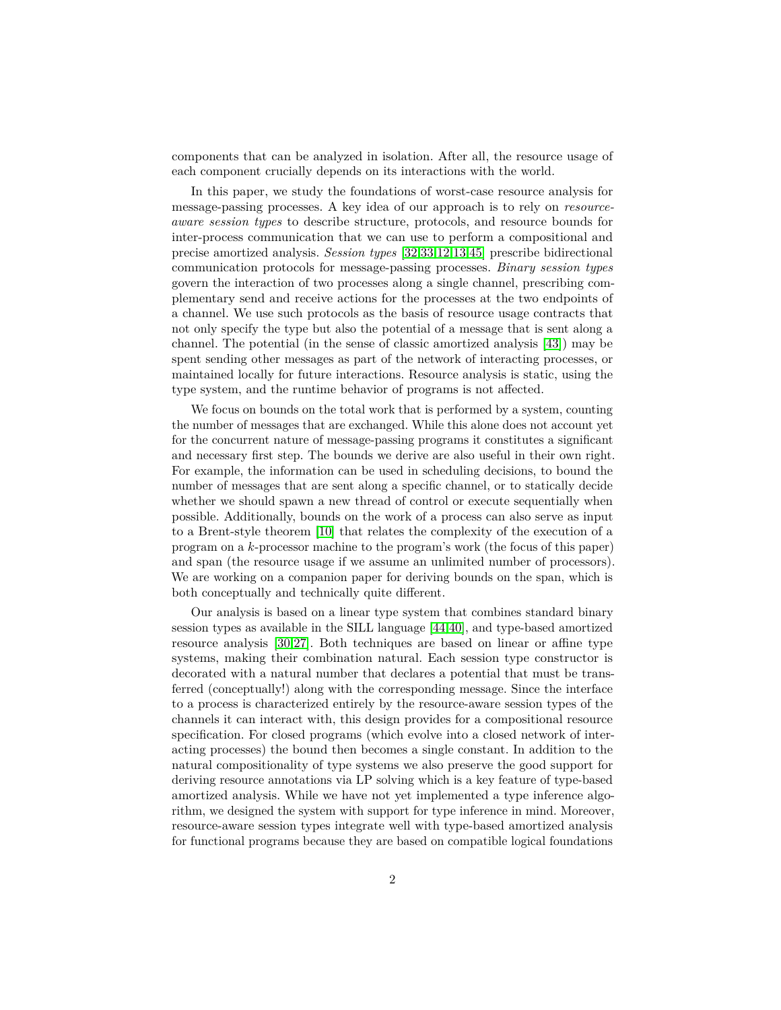components that can be analyzed in isolation. After all, the resource usage of each component crucially depends on its interactions with the world.

In this paper, we study the foundations of worst-case resource analysis for message-passing processes. A key idea of our approach is to rely on *resourceaware session types* to describe structure, protocols, and resource bounds for inter-process communication that we can use to perform a compositional and precise amortized analysis. *Session types* [\[32](#page-26-10)[,33,](#page-26-11)[12](#page-25-16)[,13](#page-25-17)[,45\]](#page-26-12) prescribe bidirectional communication protocols for message-passing processes. *Binary session types* govern the interaction of two processes along a single channel, prescribing complementary send and receive actions for the processes at the two endpoints of a channel. We use such protocols as the basis of resource usage contracts that not only specify the type but also the potential of a message that is sent along a channel. The potential (in the sense of classic amortized analysis [\[43\]](#page-26-13)) may be spent sending other messages as part of the network of interacting processes, or maintained locally for future interactions. Resource analysis is static, using the type system, and the runtime behavior of programs is not affected.

We focus on bounds on the total work that is performed by a system, counting the number of messages that are exchanged. While this alone does not account yet for the concurrent nature of message-passing programs it constitutes a significant and necessary first step. The bounds we derive are also useful in their own right. For example, the information can be used in scheduling decisions, to bound the number of messages that are sent along a specific channel, or to statically decide whether we should spawn a new thread of control or execute sequentially when possible. Additionally, bounds on the work of a process can also serve as input to a Brent-style theorem [\[10\]](#page-25-18) that relates the complexity of the execution of a program on a *k*-processor machine to the program's work (the focus of this paper) and span (the resource usage if we assume an unlimited number of processors). We are working on a companion paper for deriving bounds on the span, which is both conceptually and technically quite different.

Our analysis is based on a linear type system that combines standard binary session types as available in the SILL language [\[44](#page-26-14)[,40\]](#page-26-15), and type-based amortized resource analysis [\[30,](#page-26-0)[27\]](#page-26-2). Both techniques are based on linear or affine type systems, making their combination natural. Each session type constructor is decorated with a natural number that declares a potential that must be transferred (conceptually!) along with the corresponding message. Since the interface to a process is characterized entirely by the resource-aware session types of the channels it can interact with, this design provides for a compositional resource specification. For closed programs (which evolve into a closed network of interacting processes) the bound then becomes a single constant. In addition to the natural compositionality of type systems we also preserve the good support for deriving resource annotations via LP solving which is a key feature of type-based amortized analysis. While we have not yet implemented a type inference algorithm, we designed the system with support for type inference in mind. Moreover, resource-aware session types integrate well with type-based amortized analysis for functional programs because they are based on compatible logical foundations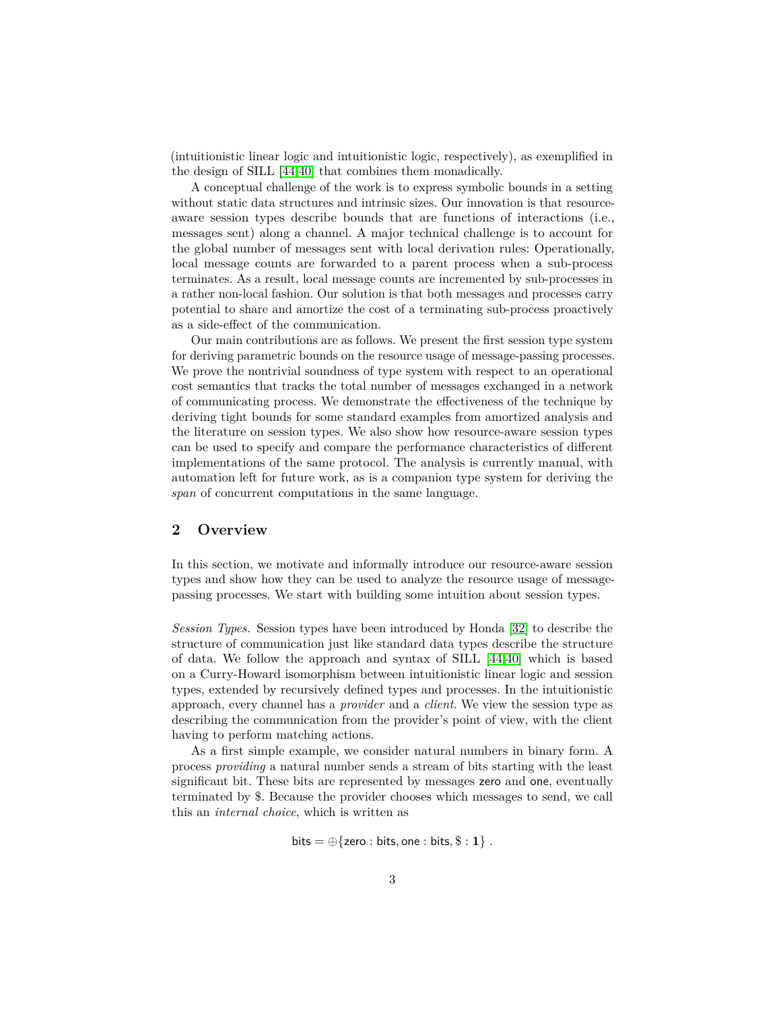(intuitionistic linear logic and intuitionistic logic, respectively), as exemplified in the design of SILL [\[44](#page-26-14)[,40\]](#page-26-15) that combines them monadically.

A conceptual challenge of the work is to express symbolic bounds in a setting without static data structures and intrinsic sizes. Our innovation is that resourceaware session types describe bounds that are functions of interactions (i.e., messages sent) along a channel. A major technical challenge is to account for the global number of messages sent with local derivation rules: Operationally, local message counts are forwarded to a parent process when a sub-process terminates. As a result, local message counts are incremented by sub-processes in a rather non-local fashion. Our solution is that both messages and processes carry potential to share and amortize the cost of a terminating sub-process proactively as a side-effect of the communication.

Our main contributions are as follows. We present the first session type system for deriving parametric bounds on the resource usage of message-passing processes. We prove the nontrivial soundness of type system with respect to an operational cost semantics that tracks the total number of messages exchanged in a network of communicating process. We demonstrate the effectiveness of the technique by deriving tight bounds for some standard examples from amortized analysis and the literature on session types. We also show how resource-aware session types can be used to specify and compare the performance characteristics of different implementations of the same protocol. The analysis is currently manual, with automation left for future work, as is a companion type system for deriving the *span* of concurrent computations in the same language.

# <span id="page-2-0"></span>**2 Overview**

In this section, we motivate and informally introduce our resource-aware session types and show how they can be used to analyze the resource usage of messagepassing processes. We start with building some intuition about session types.

*Session Types.* Session types have been introduced by Honda [\[32\]](#page-26-10) to describe the structure of communication just like standard data types describe the structure of data. We follow the approach and syntax of SILL [\[44,](#page-26-14)[40\]](#page-26-15) which is based on a Curry-Howard isomorphism between intuitionistic linear logic and session types, extended by recursively defined types and processes. In the intuitionistic approach, every channel has a *provider* and a *client*. We view the session type as describing the communication from the provider's point of view, with the client having to perform matching actions.

As a first simple example, we consider natural numbers in binary form. A process *providing* a natural number sends a stream of bits starting with the least significant bit. These bits are represented by messages zero and one, eventually terminated by \$. Because the provider chooses which messages to send, we call this an *internal choice*, which is written as

$$
\mathsf{bits} = \oplus \{\mathsf{zero} : \mathsf{bits}, \mathsf{one} : \mathsf{bits}, \$ : \mathbf{1}\} \ .
$$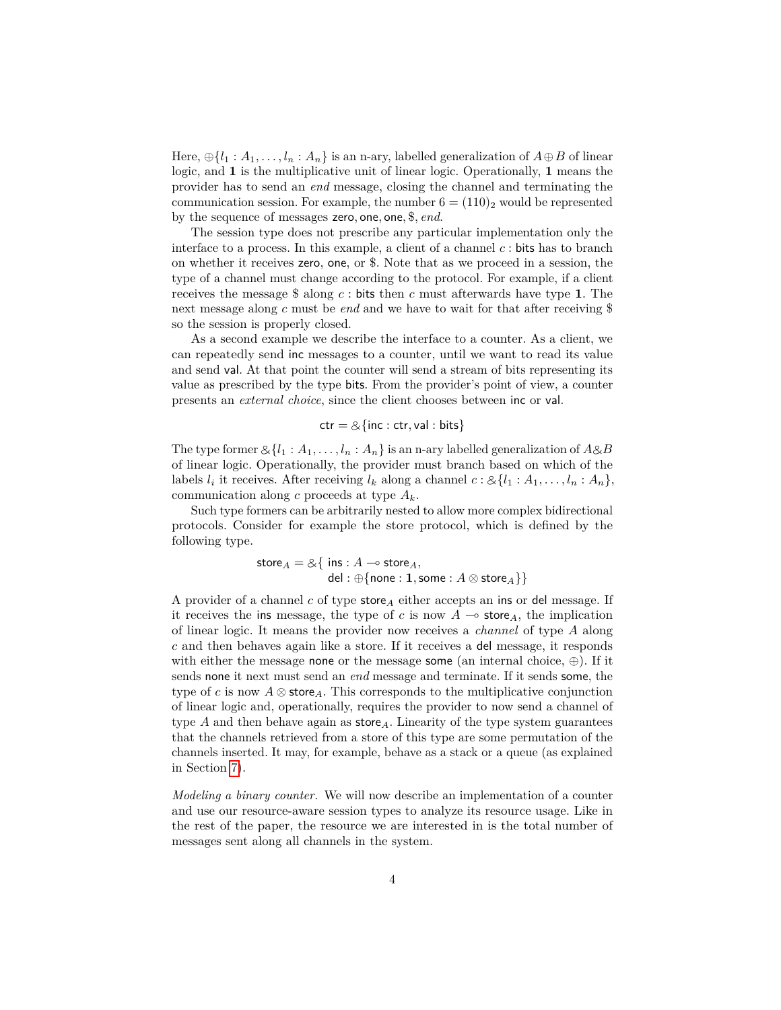Here,  $\bigoplus \{l_1 : A_1, \ldots, l_n : A_n\}$  is an n-ary, labelled generalization of  $A \oplus B$  of linear logic, and **1** is the multiplicative unit of linear logic. Operationally, **1** means the provider has to send an *end* message, closing the channel and terminating the communication session. For example, the number  $6 = (110)_2$  would be represented by the sequence of messages zero*,* one*,* one*,* \$*, end*.

The session type does not prescribe any particular implementation only the interface to a process. In this example, a client of a channel *c* : bits has to branch on whether it receives zero, one, or \$. Note that as we proceed in a session, the type of a channel must change according to the protocol. For example, if a client receives the message \$ along *c* : bits then *c* must afterwards have type **1**. The next message along *c* must be *end* and we have to wait for that after receiving \$ so the session is properly closed.

As a second example we describe the interface to a counter. As a client, we can repeatedly send inc messages to a counter, until we want to read its value and send val. At that point the counter will send a stream of bits representing its value as prescribed by the type bits. From the provider's point of view, a counter presents an *external choice*, since the client chooses between inc or val.

$$
ctr = \& \{inc :ctr, val : bits\}
$$

The type former  $\&\{l_1 : A_1, \ldots, l_n : A_n\}$  is an n-ary labelled generalization of  $A \& B$ of linear logic. Operationally, the provider must branch based on which of the labels  $l_i$  it receives. After receiving  $l_k$  along a channel  $c : \mathcal{L}\{l_1 : A_1, \ldots, l_n : A_n\}$ , communication along *c* proceeds at type *Ak*.

Such type formers can be arbitrarily nested to allow more complex bidirectional protocols. Consider for example the store protocol, which is defined by the following type.

 $\mathsf{store}_A = \mathcal{A}\{ \mathsf{ ins } : A \multimap \mathsf{store}_A, \ \mathsf{del} : \oplus \{\mathsf{none} : \mathbf{1}, \mathsf{some } : A \otimes \mathsf{store}_A\} \}$ 

A provider of a channel *c* of type store*<sup>A</sup>* either accepts an ins or del message. If it receives the ins message, the type of *c* is now  $A \rightarrow$  store<sub>A</sub>, the implication of linear logic. It means the provider now receives a *channel* of type *A* along *c* and then behaves again like a store. If it receives a del message, it responds with either the message none or the message some (an internal choice,  $\oplus$ ). If it sends none it next must send an *end* message and terminate. If it sends some, the type of *c* is now  $A \otimes$  store<sub>A</sub>. This corresponds to the multiplicative conjunction of linear logic and, operationally, requires the provider to now send a channel of type  $A$  and then behave again as store $_A$ . Linearity of the type system guarantees that the channels retrieved from a store of this type are some permutation of the channels inserted. It may, for example, behave as a stack or a queue (as explained in Section [7\)](#page-17-0).

*Modeling a binary counter.* We will now describe an implementation of a counter and use our resource-aware session types to analyze its resource usage. Like in the rest of the paper, the resource we are interested in is the total number of messages sent along all channels in the system.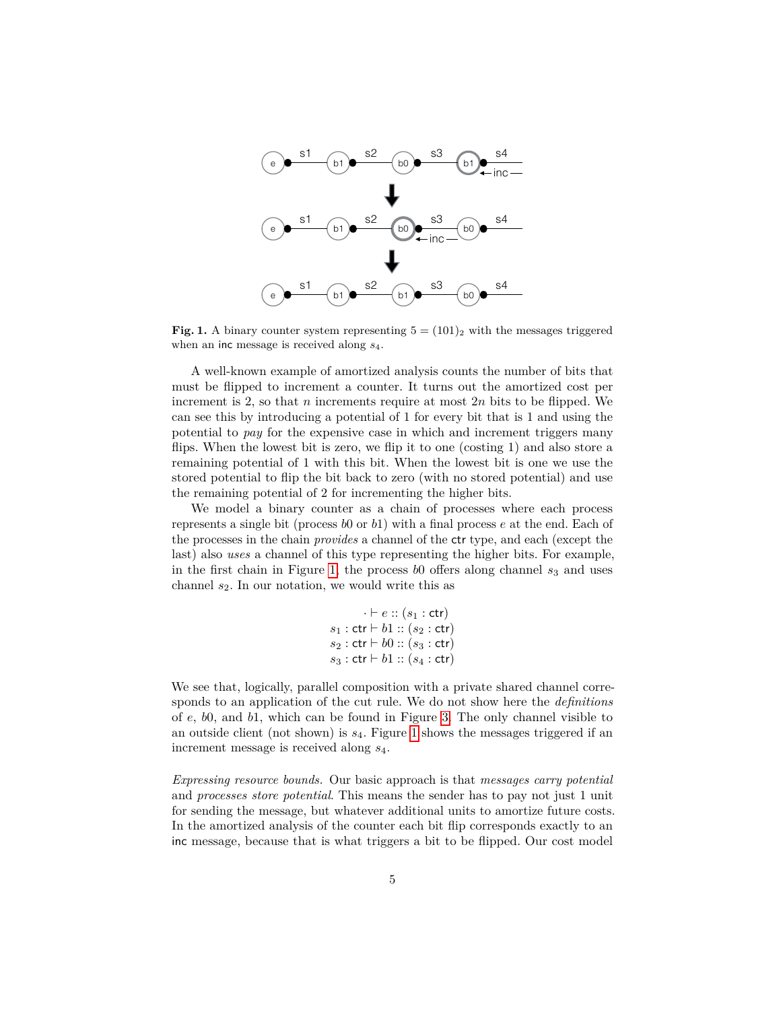

<span id="page-4-0"></span>**Fig. 1.** A binary counter system representing  $5 = (101)_2$  with the messages triggered when an inc message is received along *s*4.

A well-known example of amortized analysis counts the number of bits that must be flipped to increment a counter. It turns out the amortized cost per increment is 2, so that *n* increments require at most 2*n* bits to be flipped. We can see this by introducing a potential of 1 for every bit that is 1 and using the potential to *pay* for the expensive case in which and increment triggers many flips. When the lowest bit is zero, we flip it to one (costing 1) and also store a remaining potential of 1 with this bit. When the lowest bit is one we use the stored potential to flip the bit back to zero (with no stored potential) and use the remaining potential of 2 for incrementing the higher bits.

We model a binary counter as a chain of processes where each process represents a single bit (process *b*0 or *b*1) with a final process *e* at the end. Each of the processes in the chain *provides* a channel of the ctr type, and each (except the last) also *uses* a channel of this type representing the higher bits. For example, in the first chain in Figure [1,](#page-4-0) the process  $b0$  offers along channel  $s_3$  and uses channel *s*2. In our notation, we would write this as

```
\cdot \vdash e :: (s_1 : \mathsf{ctr})s_1: ctr \vdash b1 :: (s_2: ctr)s_2: ctr \vdash b0::(s_3: ctr)s_3 : ctr \vdash b1 :: (s_4 : ctr)
```
We see that, logically, parallel composition with a private shared channel corresponds to an application of the cut rule. We do not show here the *definitions* of *e*, *b*0, and *b*1, which can be found in Figure [3.](#page-9-0) The only channel visible to an outside client (not shown) is *s*4. Figure [1](#page-4-0) shows the messages triggered if an increment message is received along *s*4.

*Expressing resource bounds.* Our basic approach is that *messages carry potential* and *processes store potential*. This means the sender has to pay not just 1 unit for sending the message, but whatever additional units to amortize future costs. In the amortized analysis of the counter each bit flip corresponds exactly to an inc message, because that is what triggers a bit to be flipped. Our cost model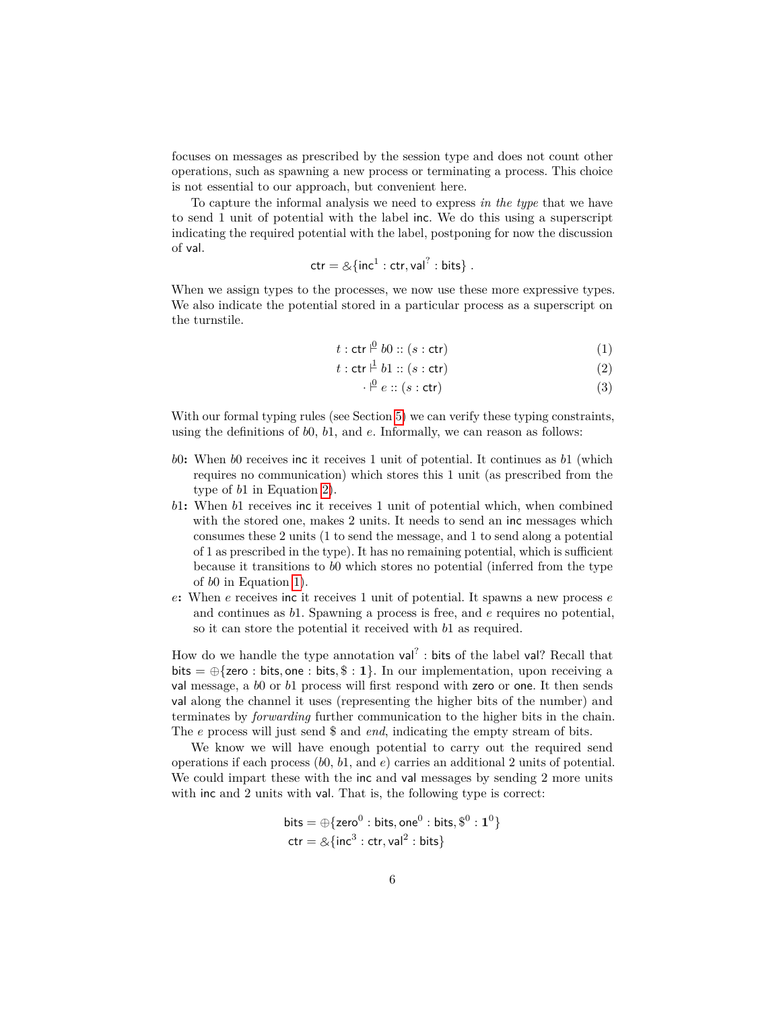focuses on messages as prescribed by the session type and does not count other operations, such as spawning a new process or terminating a process. This choice is not essential to our approach, but convenient here.

To capture the informal analysis we need to express *in the type* that we have to send 1 unit of potential with the label inc. We do this using a superscript indicating the required potential with the label, postponing for now the discussion of val.

$$
ctr = \&{int1 : ctr, val? : bits}.
$$

When we assign types to the processes, we now use these more expressive types. We also indicate the potential stored in a particular process as a superscript on the turnstile.

<span id="page-5-0"></span>
$$
t: \operatorname{ctr} \stackrel{\circ}{\vdash} b0 :: (s : \operatorname{ctr}) \tag{1}
$$

$$
t: \operatorname{ctr} \downarrow b1 :: (s: \operatorname{ctr})
$$
 (2)

$$
\cdot \stackrel{\rho}{\vdash} e :: (s : \text{ctr}) \tag{3}
$$

With our formal typing rules (see Section [5\)](#page-13-0) we can verify these typing constraints, using the definitions of *b*0, *b*1, and *e*. Informally, we can reason as follows:

- *b*0**:** When *b*0 receives inc it receives 1 unit of potential. It continues as *b*1 (which requires no communication) which stores this 1 unit (as prescribed from the type of *b*1 in Equation [2\)](#page-5-0).
- *b*1**:** When *b*1 receives inc it receives 1 unit of potential which, when combined with the stored one, makes 2 units. It needs to send an inc messages which consumes these 2 units (1 to send the message, and 1 to send along a potential of 1 as prescribed in the type). It has no remaining potential, which is sufficient because it transitions to *b*0 which stores no potential (inferred from the type of *b*0 in Equation [1\)](#page-5-0).
- *e***:** When *e* receives inc it receives 1 unit of potential. It spawns a new process *e* and continues as *b*1. Spawning a process is free, and *e* requires no potential, so it can store the potential it received with *b*1 as required.

How do we handle the type annotation  $val^?$ : bits of the label val? Recall that bits  $= \bigoplus$  {zero : bits, one : bits,  $\hat{\mathbf{s}} : \mathbf{1}$ }. In our implementation, upon receiving a val message, a *b*0 or *b*1 process will first respond with zero or one. It then sends val along the channel it uses (representing the higher bits of the number) and terminates by *forwarding* further communication to the higher bits in the chain. The *e* process will just send \$ and *end*, indicating the empty stream of bits.

We know we will have enough potential to carry out the required send operations if each process (*b*0, *b*1, and *e*) carries an additional 2 units of potential. We could impart these with the inc and val messages by sending 2 more units with inc and 2 units with val. That is, the following type is correct:

$$
bits = \bigoplus \{zero^0 : bits, one^0 : bits, \$^0 : 1^0\}
$$

$$
ctr = \& \{inc^3 : \text{ctr, val}^2 : bits\}
$$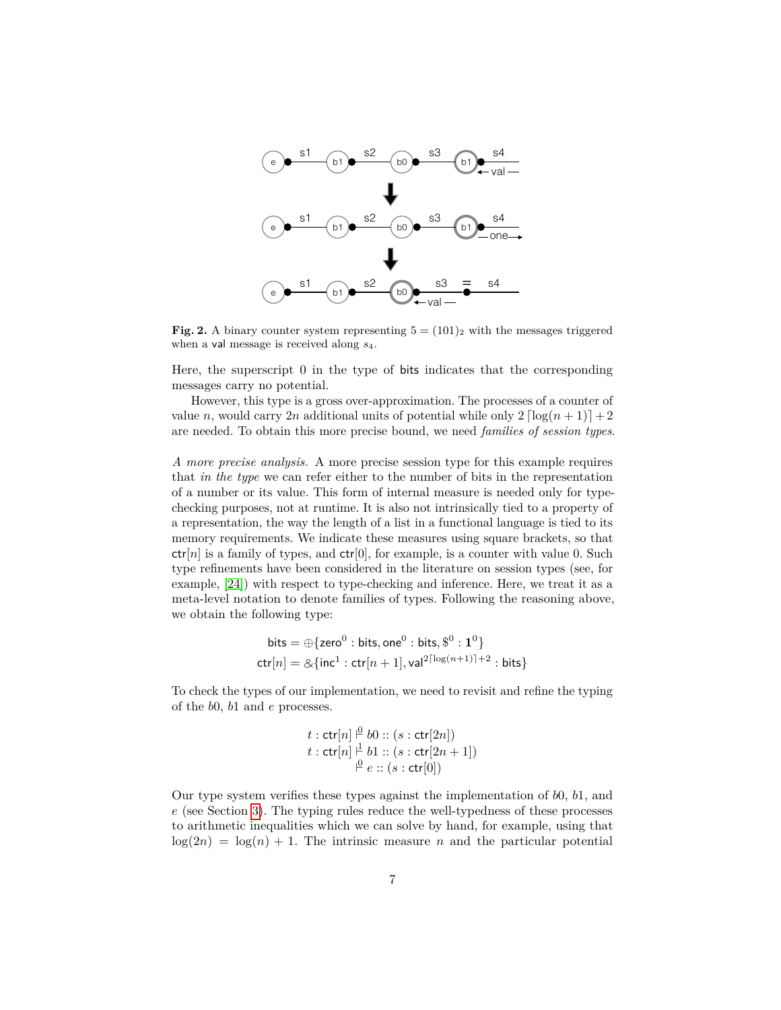

<span id="page-6-0"></span>**Fig. 2.** A binary counter system representing  $5 = (101)_2$  with the messages triggered when a val message is received along *s*4.

Here, the superscript 0 in the type of bits indicates that the corresponding messages carry no potential.

However, this type is a gross over-approximation. The processes of a counter of value *n*, would carry 2*n* additional units of potential while only  $2 \left[ \log(n+1) \right] + 2$ are needed. To obtain this more precise bound, we need *families of session types*.

*A more precise analysis.* A more precise session type for this example requires that *in the type* we can refer either to the number of bits in the representation of a number or its value. This form of internal measure is needed only for typechecking purposes, not at runtime. It is also not intrinsically tied to a property of a representation, the way the length of a list in a functional language is tied to its memory requirements. We indicate these measures using square brackets, so that  $ctr[n]$  is a family of types, and  $ctr[0]$ , for example, is a counter with value 0. Such type refinements have been considered in the literature on session types (see, for example, [\[24\]](#page-25-19)) with respect to type-checking and inference. Here, we treat it as a meta-level notation to denote families of types. Following the reasoning above, we obtain the following type:

$$
\text{bits} = \bigoplus \{ \text{zero}^0 : \text{bits}, \text{one}^0 : \text{bits}, \$\$^0 : \mathbf{1}^0 \}
$$
\n
$$
\text{ctr}[n] = \bigotimes \{ \text{inc}^1 : \text{ctr}[n+1], \text{val}^{2\lceil \log(n+1) \rceil + 2} : \text{bits} \}
$$

To check the types of our implementation, we need to revisit and refine the typing of the *b*0, *b*1 and *e* processes.

$$
t: \operatorname{ctr}[n] \stackrel{\varrho}{\vdash} b0 :: (s: \operatorname{ctr}[2n])
$$
  

$$
t: \operatorname{ctr}[n] \stackrel{\varrho}{\vdash} b1 :: (s: \operatorname{ctr}[2n+1])
$$
  

$$
\stackrel{\varrho}{\vdash} e :: (s: \operatorname{ctr}[0])
$$

Our type system verifies these types against the implementation of *b*0, *b*1, and *e* (see Section [3\)](#page-7-0). The typing rules reduce the well-typedness of these processes to arithmetic inequalities which we can solve by hand, for example, using that  $log(2n) = log(n) + 1$ . The intrinsic measure *n* and the particular potential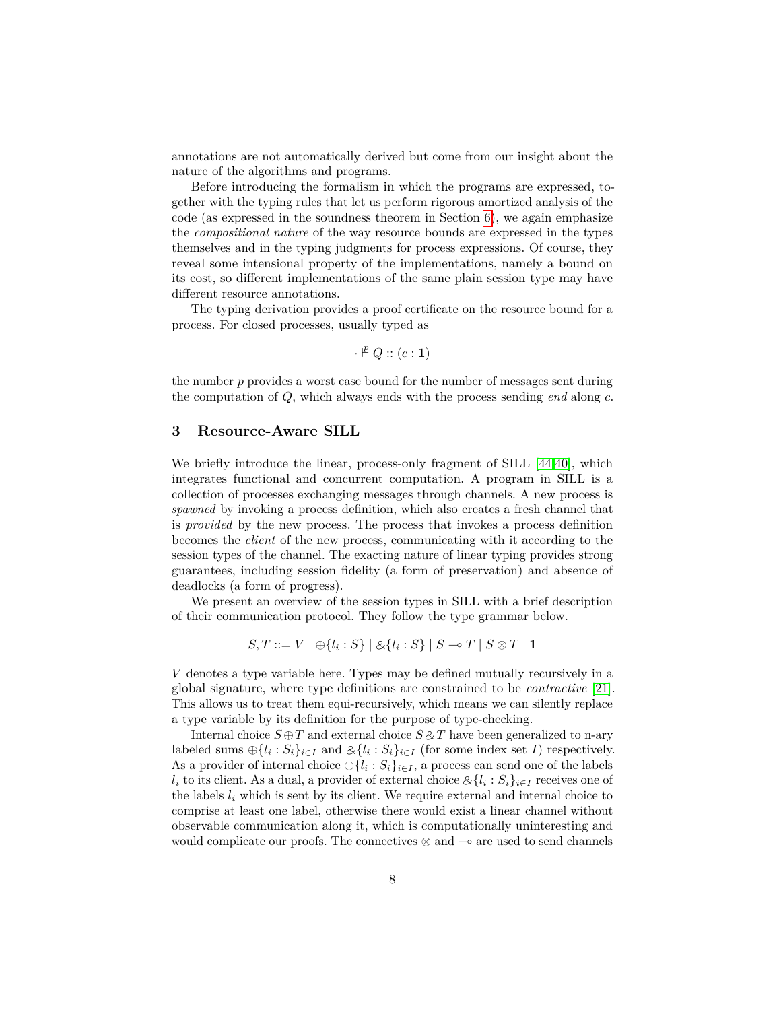annotations are not automatically derived but come from our insight about the nature of the algorithms and programs.

Before introducing the formalism in which the programs are expressed, together with the typing rules that let us perform rigorous amortized analysis of the code (as expressed in the soundness theorem in Section [6\)](#page-16-0), we again emphasize the *compositional nature* of the way resource bounds are expressed in the types themselves and in the typing judgments for process expressions. Of course, they reveal some intensional property of the implementations, namely a bound on its cost, so different implementations of the same plain session type may have different resource annotations.

The typing derivation provides a proof certificate on the resource bound for a process. For closed processes, usually typed as

$$
\cdot \nVdash Q :: (c : \mathbf{1})
$$

the number *p* provides a worst case bound for the number of messages sent during the computation of *Q*, which always ends with the process sending *end* along *c*.

# <span id="page-7-0"></span>**3 Resource-Aware SILL**

We briefly introduce the linear, process-only fragment of SILL [\[44,](#page-26-14)[40\]](#page-26-15), which integrates functional and concurrent computation. A program in SILL is a collection of processes exchanging messages through channels. A new process is *spawned* by invoking a process definition, which also creates a fresh channel that is *provided* by the new process. The process that invokes a process definition becomes the *client* of the new process, communicating with it according to the session types of the channel. The exacting nature of linear typing provides strong guarantees, including session fidelity (a form of preservation) and absence of deadlocks (a form of progress).

We present an overview of the session types in SILL with a brief description of their communication protocol. They follow the type grammar below.

$$
S,T ::= V \mid \bigoplus \{l_i : S\} \mid \bigotimes \{l_i : S\} \mid S \multimap T \mid S \otimes T \mid \mathbf{1}
$$

*V* denotes a type variable here. Types may be defined mutually recursively in a global signature, where type definitions are constrained to be *contractive* [\[21\]](#page-25-20). This allows us to treat them equi-recursively, which means we can silently replace a type variable by its definition for the purpose of type-checking.

Internal choice  $S \oplus T$  and external choice  $S \otimes T$  have been generalized to n-ary labeled sums  $\bigoplus_i \{l_i : S_i\}_{i \in I}$  and  $\bigotimes_i \{l_i : S_i\}_{i \in I}$  (for some index set *I*) respectively. As a provider of internal choice  $\bigoplus \{l_i : S_i\}_{i \in I}$ , a process can send one of the labels *l*<sub>*i*</sub> to its client. As a dual, a provider of external choice  $\&\{l_i : S_i\}_{i \in I}$  receives one of the labels *l*<sub>*i*</sub> which is sent by its client. We require external and internal choice to the labels  $l_i$  which is sent by its client. We require external and internal choice to comprise at least one label, otherwise there would exist a linear channel without observable communication along it, which is computationally uninteresting and would complicate our proofs. The connectives  $\otimes$  and  $\sim$  are used to send channels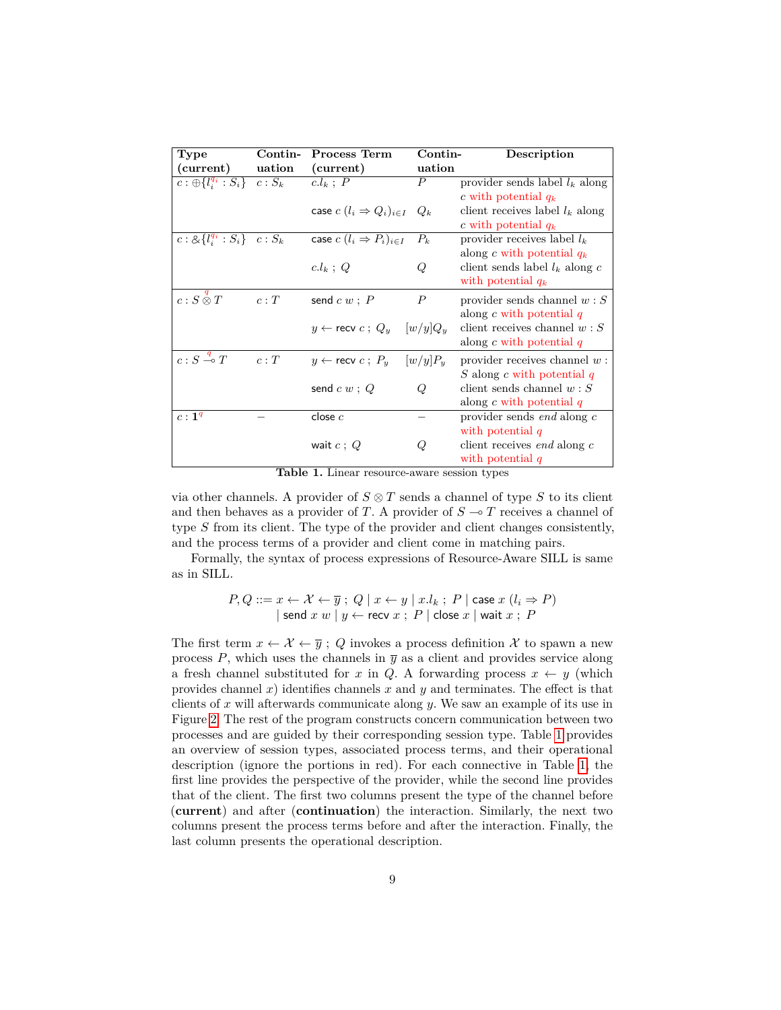| Type                                                    | Contin- | <b>Process Term</b>                          | Contin-          | Description                          |
|---------------------------------------------------------|---------|----------------------------------------------|------------------|--------------------------------------|
| (current)                                               | uation  | (current)                                    | uation           |                                      |
| $c: \bigoplus \{l_i^{q_i} : S_i\}$ $c: S_k$ $c.l_k ; P$ |         |                                              | $\boldsymbol{P}$ | provider sends label $l_k$ along     |
|                                                         |         |                                              |                  | c with potential $q_k$               |
|                                                         |         | case $c~(l_i \Rightarrow Q_i)_{i \in I}~Q_k$ |                  | client receives label $l_k$ along    |
|                                                         |         |                                              |                  | c with potential $q_k$               |
| $c: \&\{l_i^{q_i}: S_i\}$ $c: S_k$                      |         | case $c~(l_i \Rightarrow P_i)_{i \in I}$     | $P_k$            | provider receives label $l_k$        |
|                                                         |         |                                              |                  | along c with potential $q_k$         |
|                                                         |         | $c.l_k$ ; Q                                  | Q                | client sends label $l_k$ along c     |
|                                                         |         |                                              |                  | with potential $q_k$                 |
| $c: S\overset{q}{\otimes} T$                            | c:T     | send $c w$ ; $P$                             | $\boldsymbol{P}$ | provider sends channel $w: S$        |
|                                                         |         |                                              |                  | along $c$ with potential $q$         |
|                                                         |         | $y \leftarrow$ recv $c$ ; $Q_y$ $[w/y]Q_y$   |                  | client receives channel $w: S$       |
|                                                         |         |                                              |                  | along $c$ with potential $q$         |
| $c: S \stackrel{q}{\multimap} T$                        | c:T     | $y \leftarrow$ recv $c$ ; $P_u$ $[w/y]P_u$   |                  | provider receives channel $w$ :      |
|                                                         |         |                                              |                  | S along c with potential $q$         |
|                                                         |         | send $c w$ ; $Q$                             | $\omega$         | client sends channel $w: S$          |
|                                                         |         |                                              |                  | along $c$ with potential $q$         |
| $c: 1^q$                                                |         | close $c$                                    |                  | provider sends $end$ along $c$       |
|                                                         |         |                                              |                  | with potential $q$                   |
|                                                         |         | wait $c: Q$                                  | Q                | client receives <i>end</i> along $c$ |
|                                                         |         |                                              |                  | with potential $q$                   |

<span id="page-8-0"></span>**Table 1.** Linear resource-aware session types

via other channels. A provider of  $S \otimes T$  sends a channel of type  $S$  to its client and then behaves as a provider of *T*. A provider of  $S \to T$  receives a channel of type *S* from its client. The type of the provider and client changes consistently, and the process terms of a provider and client come in matching pairs.

Formally, the syntax of process expressions of Resource-Aware SILL is same as in SILL.

$$
P, Q ::= x \leftarrow \mathcal{X} \leftarrow \overline{y}; \ Q \mid x \leftarrow y \mid x.l_k; \ P \mid \text{case } x \ (l_i \Rightarrow P)
$$
  
|\n
$$
\left\{ \text{send } x \ w \mid y \leftarrow \text{recv } x; \ P \mid \text{close } x \mid \text{wait } x; \ P
$$

The first term  $x \leftarrow \mathcal{X} \leftarrow \overline{y}$ ; *Q* invokes a process definition X to spawn a new process  $P$ , which uses the channels in  $\overline{y}$  as a client and provides service along a fresh channel substituted for *x* in *Q*. A forwarding process  $x \leftarrow y$  (which provides channel  $x$ ) identifies channels  $x$  and  $y$  and terminates. The effect is that clients of *x* will afterwards communicate along *y*. We saw an example of its use in Figure [2.](#page-6-0) The rest of the program constructs concern communication between two processes and are guided by their corresponding session type. Table [1](#page-8-0) provides an overview of session types, associated process terms, and their operational description (ignore the portions in red). For each connective in Table [1,](#page-8-0) the first line provides the perspective of the provider, while the second line provides that of the client. The first two columns present the type of the channel before (**current**) and after (**continuation**) the interaction. Similarly, the next two columns present the process terms before and after the interaction. Finally, the last column presents the operational description.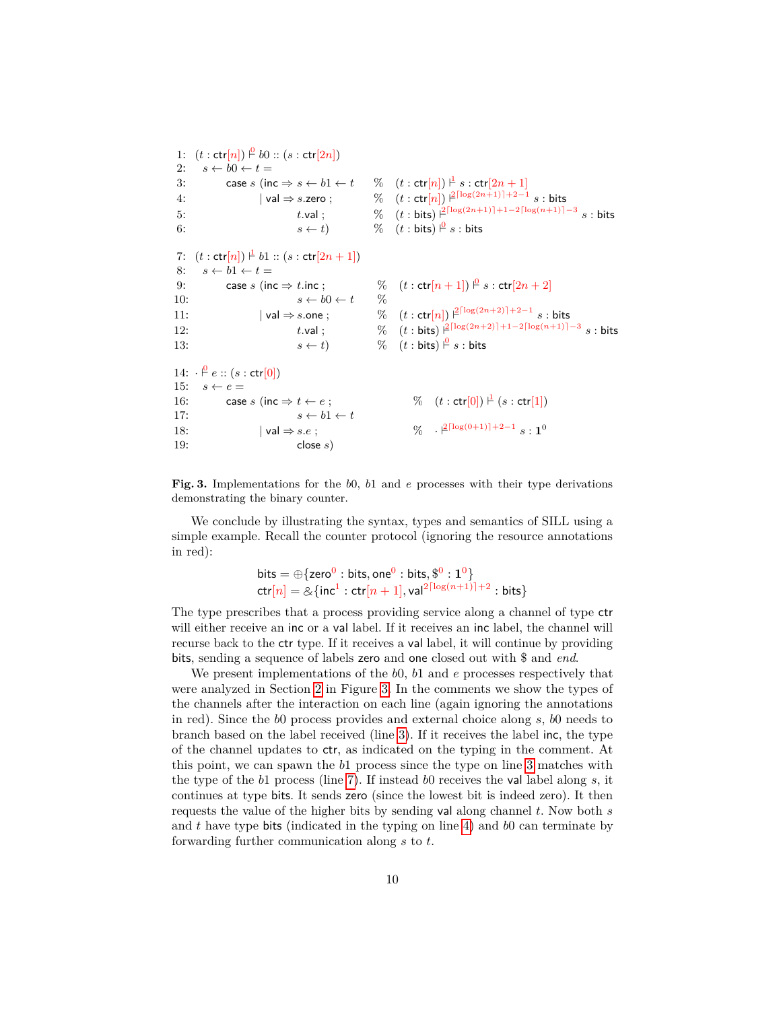```
1: (t: \text{ctr}[n]) \overset{0}{\vdash} b0 :: (s: \text{ctr}[2n])2: s \leftarrow b0 \leftarrow t =3: case s (inc \Rightarrow s \leftarrow b1 \leftarrow t
                                                                             \frac{1}{s} : ctr[2n+1]4: | val ⇒ s.zero ; \% (t : \text{ctr}[n]) \frac{2^{\lceil \log(2n+1) \rceil + 2 - 1}}{s} : bits
 5: t.\mathsf{val}; \% (t:\mathsf{bits}) \frac{2^{\lceil \log (2n+1) \rceil + 1 - 2\lceil \log (n+1) \rceil - 3}}{s:\mathsf{bits}}6: s \leftarrow t % (t : bits) \stackrel{\circ}{\vdash} s : bits
 7: (t: \text{ctr}[n]) \perp b1 :: (s: \text{ctr}[2n+1])8: s \leftarrow b1 \leftarrow t =9: case s (inc \Rightarrow t.inc ; \% (t : \text{ctr}[n+1]) \stackrel{\circ}{\vdash} s : \text{ctr}[2n+2]10: s \leftarrow b0 \leftarrow t \quad \%11: |\text{val}\Rightarrow s.\text{one}; \%\text{}(t:\text{ctr}[n])\text{ }|^{2\lceil\log(2n+2)\rceil+2-1}\text{ }s:\text{bits}12: t.\text{val}; \quad \%\quad (t:\text{bits}) \; |^{2\lceil \log(2n+2) \rceil + 1 - 2\lceil \log(n+1) \rceil - 3} \; s:\text{bits}13: s \leftarrow t % (t : bits) \stackrel{\varphi}{\vdash} s : bits
14: \ \ \cdot \ \ \mathop{P}\limits^0 e :: (s: \mathsf{ctr}[0])15: s \leftarrow e =16: case s (inc \Rightarrow t \leftarrow e;
                                                                                       \frac{1}{s} (s: \textsf{ctr}[1])17: s \leftarrow b1 \leftarrow t18: | \text{val} ⇒ s.e ; \% \quad \frac{\beta^{\lceil \log(0+1) \rceil + 2 - 1} s : 1^0}{2}19: close s)
```
<span id="page-9-10"></span><span id="page-9-9"></span><span id="page-9-0"></span>**Fig. 3.** Implementations for the *b*0, *b*1 and *e* processes with their type derivations demonstrating the binary counter.

We conclude by illustrating the syntax, types and semantics of SILL using a simple example. Recall the counter protocol (ignoring the resource annotations in red):

<span id="page-9-11"></span><span id="page-9-8"></span><span id="page-9-7"></span>bits = 
$$
\bigoplus
$$
{zero<sup>0</sup> : bits, one<sup>0</sup> : bits, \$<sup>0</sup> : 1<sup>0</sup>}  
ctr[n] =  $\bigtriangleup$ {inc<sup>1</sup> : ctr[n + 1], val<sup>2\lceil log(n+1)\rceil+2}</sup> : bits}

The type prescribes that a process providing service along a channel of type ctr will either receive an inc or a val label. If it receives an inc label, the channel will recurse back to the ctr type. If it receives a val label, it will continue by providing bits, sending a sequence of labels zero and one closed out with \$ and *end*.

We present implementations of the *b*0, *b*1 and *e* processes respectively that were analyzed in Section [2](#page-2-0) in Figure [3.](#page-9-0) In the comments we show the types of the channels after the interaction on each line (again ignoring the annotations in red). Since the *b*0 process provides and external choice along *s*, *b*0 needs to branch based on the label received (line [3\)](#page-9-1). If it receives the label inc, the type of the channel updates to ctr, as indicated on the typing in the comment. At this point, we can spawn the *b*1 process since the type on line [3](#page-9-1) matches with the type of the *b*1 process (line [7\)](#page-9-2). If instead *b*0 receives the val label along *s*, it continues at type bits. It sends zero (since the lowest bit is indeed zero). It then requests the value of the higher bits by sending val along channel *t*. Now both *s* and *t* have type bits (indicated in the typing on line [4\)](#page-9-3) and *b*0 can terminate by forwarding further communication along *s* to *t*.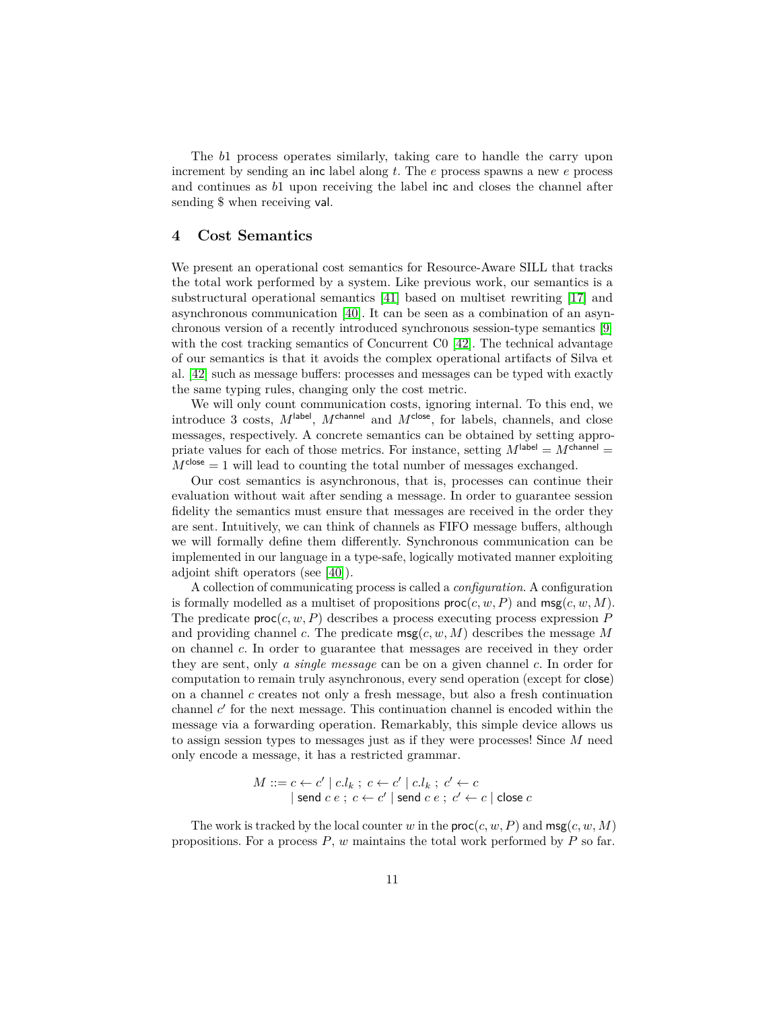The *b*1 process operates similarly, taking care to handle the carry upon increment by sending an inc label along *t*. The *e* process spawns a new *e* process and continues as *b*1 upon receiving the label inc and closes the channel after sending \$ when receiving val.

## <span id="page-10-0"></span>**4 Cost Semantics**

We present an operational cost semantics for Resource-Aware SILL that tracks the total work performed by a system. Like previous work, our semantics is a substructural operational semantics [\[41\]](#page-26-16) based on multiset rewriting [\[17\]](#page-25-21) and asynchronous communication [\[40\]](#page-26-15). It can be seen as a combination of an asynchronous version of a recently introduced synchronous session-type semantics [\[9\]](#page-25-22) with the cost tracking semantics of Concurrent C0 [\[42\]](#page-26-17). The technical advantage of our semantics is that it avoids the complex operational artifacts of Silva et al. [\[42\]](#page-26-17) such as message buffers: processes and messages can be typed with exactly the same typing rules, changing only the cost metric.

We will only count communication costs, ignoring internal. To this end, we introduce 3 costs,  $M^{\text{label}}$ ,  $M^{\text{channel}}$  and  $M^{\text{close}}$ , for labels, channels, and close messages, respectively. A concrete semantics can be obtained by setting appropriate values for each of those metrics. For instance, setting  $M^{\text{label}} = M^{\text{channel}} =$  $M^{\text{close}} = 1$  will lead to counting the total number of messages exchanged.

Our cost semantics is asynchronous, that is, processes can continue their evaluation without wait after sending a message. In order to guarantee session fidelity the semantics must ensure that messages are received in the order they are sent. Intuitively, we can think of channels as FIFO message buffers, although we will formally define them differently. Synchronous communication can be implemented in our language in a type-safe, logically motivated manner exploiting adjoint shift operators (see [\[40\]](#page-26-15)).

A collection of communicating process is called a *configuration*. A configuration is formally modelled as a multiset of propositions  $\textsf{proc}(c, w, P)$  and  $\textsf{msg}(c, w, M)$ . The predicate  $\textsf{proc}(c, w, P)$  describes a process executing process expression P and providing channel *c*. The predicate msg(*c, w, M*) describes the message *M* on channel *c*. In order to guarantee that messages are received in they order they are sent, only *a single message* can be on a given channel *c*. In order for computation to remain truly asynchronous, every send operation (except for close) on a channel *c* creates not only a fresh message, but also a fresh continuation channel  $c'$  for the next message. This continuation channel is encoded within the message via a forwarding operation. Remarkably, this simple device allows us to assign session types to messages just as if they were processes! Since *M* need only encode a message, it has a restricted grammar.

$$
M ::= c \leftarrow c' \mid c.l_k ; c \leftarrow c' \mid c.l_k ; c' \leftarrow c
$$
  
|\mathsf{send}\ c\ e\ ;\ c \leftarrow c' \mid \mathsf{send}\ c\ e\ ;\ c' \leftarrow c \mid \mathsf{close}\ c

The work is tracked by the local counter *w* in the  $\textsf{proc}(c, w, P)$  and  $\textsf{msg}(c, w, M)$ propositions. For a process *P*, *w* maintains the total work performed by *P* so far.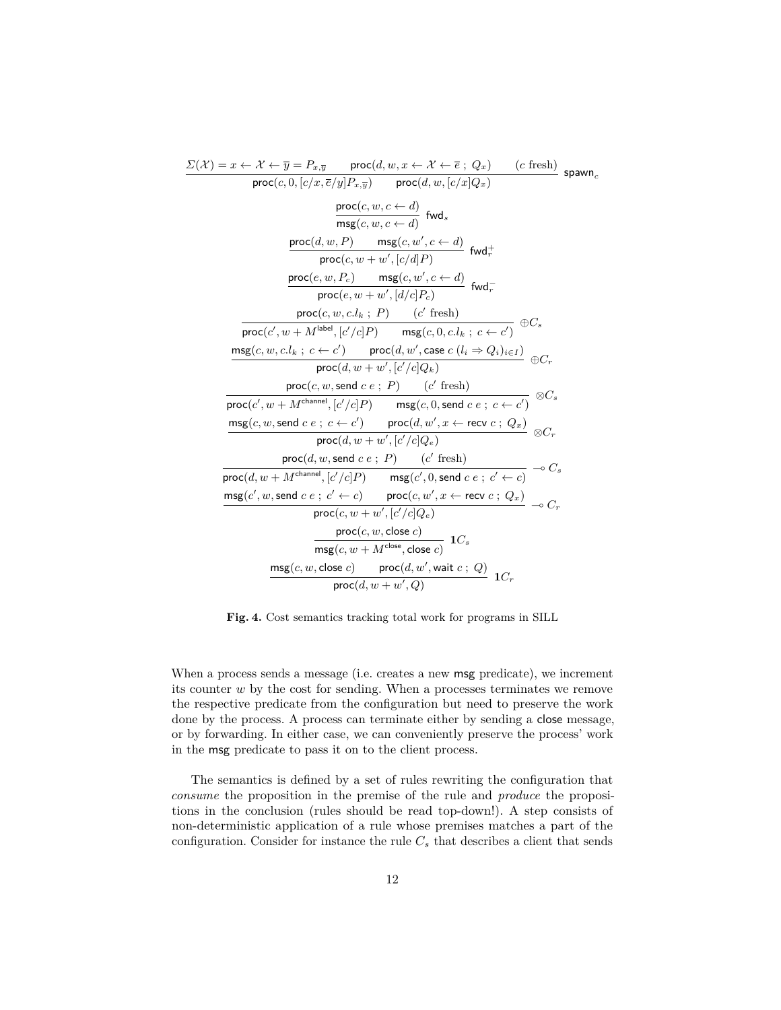| $\Sigma(\mathcal{X}) = x \leftarrow \mathcal{X} \leftarrow \overline{y} = P_{x,\overline{y}}$ proc $(d, w, x \leftarrow \mathcal{X} \leftarrow \overline{e}; Q_x)$ (c fresh)<br>$span_{c}$ |
|--------------------------------------------------------------------------------------------------------------------------------------------------------------------------------------------|
| $\overline{\textsf{proc}(c, 0, [c/x, \overline{e}/y]P_{x, \overline{y}})}$ $\overline{\textsf{proc}(d, w, [c/x]Q_x)}$                                                                      |
| $\frac{\textsf{proc}(c, w, c \leftarrow d)}{\textsf{msg}(c, w, c \leftarrow d)}$ fwd <sub>s</sub>                                                                                          |
| $\frac{\mathsf{proc}(d, w, P)}{\mathsf{proc}(c, w + w', [c/d]P)} \; \mathsf{fwd}_r^+$                                                                                                      |
| $\frac{\mathsf{proc}(e, w, P_c)}{\mathsf{proc}(e, w + w', \lceil d/c \rceil P_c)} \; \mathsf{fwd}_r^-$                                                                                     |
| $\frac{\mathsf{proc}(c, w, c.l_k ; P)}{\mathsf{proc}(c', w + M^{\mathsf{label}}, [c'/c]P) } \quad \frac{(c' \text{ fresh})}{\mathsf{msg}(c, 0, c.l_k ; c \leftarrow c')} \oplus C_s$       |
|                                                                                                                                                                                            |
| $\frac{\mathsf{msg}(c,w,c.l_k\;;\;c\leftarrow c')}{\mathsf{proc}(d,w',\mathsf{case}\;c\;(l_i\Rightarrow Q_i)_{i\in I})}\,\oplus C_r$                                                       |
| proc(d, $w + w'$ , $\left[c'/c\right]Q_k$ )                                                                                                                                                |
|                                                                                                                                                                                            |
| $\frac{\mathsf{proc}(c,w,\mathsf{send}\;c\;e\;;\;P)}{\mathsf{proc}(c',w+M^{\mathsf{channel}},[c'/c]P)\qquad \mathsf{msg}(c,0,\mathsf{send}\;c\;e\;;\;c\leftarrow c')}$                     |
| $\frac{\operatorname{msg}(c,w,\operatorname{send} c \, e \, ; \, c \leftarrow c')}{\operatorname{proc}(d,w',x \leftarrow \operatorname{recv} c \, ; \, Q_x)} \otimes C_r$                  |
| $\overline{\textsf{proc}(d, w + w', [c'/c]Q_e)}$                                                                                                                                           |
| $\mathsf{proc}(d, w, \mathsf{send} \; c \; e \; ; \; P)$ (c' fresh)                                                                                                                        |
| $\overbrace{\mathsf{proc}(d, w + M^{\mathsf{channel}}, [c'/c]P) \qquad \mathsf{msg}(c', 0, \mathsf{send} c \ e \ ; \ c' \leftarrow c)} \multimap C_s$                                      |
| $\mathsf{msg}(c', w, \mathsf{send}\; c\; e\; ;\; c' \leftarrow c)$ $\mathsf{proc}(c, w', x \leftarrow \mathsf{recv}\; c\; ;\; Q_x)$ $\rightarrow C_r$                                      |
| $proc(c, w + w', [c'/c]Q_e)$                                                                                                                                                               |
| $\frac{\mathsf{proc}(c, w, \mathsf{close}\ c)}{\mathsf{msg}(c, w + M^{\mathsf{close}}, \mathsf{close}\ c)} \ \mathsf{1}{C_s}$                                                              |
|                                                                                                                                                                                            |
| $\mathsf{msg}(c,w,\mathsf{close}\ c)$ proc $(d,w',\mathsf{wait}\ c\ ;\ Q)$<br>1 $C_r$                                                                                                      |
| $proc(d, w + w', Q)$                                                                                                                                                                       |
|                                                                                                                                                                                            |

<span id="page-11-0"></span>**Fig. 4.** Cost semantics tracking total work for programs in SILL

When a process sends a message (i.e. creates a new msg predicate), we increment its counter *w* by the cost for sending. When a processes terminates we remove the respective predicate from the configuration but need to preserve the work done by the process. A process can terminate either by sending a close message, or by forwarding. In either case, we can conveniently preserve the process' work in the msg predicate to pass it on to the client process.

The semantics is defined by a set of rules rewriting the configuration that *consume* the proposition in the premise of the rule and *produce* the propositions in the conclusion (rules should be read top-down!). A step consists of non-deterministic application of a rule whose premises matches a part of the configuration. Consider for instance the rule  $C_s$  that describes a client that sends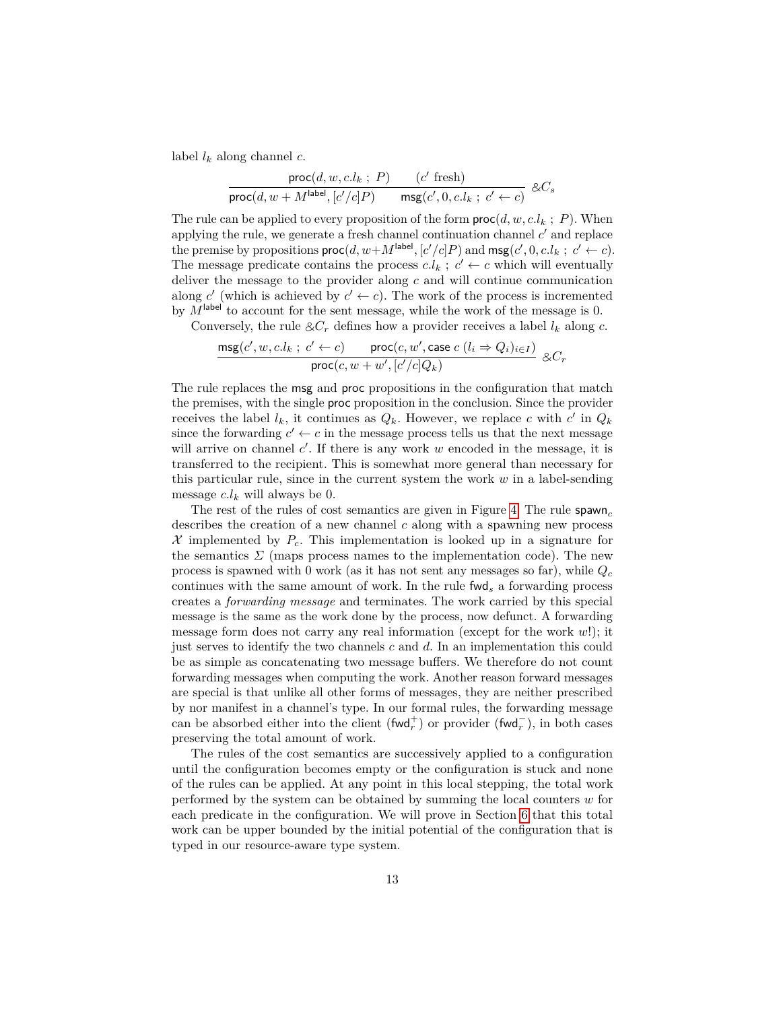label *l<sup>k</sup>* along channel *c*.

$$
\frac{\text{proc}(d, w, c.l_k ; P)}{\text{proc}(d, w + M^{\text{label}}, [c'/c]P)} \xrightarrow{\quad (c' \text{ fresh})} \&C_s
$$

The rule can be applied to every proposition of the form  $\textsf{proc}(d, w, c.l_k ; P)$ . When applying the rule, we generate a fresh channel continuation channel  $c'$  and replace the premise by propositions  $\textsf{proc}(d, w + M^{\textsf{label}}, [c'/c]P)$  and  $\textsf{msg}(c', 0, c.l_k; c' \leftarrow c)$ . The message predicate contains the process  $c.l_k$ ;  $c' \leftarrow c$  which will eventually deliver the message to the provider along *c* and will continue communication along *c*' (which is achieved by  $c' \leftarrow c$ ). The work of the process is incremented by  $M^{\text{label}}$  to account for the sent message, while the work of the message is 0.

Conversely, the rule  $\& C_r$  defines how a provider receives a label  $l_k$  along  $c$ .

$$
\frac{\text{msg}(c', w, c.l_k \, ; \, c' \leftarrow c) \qquad \text{proc}(c, w', \text{case } c \ (l_i \Rightarrow Q_i)_{i \in I})}{\text{proc}(c, w + w', [c'/c]Q_k)} \ \& C_r
$$

The rule replaces the msg and proc propositions in the configuration that match the premises, with the single proc proposition in the conclusion. Since the provider receives the label  $l_k$ , it continues as  $Q_k$ . However, we replace *c* with *c*' in  $Q_k$ since the forwarding  $c' \leftarrow c$  in the message process tells us that the next message will arrive on channel  $c'$ . If there is any work  $w$  encoded in the message, it is transferred to the recipient. This is somewhat more general than necessary for this particular rule, since in the current system the work *w* in a label-sending message  $c.l_k$  will always be 0.

The rest of the rules of cost semantics are given in Figure [4.](#page-11-0) The rule spawn*<sup>c</sup>* describes the creation of a new channel *c* along with a spawning new process  $X$  implemented by  $P_c$ . This implementation is looked up in a signature for the semantics  $\Sigma$  (maps process names to the implementation code). The new process is spawned with 0 work (as it has not sent any messages so far), while *Q<sup>c</sup>* continues with the same amount of work. In the rule fwd*<sup>s</sup>* a forwarding process creates a *forwarding message* and terminates. The work carried by this special message is the same as the work done by the process, now defunct. A forwarding message form does not carry any real information (except for the work *w*!); it just serves to identify the two channels *c* and *d*. In an implementation this could be as simple as concatenating two message buffers. We therefore do not count forwarding messages when computing the work. Another reason forward messages are special is that unlike all other forms of messages, they are neither prescribed by nor manifest in a channel's type. In our formal rules, the forwarding message can be absorbed either into the client  $(\text{fwd}_r^+)$  or provider  $(\text{fwd}_r^-)$ , in both cases preserving the total amount of work.

The rules of the cost semantics are successively applied to a configuration until the configuration becomes empty or the configuration is stuck and none of the rules can be applied. At any point in this local stepping, the total work performed by the system can be obtained by summing the local counters *w* for each predicate in the configuration. We will prove in Section [6](#page-16-0) that this total work can be upper bounded by the initial potential of the configuration that is typed in our resource-aware type system.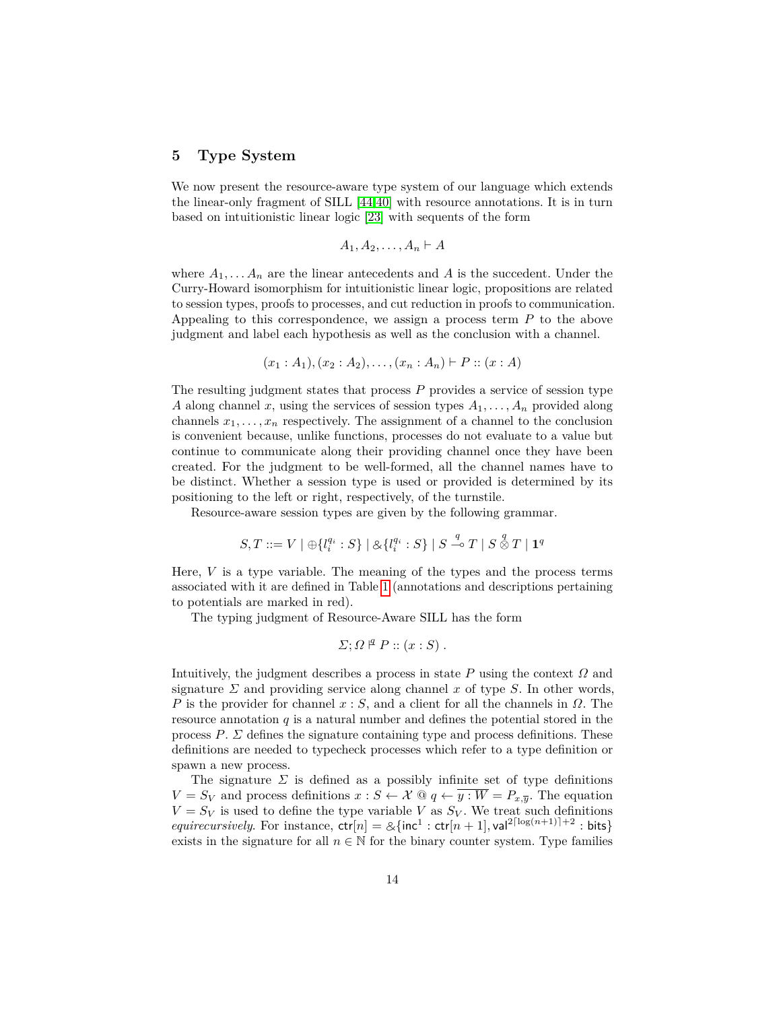# <span id="page-13-0"></span>**5 Type System**

We now present the resource-aware type system of our language which extends the linear-only fragment of SILL [\[44](#page-26-14)[,40\]](#page-26-15) with resource annotations. It is in turn based on intuitionistic linear logic [\[23\]](#page-25-23) with sequents of the form

$$
A_1, A_2, \ldots, A_n \vdash A
$$

where  $A_1, \ldots, A_n$  are the linear antecedents and A is the succedent. Under the Curry-Howard isomorphism for intuitionistic linear logic, propositions are related to session types, proofs to processes, and cut reduction in proofs to communication. Appealing to this correspondence, we assign a process term *P* to the above judgment and label each hypothesis as well as the conclusion with a channel.

$$
(x_1:A_1), (x_2:A_2), \ldots, (x_n:A_n) \vdash P :: (x:A)
$$

The resulting judgment states that process *P* provides a service of session type *A* along channel *x*, using the services of session types  $A_1, \ldots, A_n$  provided along channels  $x_1, \ldots, x_n$  respectively. The assignment of a channel to the conclusion is convenient because, unlike functions, processes do not evaluate to a value but continue to communicate along their providing channel once they have been created. For the judgment to be well-formed, all the channel names have to be distinct. Whether a session type is used or provided is determined by its positioning to the left or right, respectively, of the turnstile.

Resource-aware session types are given by the following grammar.

$$
S,T ::= V \mid \bigoplus \{l_i^{q_i} : S\} \mid \bigotimes \{l_i^{q_i} : S\} \mid S \stackrel{q}{\multimap} T \mid S \stackrel{q}{\otimes} T \mid \mathbf{1}^q
$$

Here, *V* is a type variable. The meaning of the types and the process terms associated with it are defined in Table [1](#page-8-0) (annotations and descriptions pertaining to potentials are marked in red).

The typing judgment of Resource-Aware SILL has the form

$$
\Sigma; \Omega \nvert^q P :: (x : S) .
$$

Intuitively, the judgment describes a process in state  $P$  using the context  $\Omega$  and signature  $\Sigma$  and providing service along channel x of type  $S$ . In other words, *P* is the provider for channel *x* : *S*, and a client for all the channels in *Ω*. The resource annotation  $q$  is a natural number and defines the potential stored in the process  $P$ .  $\Sigma$  defines the signature containing type and process definitions. These definitions are needed to typecheck processes which refer to a type definition or spawn a new process.

The signature  $\Sigma$  is defined as a possibly infinite set of type definitions  $V = S_V$  and process definitions  $x : S \leftarrow X \text{ @ } q \leftarrow \overline{y : W} = P_{x,\overline{y}}$ . The equation  $V = S_V$  is used to define the type variable *V* as  $S_V$ . We treat such definitions *equirecursively*. For instance,  $\text{ctr}[n] = \mathcal{A}\{\text{inc}^1 : \text{ctr}[n+1], \text{val}^{2\lceil \log(n+1) \rceil + 2} : \text{bits}\}$ exists in the signature for all  $n \in \mathbb{N}$  for the binary counter system. Type families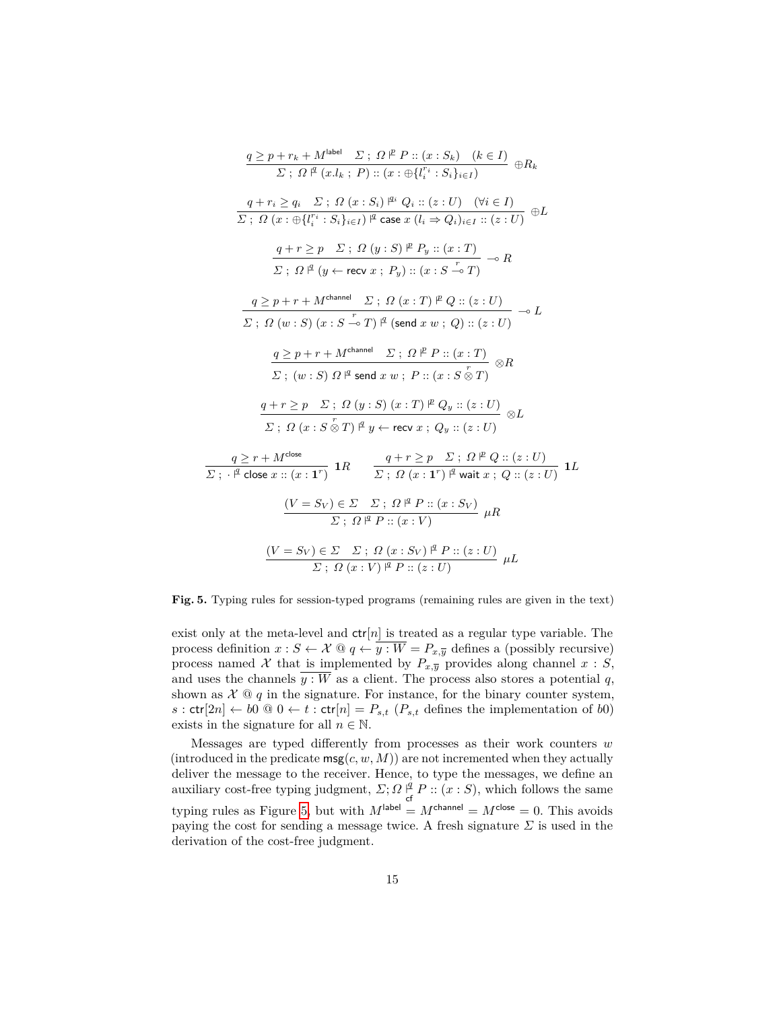$$
\frac{q \geq p + r_k + M^{\text{label}} \sum; \Omega \not\stackrel{P}{=} P :: (x : S_k) \quad (k \in I)}{\sum; \Omega \not\stackrel{P}{=} (x.l_k ; P) :: (x : \bigoplus \{l_i^{r_i} : S_i\}_{i \in I})} \oplus R_k
$$
\n
$$
\frac{q + r_i \geq q_i \quad \Sigma; \Omega \ (x : S_i) \not\stackrel{q_i}{=} Q_i :: (z : U) \quad (\forall i \in I)}{\sum; \Omega \ (x : \bigoplus \{l_i^{r_i} : S_i\}_{i \in I}) \not\stackrel{q}{=} \text{case } x (l_i \Rightarrow Q_i)_{i \in I} :: (z : U)} \oplus L
$$
\n
$$
\frac{q + r \geq p \quad \Sigma; \Omega \ (y : S) \not\stackrel{P}{=} P_y :: (x : T)}{\sum; \Omega \not\stackrel{q}{=} (y \leftarrow \text{recv } x ; P_y) :: (x : S \xrightarrow{r} T)} \rightarrow R
$$
\n
$$
\frac{q \geq p + r + M^{\text{channel}} \quad \Sigma; \Omega \ (x : T) \not\stackrel{P}{=} Q :: (z : U)}{\sum; \Omega \ (w : S) \ (x : S \xrightarrow{r} T) \not\stackrel{q}{=} (\text{send } x w ; Q) :: (z : U)} \rightarrow L
$$
\n
$$
\frac{q \geq p + r + M^{\text{channel}} \quad \Sigma; \Omega \not\stackrel{P}{=} P :: (x : T)}{\sum; (w : S) \Omega \not\stackrel{q}{=} \text{send } x w ; P :: (x : S \otimes T)} \otimes R
$$
\n
$$
\frac{q + r \geq p \quad \Sigma; \Omega \ (y : S) \ (x : T) \not\stackrel{P}{=} Q_y :: (z : U)}{\sum; \Omega \ (x : S \otimes T) \not\stackrel{q}{=} y \leftarrow \text{recv } x ; Q_y :: (z : U)} \otimes L
$$
\n
$$
\frac{q \geq r + M^{\text{close}}}{\sum; \Omega \ (x : S \otimes T) \not\stackrel{q}{=} y \leftarrow \text{recv } x ; Q \vdots; \Omega \not\stackrel{P}{=} Q :: (z : U)}{\sum; \Omega \ (\neg z : T) \not\stackrel{q}{=} P :: (x : S_V)} \mu R
$$
\n
$$
\frac{(V =
$$

<span id="page-14-0"></span>**Fig. 5.** Typing rules for session-typed programs (remaining rules are given in the text)

exist only at the meta-level and  $ctr[n]$  is treated as a regular type variable. The process definition  $x : S \leftarrow \mathcal{X} \otimes q \leftarrow \overline{y : W} = P_{x,\overline{y}}$  defines a (possibly recursive) process named X that is implemented by  $P_{x,y}$  provides along channel  $x : S$ , and uses the channels  $\overline{y : W}$  as a client. The process also stores a potential *q*, shown as  $\mathcal{X} \, \mathcal{Q} \, q$  in the signature. For instance, for the binary counter system,  $s:$  ctr[2*n*]  $\leftarrow b0 \otimes 0 \leftarrow t:$  ctr[*n*] =  $P_{s,t}$  ( $P_{s,t}$  defines the implementation of *b*0) exists in the signature for all  $n \in \mathbb{N}$ .

Messages are typed differently from processes as their work counters *w* (introduced in the predicate  $\mathsf{msg}(c, w, M)$ ) are not incremented when they actually deliver the message to the receiver. Hence, to type the messages, we define an auxiliary cost-free typing judgment,  $\Sigma$ ;  $\Omega \not\perp^q$  $P_{\text{cf}}^{\text{q}} P :: (x : S)$ , which follows the same typing rules as Figure [5,](#page-14-0) but with  $M^{\text{label}} = M^{\text{channel}} = M^{\text{close}} = 0$ . This avoids paying the cost for sending a message twice. A fresh signature  $\Sigma$  is used in the derivation of the cost-free judgment.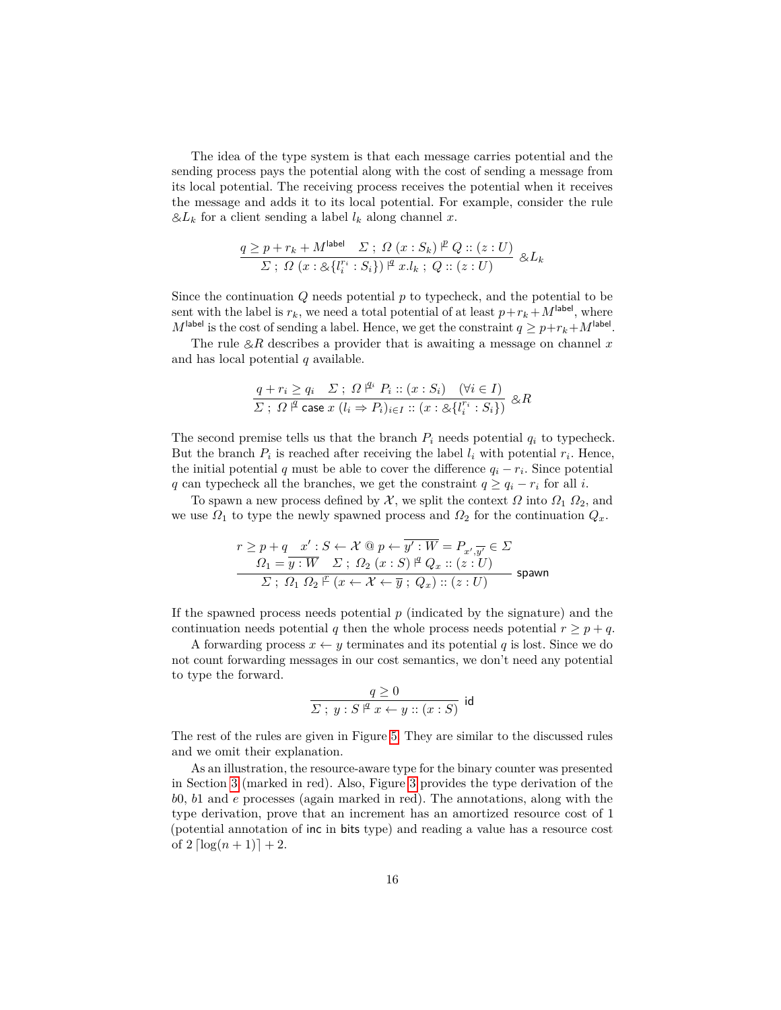The idea of the type system is that each message carries potential and the sending process pays the potential along with the cost of sending a message from its local potential. The receiving process receives the potential when it receives the message and adds it to its local potential. For example, consider the rule  $& \& L_k$  for a client sending a label  $l_k$  along channel *x*.

$$
\frac{q \geq p + r_k + M^{\text{label}}}{\varSigma \; ; \; \Omega \; (x : \mathcal{S}_k) \; \textcolor{red}{|}\; \mathcal{S} \; \textcolor{red}{::} \; (z : U)} \; \mathcal{S}_L \; \textcolor{red}{:} \; \mathcal{S}_L \; \textcolor{red}{:} \; \mathcal{S}_k \; \mathcal{S}_l \; \textcolor{red}{:} \; \mathcal{S}_l \; \textcolor{red}{:} \; \mathcal{S}_l \; \textcolor{red}{:} \; \mathcal{S}_l \; \textcolor{red}{:} \; \mathcal{S}_l \; \textcolor{red}{:} \; \mathcal{S}_l \; \textcolor{red}{:} \; \mathcal{S}_l \; \textcolor{red}{:} \; \mathcal{S}_l \; \textcolor{red}{:} \; \mathcal{S}_l \; \textcolor{red}{:} \; \mathcal{S}_l \; \textcolor{red}{:} \; \mathcal{S}_l \; \textcolor{red}{:} \; \mathcal{S}_l \; \textcolor{red}{:} \; \mathcal{S}_l \; \textcolor{red}{:} \; \mathcal{S}_l \; \textcolor{red}{:} \; \mathcal{S}_l \; \textcolor{red}{:} \; \mathcal{S}_l \; \textcolor{red}{:} \; \mathcal{S}_l \; \textcolor{red}{:} \; \mathcal{S}_l \; \textcolor{red}{:} \; \mathcal{S}_l \; \textcolor{red}{:} \; \mathcal{S}_l \; \textcolor{red}{:} \; \mathcal{S}_l \; \textcolor{red}{:} \; \mathcal{S}_l \; \textcolor{red}{:} \; \mathcal{S}_l \; \textcolor{red}{:} \; \mathcal{S}_l \; \textcolor{red}{:} \; \mathcal{S}_l \; \textcolor{red}{:} \; \mathcal{S}_l \; \textcolor{red}{:} \; \mathcal{S}_l \; \textcolor{red}{:} \; \mathcal{S}_l \; \textcolor{red}{:} \; \mathcal{S}_l \; \textcolor{red}{:} \; \mathcal{S}_l \; \textcolor{red}{:} \; \mathcal{S}_l \; \textcolor{red}{:} \; \mathcal{S}_l \; \textcolor{red}{:} \; \mathcal{S}_l \; \textcolor{red}{:} \; \mathcal{S}_l
$$

Since the continuation *Q* needs potential *p* to typecheck, and the potential to be sent with the label is  $r_k$ , we need a total potential of at least  $p+r_k+M^{\text{label}}$ , where  $M^{\text{label}}$  is the cost of sending a label. Hence, we get the constraint  $q \geq p + r_k + M^{\text{label}}$ .

The rule  $\&R$  describes a provider that is awaiting a message on channel x and has local potential *q* available.

$$
\frac{q+r_i \ge q_i \quad \Sigma \; ; \; \Omega^{\; \not\perp \! \vartriangleleft} \; P_i \; :: \; (x:S_i) \quad (\forall i \in I)}{\Sigma \; ; \; \Omega^{\; \not\perp} \text{ case } x \; (l_i \Rightarrow P_i)_{i \in I} \; :: \; (x:\bigotimes \{l_i^{r_i} : S_i\})} \; \otimes R
$$

The second premise tells us that the branch  $P_i$  needs potential  $q_i$  to typecheck. But the branch  $P_i$  is reached after receiving the label  $l_i$  with potential  $r_i$ . Hence, the initial potential  $q$  must be able to cover the difference  $q_i - r_i$ . Since potential *q* can typecheck all the branches, we get the constraint  $q \ge q_i - r_i$  for all *i*.

To spawn a new process defined by  $\mathcal{X}$ , we split the context  $\Omega$  into  $\Omega_1$   $\Omega_2$ , and we use  $\Omega_1$  to type the newly spawned process and  $\Omega_2$  for the continuation  $Q_x$ .

$$
r \ge p + q \quad x': S \leftarrow \mathcal{X} \text{ @ } p \leftarrow \overline{y': W} = P_{x', \overline{y'}} \in \Sigma
$$
  

$$
\frac{\Omega_1 = \overline{y: W} \quad \Sigma \text{ ; } \Omega_2 \text{ (}x: S \text{ )} \text{ }^{\underline{\mu}} \text{ } Q_x \text{ :: } (z: U)}
$$
  

$$
\Sigma \text{ ; } \Omega_1 \text{ } \Omega_2 \text{ }^{\underline{\mu}} \text{ (}x \leftarrow \mathcal{X} \leftarrow \overline{y} \text{ ; } Q_x \text{ )} \text{ :: } (z: U \text{ )}
$$
spann

If the spawned process needs potential *p* (indicated by the signature) and the continuation needs potential *q* then the whole process needs potential  $r \geq p + q$ .

A forwarding process  $x \leftarrow y$  terminates and its potential q is lost. Since we do not count forwarding messages in our cost semantics, we don't need any potential to type the forward.

$$
\frac{q \ge 0}{\varSigma \; ; \; y : S \; |^{q} \; x \leftarrow y :: (x:S) } \; \mathsf{id}
$$

The rest of the rules are given in Figure [5.](#page-14-0) They are similar to the discussed rules and we omit their explanation.

As an illustration, the resource-aware type for the binary counter was presented in Section [3](#page-7-0) (marked in red). Also, Figure [3](#page-9-0) provides the type derivation of the *b*0, *b*1 and *e* processes (again marked in red). The annotations, along with the type derivation, prove that an increment has an amortized resource cost of 1 (potential annotation of inc in bits type) and reading a value has a resource cost of  $2 \left[ \log(n+1) \right] + 2$ .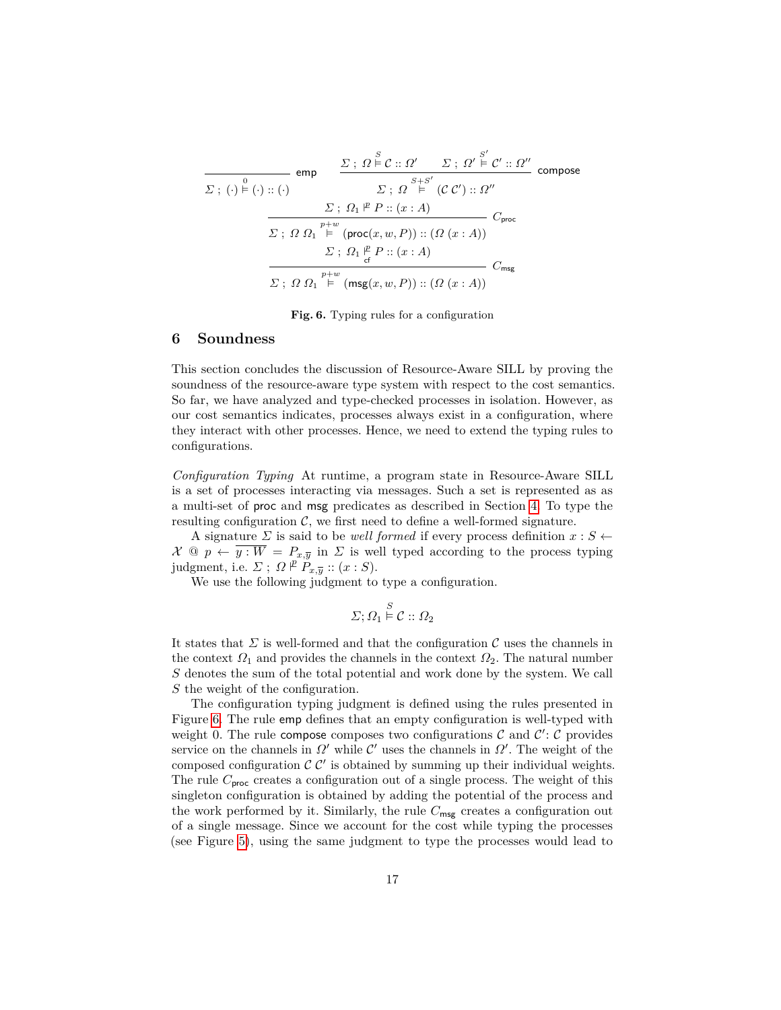$$
\frac{\Sigma: \Omega \overset{S}{\models} \mathcal{C} :: \Omega' \quad \Sigma: \Omega' \overset{S'}{\models} \mathcal{C}' :: \Omega''}{\sum: \Omega \overset{S}{\models} \mathcal{C} :: \Omega''}
$$
 compose  

$$
\frac{\Sigma: \Omega_1 \overset{S}{\models} P :: (x:A)}{\sum: \Omega_1 \overset{p+\text{w}}{\models} (\text{proc}(x, w, P)) :: (\Omega(x:A))}
$$
  

$$
\frac{\Sigma: \Omega_1 \overset{p+\text{w}}{\models} (\text{proc}(x, w, P)) :: (\Omega(x:A))}{\sum: \Omega_1 \overset{p}{\models} P :: (x:A)}
$$
  

$$
\frac{\Sigma: \Omega_1 \overset{p}{\models} P :: (x:A)}{\sum: \Omega_2 \overset{p+\text{w}}{\models} (\text{msg}(x, w, P)) :: (\Omega(x:A))}
$$
  

$$
C_{\text{msg}}
$$

<span id="page-16-1"></span>**Fig. 6.** Typing rules for a configuration

### <span id="page-16-0"></span>**6 Soundness**

This section concludes the discussion of Resource-Aware SILL by proving the soundness of the resource-aware type system with respect to the cost semantics. So far, we have analyzed and type-checked processes in isolation. However, as our cost semantics indicates, processes always exist in a configuration, where they interact with other processes. Hence, we need to extend the typing rules to configurations.

*Configuration Typing* At runtime, a program state in Resource-Aware SILL is a set of processes interacting via messages. Such a set is represented as as a multi-set of proc and msg predicates as described in Section [4.](#page-10-0) To type the resulting configuration  $\mathcal{C}$ , we first need to define a well-formed signature.

A signature *Σ* is said to be *well formed* if every process definition  $x : S \leftarrow$  $\mathcal{X} \ @\ p \leftarrow \overline{y : W} = P_{x,\overline{y}} \text{ in } \Sigma \text{ is well typed according to the process typing}$  $j$ udgment, i.e.  $\Sigma$ ;  $\Omega \not\stackrel{p}{\vdash} P_{x,\overline{y}} :: (x:S)$ .

We use the following judgment to type a configuration.

$$
\Sigma; \Omega_1 \stackrel{S}{\models} \mathcal{C} :: \Omega_2
$$

It states that  $\Sigma$  is well-formed and that the configuration  $\mathcal C$  uses the channels in the context  $\Omega_1$  and provides the channels in the context  $\Omega_2$ . The natural number *S* denotes the sum of the total potential and work done by the system. We call *S* the weight of the configuration.

The configuration typing judgment is defined using the rules presented in Figure [6.](#page-16-1) The rule emp defines that an empty configuration is well-typed with weight 0. The rule compose composes two configurations  $\mathcal C$  and  $\mathcal C'$ :  $\mathcal C$  provides service on the channels in  $\Omega'$  while  $\mathcal{C}'$  uses the channels in  $\Omega'$ . The weight of the composed configuration  $\mathcal{C} \mathcal{C}'$  is obtained by summing up their individual weights. The rule  $C_{\text{proc}}$  creates a configuration out of a single process. The weight of this singleton configuration is obtained by adding the potential of the process and the work performed by it. Similarly, the rule  $C_{\text{msg}}$  creates a configuration out of a single message. Since we account for the cost while typing the processes (see Figure [5\)](#page-14-0), using the same judgment to type the processes would lead to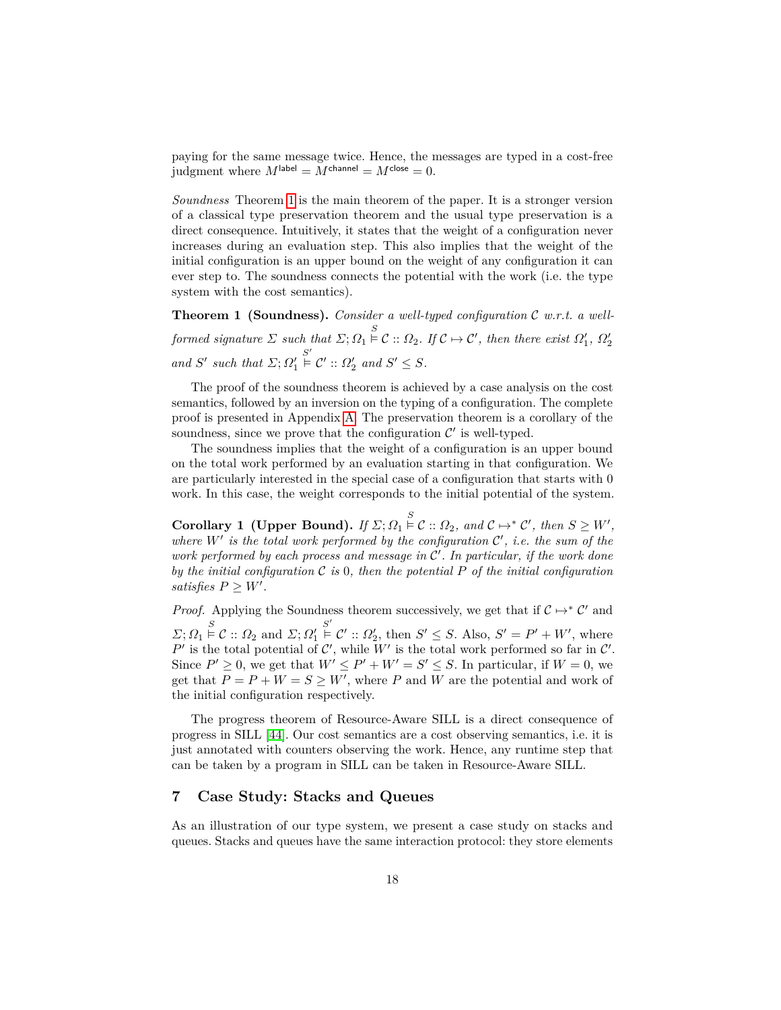paying for the same message twice. Hence, the messages are typed in a cost-free judgment where  $M^{\text{label}} = M^{\text{channel}} = M^{\text{close}} = 0.$ 

*Soundness* Theorem [1](#page-17-1) is the main theorem of the paper. It is a stronger version of a classical type preservation theorem and the usual type preservation is a direct consequence. Intuitively, it states that the weight of a configuration never increases during an evaluation step. This also implies that the weight of the initial configuration is an upper bound on the weight of any configuration it can ever step to. The soundness connects the potential with the work (i.e. the type system with the cost semantics).

<span id="page-17-1"></span>**Theorem 1 (Soundness).** *Consider a well-typed configuration* C *w.r.t. a wellformed signature*  $\Sigma$  *such that*  $\Sigma$ ;  $\Omega_1 \stackrel{S}{\models} C$  ::  $\Omega_2$ *. If*  $C \mapsto C'$ *, then there exist*  $\Omega'_1$ *,*  $\Omega'_2$ *and*  $S'$  *such that*  $\Sigma; \Omega'_1$  $S' \in C' :: \Omega_2'$  and  $S' \leq S$ .

The proof of the soundness theorem is achieved by a case analysis on the cost semantics, followed by an inversion on the typing of a configuration. The complete proof is presented in Appendix [A.](#page-26-18) The preservation theorem is a corollary of the soundness, since we prove that the configuration  $\mathcal{C}'$  is well-typed.

The soundness implies that the weight of a configuration is an upper bound on the total work performed by an evaluation starting in that configuration. We are particularly interested in the special case of a configuration that starts with 0 work. In this case, the weight corresponds to the initial potential of the system.

**Corollary 1** (Upper Bound). *If*  $\Sigma$ ;  $\Omega_1 \overset{S}{\models} \mathcal{C} :: \Omega_2$ , and  $\mathcal{C} \mapsto^* \mathcal{C}'$ , then  $S \geq W'$ , where  $W'$  is the total work performed by the configuration  $C'$ , i.e. the sum of the work performed by each process and message in  $\mathcal{C}'$ . In particular, if the work done *by the initial configuration* C *is* 0*, then the potential P of the initial configuration satisfies*  $P \geq W'$ .

*Proof.* Applying the Soundness theorem successively, we get that if  $C \mapsto^* C'$  and  $\Sigma; \Omega_1 \overset{S}{\models} \mathcal{C} :: \Omega_2 \text{ and } \Sigma; \Omega_1'$  $S' \in \mathcal{C}' :: \Omega_2',$  then  $S' \leq S$ . Also,  $S' = P' + W'$ , where P' is the total potential of  $\mathcal{C}'$ , while W' is the total work performed so far in  $\mathcal{C}'$ . Since  $P' \geq 0$ , we get that  $W' \leq P' + W' = S' \leq S$ . In particular, if  $W = 0$ , we get that  $P = P + W = S \geq W'$ , where *P* and *W* are the potential and work of the initial configuration respectively.

The progress theorem of Resource-Aware SILL is a direct consequence of progress in SILL [\[44\]](#page-26-14). Our cost semantics are a cost observing semantics, i.e. it is just annotated with counters observing the work. Hence, any runtime step that can be taken by a program in SILL can be taken in Resource-Aware SILL.

# <span id="page-17-0"></span>**7 Case Study: Stacks and Queues**

As an illustration of our type system, we present a case study on stacks and queues. Stacks and queues have the same interaction protocol: they store elements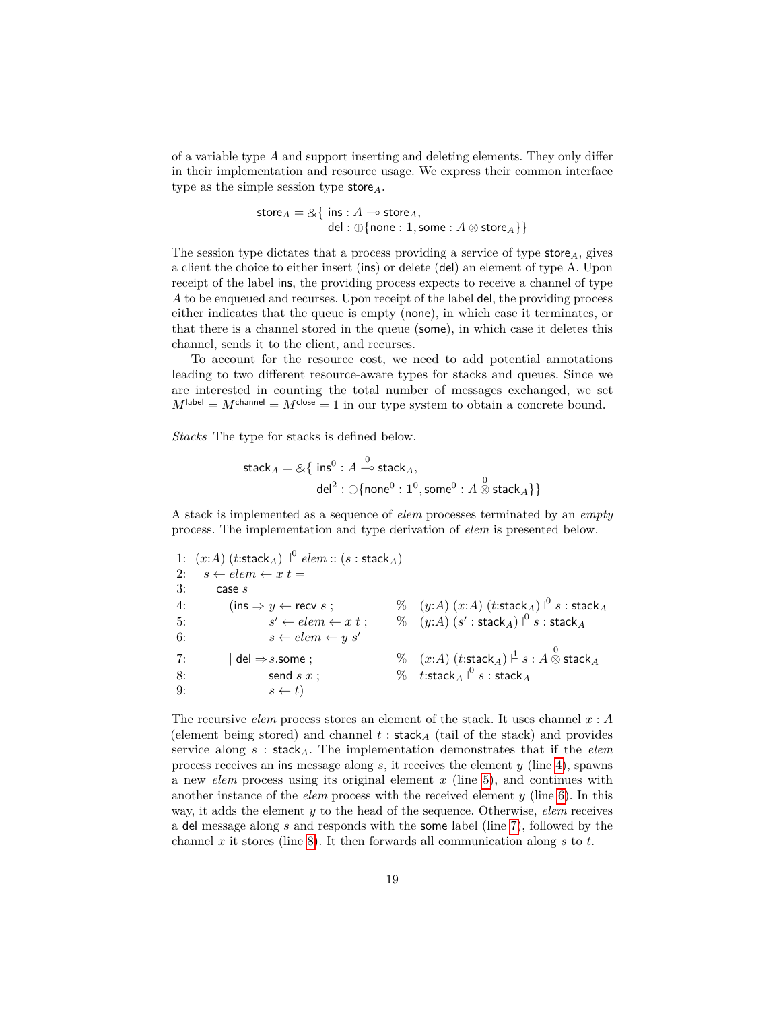of a variable type *A* and support inserting and deleting elements. They only differ in their implementation and resource usage. We express their common interface type as the simple session type store*A*.

$$
store_A = \& \{ ins : A \rightarrow store_A, \\ del : \bigoplus \{ none : 1, some : A \otimes store_A \} \}
$$

The session type dictates that a process providing a service of type store*A*, gives a client the choice to either insert (ins) or delete (del) an element of type A. Upon receipt of the label ins, the providing process expects to receive a channel of type *A* to be enqueued and recurses. Upon receipt of the label del, the providing process either indicates that the queue is empty (none), in which case it terminates, or that there is a channel stored in the queue (some), in which case it deletes this channel, sends it to the client, and recurses.

To account for the resource cost, we need to add potential annotations leading to two different resource-aware types for stacks and queues. Since we are interested in counting the total number of messages exchanged, we set  $M^{\text{label}} = M^{\text{channel}} = M^{\text{close}} = 1$  in our type system to obtain a concrete bound.

*Stacks* The type for stacks is defined below.

$$
\begin{aligned} \mathsf{stack}_A = \& \{ \ \mathsf{ins}^0 : A \xrightarrow{0} \mathsf{stack}_A, \\ \mathsf{del}^2 : \oplus \{\mathsf{none}^0 : \mathbf{1}^0, \mathsf{some}^0 : A \overset{0}{\otimes} \mathsf{stack}_A\} \} \end{aligned}
$$

A stack is implemented as a sequence of *elem* processes terminated by an *empty* process. The implementation and type derivation of *elem* is presented below.

1:  $(x:A)$   $(t:\text{stack}_A) \perp^0$   $elem::(s:\text{stack}_A)$ 2:  $s \leftarrow elem \leftarrow x t =$ 3: case *s* 4: (ins ⇒ *y* ← recv *s* ; % (*y*:*A*) (*x*:*A*) (*t*:stack*A*) ` 0 *s* : stack*<sup>A</sup>* 5: *s*  $\mathscr{C} \leftarrow elem \leftarrow x\;t \;; \qquad \%\quad (y{:}A)\;(s':\mathsf{stack}_A) \stackrel{\textstyle\cap}{\textstyle \;\circ\;} s:\mathsf{stack}_A$ 6:  $s \leftarrow elem \leftarrow y s'$  $7:$   $\begin{array}{l} \mid$  del  $\Rightarrow$   $s.$ some ;  $\begin{array}{l} \% \end{array}$   $\quad$   $\%$   $\quad (x{:}A)\;(t{:}\mathrm{stack}_A)\stackrel{\mathsf{I}}{\mid} s:A\stackrel{0}{\otimes}$  stack  $_A$ 8: send *s x* ;  $\%$  t:stack<sub>A</sub>  $\frac{\beta}{2}$  *s* : stack<sub>A</sub> 9:  $s \leftarrow t$ 

The recursive *elem* process stores an element of the stack. It uses channel *x* : *A* (element being stored) and channel  $t$ : stack<sub>A</sub> (tail of the stack) and provides service along *s* : stack*A*. The implementation demonstrates that if the *elem* process receives an ins message along *s*, it receives the element *y* (line [4\)](#page-9-3), spawns a new *elem* process using its original element *x* (line [5\)](#page-9-4), and continues with another instance of the *elem* process with the received element *y* (line [6\)](#page-9-5). In this way, it adds the element *y* to the head of the sequence. Otherwise, *elem* receives a del message along *s* and responds with the some label (line [7\)](#page-9-2), followed by the channel *x* it stores (line [8\)](#page-9-6). It then forwards all communication along *s* to *t*.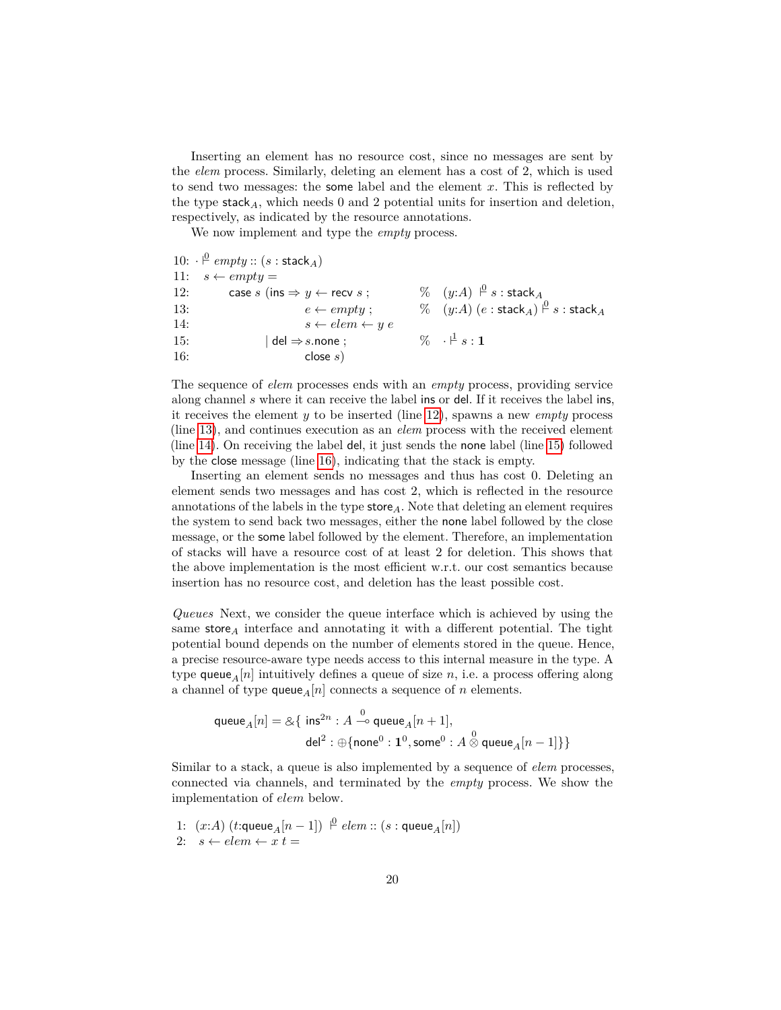Inserting an element has no resource cost, since no messages are sent by the *elem* process. Similarly, deleting an element has a cost of 2, which is used to send two messages: the some label and the element *x*. This is reflected by the type stack<sub>A</sub>, which needs 0 and 2 potential units for insertion and deletion, respectively, as indicated by the resource annotations.

We now implement and type the *empty* process.

|     | 10: $\cdot \stackrel{\circ}{\vdash} empty :: (s : stack_A)$ |                                                                                |
|-----|-------------------------------------------------------------|--------------------------------------------------------------------------------|
|     | 11: $s \leftarrow empty =$                                  |                                                                                |
| 12: | case $s$ (ins $\Rightarrow$ $y \leftarrow$ recv $s$ ;       | $\%$ $(y:A)$ $\stackrel{0}{\vdash} s$ : stack A                                |
| 13: | $e \leftarrow \textit{empty}:$                              | $\%$ $(y:A)$ $(e : \text{stack}_A) \overset{\beta}{\vdash} s : \text{stack}_A$ |
| 14: | $s \leftarrow elem \leftarrow y e$                          |                                                                                |
| 15: | del $\Rightarrow$ s.none;                                   | $\% \quad \cdot \n\stackrel{1}{\vdash} s : \mathbf{1}$                         |
| 16: | close $s$ )                                                 |                                                                                |

The sequence of *elem* processes ends with an *empty* process, providing service along channel *s* where it can receive the label ins or del. If it receives the label ins, it receives the element *y* to be inserted (line [12\)](#page-9-7), spawns a new *empty* process (line [13\)](#page-9-8), and continues execution as an *elem* process with the received element (line [14\)](#page-9-9). On receiving the label del, it just sends the none label (line [15\)](#page-9-10) followed by the close message (line [16\)](#page-9-11), indicating that the stack is empty.

Inserting an element sends no messages and thus has cost 0. Deleting an element sends two messages and has cost 2, which is reflected in the resource annotations of the labels in the type store*A*. Note that deleting an element requires the system to send back two messages, either the none label followed by the close message, or the some label followed by the element. Therefore, an implementation of stacks will have a resource cost of at least 2 for deletion. This shows that the above implementation is the most efficient w.r.t. our cost semantics because insertion has no resource cost, and deletion has the least possible cost.

*Queues* Next, we consider the queue interface which is achieved by using the same store*<sup>A</sup>* interface and annotating it with a different potential. The tight potential bound depends on the number of elements stored in the queue. Hence, a precise resource-aware type needs access to this internal measure in the type. A type queue<sub>A</sub> $[n]$  intuitively defines a queue of size *n*, i.e. a process offering along a channel of type queue<sub>*A*</sub> $[n]$  connects a sequence of *n* elements.

$$
\begin{aligned} \mathsf{queue}_A[n] = \& \{~ \mathsf{ins}^{2n} : A \stackrel{0}{\multimap} \mathsf{queue}_A[n+1], \\ \mathsf{del}^2 : \oplus \{\mathsf{none}^0 : \mathbf{1}^0, \mathsf{some}^0 : A \stackrel{0}{\otimes} \mathsf{queue}_A[n-1] \} \} \end{aligned}
$$

Similar to a stack, a queue is also implemented by a sequence of *elem* processes, connected via channels, and terminated by the *empty* process. We show the implementation of *elem* below.

1:  $(x:A)$   $(t:\text{queue}_A[n-1]) \overset{\rho}{\vdash} elem::(s:\text{queue}_A[n])$ 2:  $s \leftarrow elem \leftarrow x t =$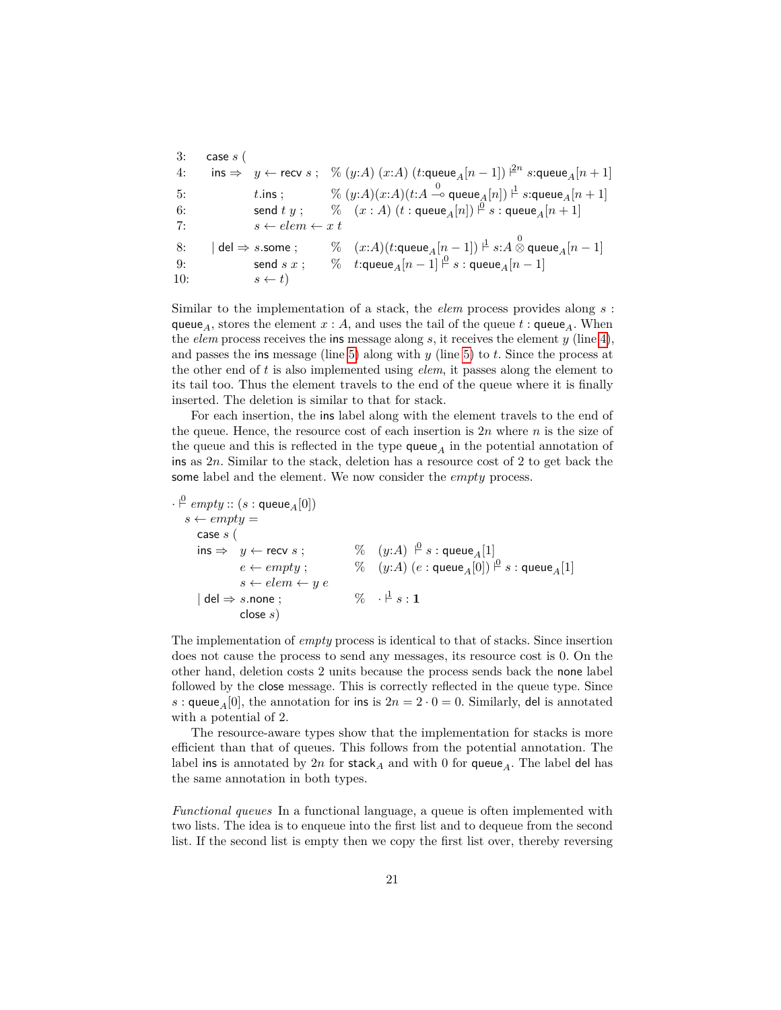3: case *s* (  $4: \qquad \mathsf{ins} \Rightarrow \quad y \leftarrow \mathsf{recv}\ s\ ; \quad \% \ (y{:}A)\ (x{:}A)\ (t{:}\mathsf{queue}_A[n-1]) \; |^{2n}\ s{:}\mathsf{queue}_A[n+1]$  $t.\mathsf{ins}~; \hspace{1cm} \%~(y{:}A)(x{:}A)(t{:}A \stackrel{0}{\multimap} \mathsf{queue}_A[n]) \stackrel{\mathsf{1}}{\vdash} s{:}\mathsf{queue}_A[n+1]$ 6: send *t y* ;  $\%$   $(x : A)$   $(t : \textsf{queue}_A[n]) \overset{\rho}{\vdash} s : \textsf{queue}_A[n+1]$ 7:  $s \leftarrow elem \leftarrow x \ t$  $8: \qquad | \text{ del } \Rightarrow s.\textsf{some }; \qquad \% \quad (x{:}A)(t{:}\textsf{queue}_A[n-1]) \overset{\text{d}}{\vdash} s{:}A \overset{0}{\otimes} \textsf{queue}_A[n-1]$ 9: send *s*  $x$  ; %  $t$ :queue<sub>A</sub> $[n-1] \stackrel{\beta}{\vdash} s$  : queue<sub>A</sub> $[n-1]$ 10:  $s \leftarrow t$ 

Similar to the implementation of a stack, the *elem* process provides along *s* : queue<sub>A</sub>, stores the element  $x : A$ , and uses the tail of the queue  $t : \mathsf{queue}_A$ . When the *elem* process receives the ins message along *s*, it receives the element *y* (line [4\)](#page-9-3), and passes the ins message (line [5\)](#page-9-4) along with *y* (line [5\)](#page-9-4) to *t*. Since the process at the other end of *t* is also implemented using *elem*, it passes along the element to its tail too. Thus the element travels to the end of the queue where it is finally inserted. The deletion is similar to that for stack.

For each insertion, the ins label along with the element travels to the end of the queue. Hence, the resource cost of each insertion is 2*n* where *n* is the size of the queue and this is reflected in the type  $queue_A$  in the potential annotation of ins as 2*n*. Similar to the stack, deletion has a resource cost of 2 to get back the some label and the element. We now consider the *empty* process.

 $\cdot \stackrel{0}{\vdash} \operatorname{empty} :: (s : \textsf{queue}_A[0])$  $s \leftarrow empty =$ case *s* ( ins ⇒ *y* ← recv *s* ; % (*y*:*A*) ` 0 *s* : queue*A*[1]  $e \leftarrow empty~; \hspace{1cm} \%\quad(y{:}A)~(e:\mathsf{queue}_A[0]) \stackrel{\mathsf{p}}{\leftarrow} s:\mathsf{queue}_A[1]$  $s \leftarrow elem \leftarrow y e$  $\vert$  del  $\Rightarrow$   $s.\mathsf{none}$  ;  $\qquad\qquad\% \quad \cdot \stackrel{\mathsf{1}}{\vdash} s:\mathbf{1}$ close *s*)

The implementation of *empty* process is identical to that of stacks. Since insertion does not cause the process to send any messages, its resource cost is 0. On the other hand, deletion costs 2 units because the process sends back the none label followed by the close message. This is correctly reflected in the queue type. Since *s* : queue<sub>A</sub>[0], the annotation for ins is  $2n = 2 \cdot 0 = 0$ . Similarly, del is annotated with a potential of 2.

The resource-aware types show that the implementation for stacks is more efficient than that of queues. This follows from the potential annotation. The label ins is annotated by  $2n$  for stack<sub>A</sub> and with 0 for queue<sub>A</sub>. The label del has the same annotation in both types.

*Functional queues* In a functional language, a queue is often implemented with two lists. The idea is to enqueue into the first list and to dequeue from the second list. If the second list is empty then we copy the first list over, thereby reversing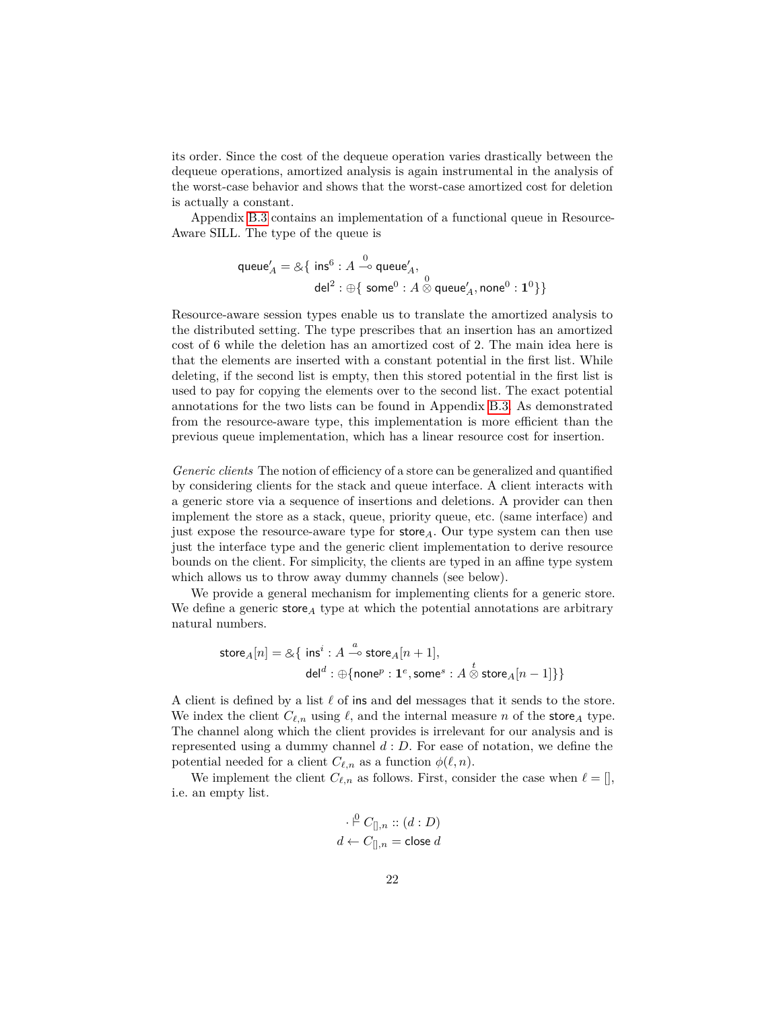its order. Since the cost of the dequeue operation varies drastically between the dequeue operations, amortized analysis is again instrumental in the analysis of the worst-case behavior and shows that the worst-case amortized cost for deletion is actually a constant.

Appendix [B.3](#page-35-0) contains an implementation of a functional queue in Resource-Aware SILL. The type of the queue is

$$
\begin{aligned} \mathsf{queue}'_A = \& \{~\mathsf{ins}^6 : A \stackrel{0}{\multimap} \mathsf{queue}'_A, \\ \mathsf{del}^2 : \oplus \{~\mathsf{some}^0 : A \stackrel{0}{\otimes} \mathsf{queue}'_A, \mathsf{none}^0 : \mathbf{1}^0 \} \} \end{aligned}
$$

Resource-aware session types enable us to translate the amortized analysis to the distributed setting. The type prescribes that an insertion has an amortized cost of 6 while the deletion has an amortized cost of 2. The main idea here is that the elements are inserted with a constant potential in the first list. While deleting, if the second list is empty, then this stored potential in the first list is used to pay for copying the elements over to the second list. The exact potential annotations for the two lists can be found in Appendix [B.3.](#page-35-0) As demonstrated from the resource-aware type, this implementation is more efficient than the previous queue implementation, which has a linear resource cost for insertion.

*Generic clients* The notion of efficiency of a store can be generalized and quantified by considering clients for the stack and queue interface. A client interacts with a generic store via a sequence of insertions and deletions. A provider can then implement the store as a stack, queue, priority queue, etc. (same interface) and just expose the resource-aware type for store*A*. Our type system can then use just the interface type and the generic client implementation to derive resource bounds on the client. For simplicity, the clients are typed in an affine type system which allows us to throw away dummy channels (see below).

We provide a general mechanism for implementing clients for a generic store. We define a generic store*<sup>A</sup>* type at which the potential annotations are arbitrary natural numbers.

$$
\begin{aligned} \mathsf{store}_{A}[n] = \& \{ \ \mathsf{ins}^i : A \stackrel{a}{\multimap} \mathsf{store}_{A}[n+1], \\ \mathsf{del}^d : \oplus \{\mathsf{none}^p : \mathbf{1}^e, \mathsf{some}^s : A \stackrel{t}{\otimes} \mathsf{store}_{A}[n-1] \} \} \end{aligned}
$$

A client is defined by a list  $\ell$  of ins and del messages that it sends to the store. We index the client  $C_{\ell,n}$  using  $\ell$ , and the internal measure *n* of the store<sub>A</sub> type. The channel along which the client provides is irrelevant for our analysis and is represented using a dummy channel *d* : *D*. For ease of notation, we define the potential needed for a client  $C_{\ell,n}$  as a function  $\phi(\ell,n)$ .

We implement the client  $C_{\ell,n}$  as follows. First, consider the case when  $\ell = []$ , i.e. an empty list.

$$
\cdot \stackrel{\mathsf{p}}{\leftarrow} C_{[],n} :: (d : D)
$$

$$
d \leftarrow C_{[],n} = \text{close } d
$$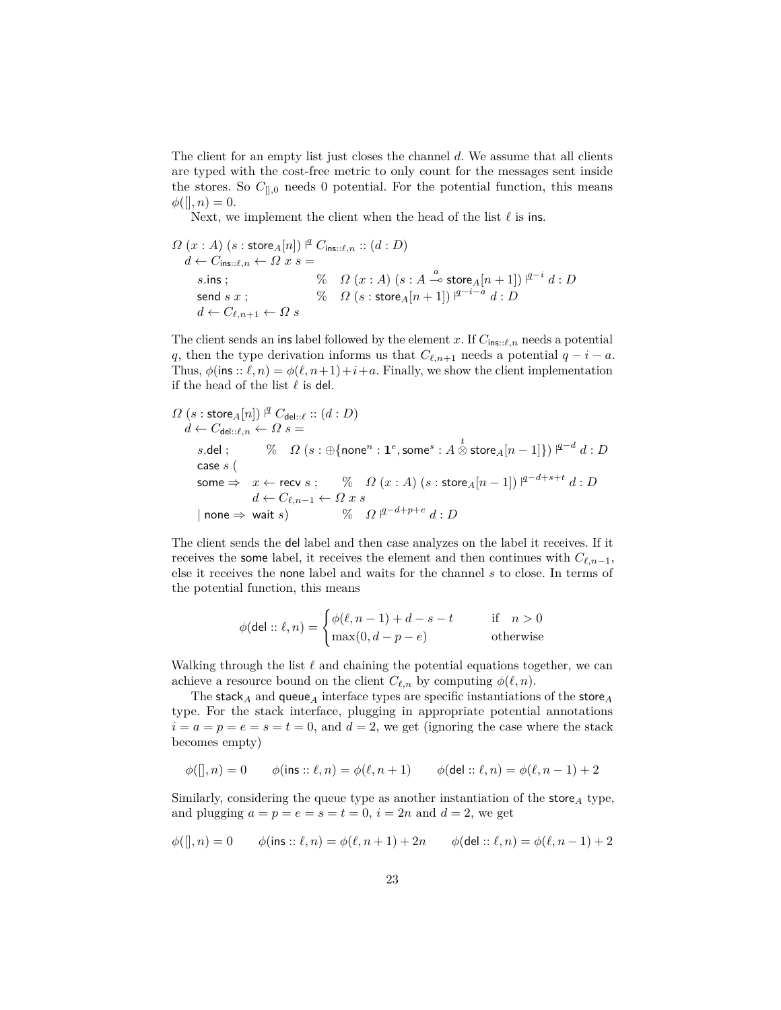The client for an empty list just closes the channel *d*. We assume that all clients are typed with the cost-free metric to only count for the messages sent inside the stores. So  $C_{[],0}$  needs 0 potential. For the potential function, this means  $\phi([, n) = 0.$ 

Next, we implement the client when the head of the list  $\ell$  is ins.

$$
\begin{aligned}\n\Omega\left(x:A\right) & (s:\text{store}_A[n]) \, \vert^{\underline{q}} \, C_{\text{ins}::\ell,n} :: (d:D) \\
d &\leftarrow C_{\text{ins}::\ell,n} \leftarrow \Omega \, x \, s = \\
s.\text{ins} \, ; & \%\quad \Omega\left(x:A\right) \left(s:A \stackrel{a}{\multimap} \text{store}_A[n+1]\right) \, \vert^{q-i} \, d:D \\
\text{send} \, s \, x \, ; & \%\quad \Omega\left(s:\text{store}_A[n+1]\right) \, \vert^{q-i-a} \, d:D \\
d &\leftarrow C_{\ell,n+1} \leftarrow \Omega \, s\n\end{aligned}
$$

The client sends an ins label followed by the element *x*. If  $C_{\text{ins}::\ell,n}$  needs a potential *q*, then the type derivation informs us that  $C_{\ell,n+1}$  needs a potential  $q - i - a$ . Thus,  $\phi$ (ins ::  $\ell, n$ ) =  $\phi(\ell, n+1) + i + a$ . Finally, we show the client implementation if the head of the list  $\ell$  is del.

$$
\begin{aligned} &\Omega\left(s: \text{store}_A[n]\right) \overset{\text{id}}{\leftarrow} C_{\text{del}::\ell}::(d:D) \\ &\quad d \leftarrow C_{\text{del}::\ell,n} \leftarrow \Omega \ s = \\ &\quad s.\text{del}:\qquad \%\quad \Omega\left(s: \oplus \{\text{none}^n: \mathbf{1}^e, \text{some}^s: A\overset{t}{\otimes} \text{store}_A[n-1]\}\right) \overset{\text{id}^{-d}}{\leftarrow} d:D \\ &\quad \text{case } s\left(\begin{array}{c} \\ \text{some} \Rightarrow & x \leftarrow \text{recv} \ s \ ; \quad \%\quad \Omega\left(x:A\right)\left(s: \text{store}_A[n-1]\right) \right. \overset{\text{id}^{-d}+s+t}{\leftarrow} d:D \\ &\quad d \leftarrow C_{\ell,n-1} \leftarrow \Omega \ x \ s \\ &\quad \text{none} \Rightarrow \text{wait } s\right) \quad \quad \%\quad \Omega \ \overset{\text{id}^{-d}+p+e}{\leftarrow} d:D \end{array} \right. \end{aligned}
$$

The client sends the del label and then case analyzes on the label it receives. If it receives the some label, it receives the element and then continues with  $C_{\ell,n-1}$ , else it receives the none label and waits for the channel *s* to close. In terms of the potential function, this means

$$
\phi(\text{del}:: \ell, n) = \begin{cases} \phi(\ell, n-1) + d - s - t & \text{if } n > 0 \\ \max(0, d - p - e) & \text{otherwise} \end{cases}
$$

Walking through the list  $\ell$  and chaining the potential equations together, we can achieve a resource bound on the client  $C_{\ell,n}$  by computing  $\phi(\ell,n)$ .

The stack<sub>*A*</sub> and queue<sub>*A*</sub> interface types are specific instantiations of the store<sub>*A*</sub> type. For the stack interface, plugging in appropriate potential annotations  $i = a = p = e = s = t = 0$ , and  $d = 2$ , we get (ignoring the case where the stack becomes empty)

$$
\phi([\mathopen{]}, n) = 0 \qquad \phi(\mathop{\mathrm{ins}}\nolimits :: \ell, n) = \phi(\ell, n+1) \qquad \phi(\mathop{\mathrm{del}}\nolimits :: \ell, n) = \phi(\ell, n-1) + 2
$$

Similarly, considering the queue type as another instantiation of the store*<sup>A</sup>* type, and plugging  $a = p = e = s = t = 0$ ,  $i = 2n$  and  $d = 2$ , we get

$$
\phi([\mathopen{]},n)=0 \qquad \phi(\mathop{\mathrm{ins}}\nolimits::\ell,n)=\phi(\ell,n+1)+2n \qquad \phi(\mathop{\mathrm{del}}\nolimits::\ell,n)=\phi(\ell,n-1)+2
$$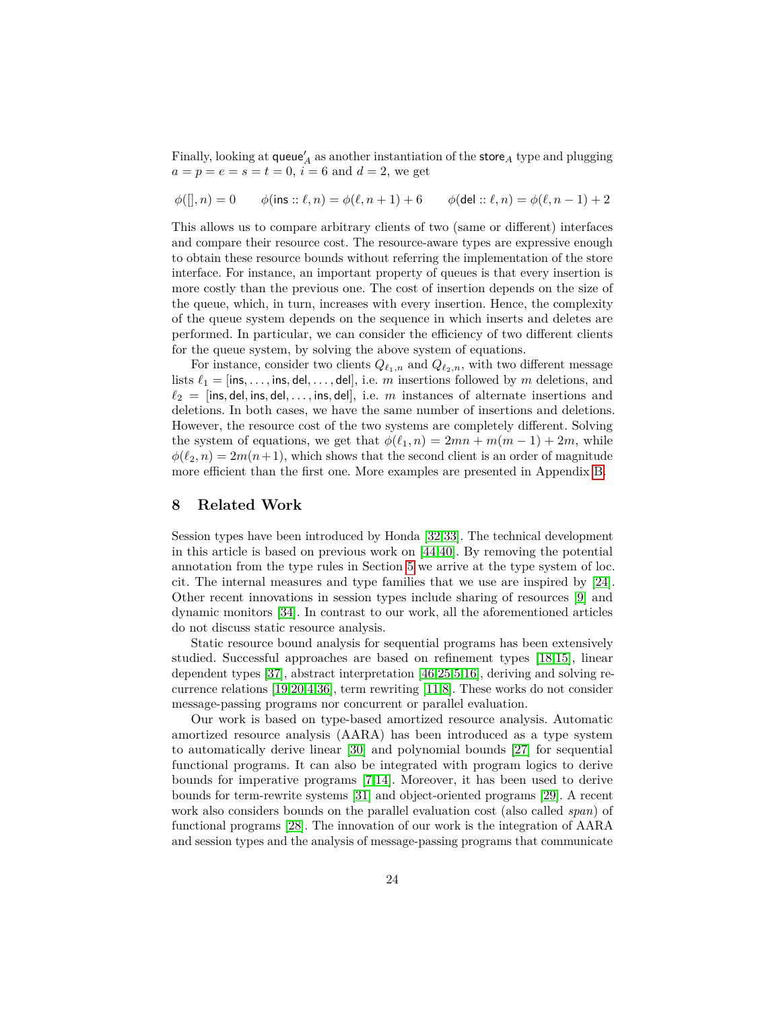Finally, looking at  $\mathsf{queue}_A'$  as another instantiation of the  $\mathsf{store}_A$  type and plugging  $a = p = e = s = t = 0, i = 6$  and  $d = 2$ , we get

 $\phi(\parallel, n) = 0$  *φ*(ins ::  $\ell, n$ ) =  $\phi(\ell, n + 1) + 6$  *φ*(del ::  $\ell, n$ ) =  $\phi(\ell, n - 1) + 2$ 

This allows us to compare arbitrary clients of two (same or different) interfaces and compare their resource cost. The resource-aware types are expressive enough to obtain these resource bounds without referring the implementation of the store interface. For instance, an important property of queues is that every insertion is more costly than the previous one. The cost of insertion depends on the size of the queue, which, in turn, increases with every insertion. Hence, the complexity of the queue system depends on the sequence in which inserts and deletes are performed. In particular, we can consider the efficiency of two different clients for the queue system, by solving the above system of equations.

For instance, consider two clients  $Q_{\ell_1,n}$  and  $Q_{\ell_2,n}$ , with two different message lists  $\ell_1 =$  [ins, ..., ins, del, ..., del], i.e. *m* insertions followed by *m* deletions, and  $\ell_2$  = [ins, del, ins, del, ..., ins, del], i.e. *m* instances of alternate insertions and deletions. In both cases, we have the same number of insertions and deletions. However, the resource cost of the two systems are completely different. Solving the system of equations, we get that  $\phi(\ell_1, n) = 2mn + m(m - 1) + 2m$ , while  $\phi(\ell_2, n) = 2m(n+1)$ , which shows that the second client is an order of magnitude more efficient than the first one. More examples are presented in Appendix [B.](#page-32-0)

## **8 Related Work**

Session types have been introduced by Honda [\[32](#page-26-10)[,33\]](#page-26-11). The technical development in this article is based on previous work on [\[44,](#page-26-14)[40\]](#page-26-15). By removing the potential annotation from the type rules in Section [5](#page-13-0) we arrive at the type system of loc. cit. The internal measures and type families that we use are inspired by [\[24\]](#page-25-19). Other recent innovations in session types include sharing of resources [\[9\]](#page-25-22) and dynamic monitors [\[34\]](#page-26-19). In contrast to our work, all the aforementioned articles do not discuss static resource analysis.

Static resource bound analysis for sequential programs has been extensively studied. Successful approaches are based on refinement types [\[18,](#page-25-0)[15\]](#page-25-1), linear dependent types [\[37\]](#page-26-1), abstract interpretation [\[46,](#page-26-4)[25](#page-25-2)[,5,](#page-25-3)[16\]](#page-25-4), deriving and solving recurrence relations [\[19,](#page-25-10)[20](#page-25-5)[,4,](#page-25-6)[36\]](#page-26-3), term rewriting [\[11](#page-25-7)[,8\]](#page-25-8). These works do not consider message-passing programs nor concurrent or parallel evaluation.

Our work is based on type-based amortized resource analysis. Automatic amortized resource analysis (AARA) has been introduced as a type system to automatically derive linear [\[30\]](#page-26-0) and polynomial bounds [\[27\]](#page-26-2) for sequential functional programs. It can also be integrated with program logics to derive bounds for imperative programs [\[7](#page-25-24)[,14\]](#page-25-9). Moreover, it has been used to derive bounds for term-rewrite systems [\[31\]](#page-26-5) and object-oriented programs [\[29\]](#page-26-20). A recent work also considers bounds on the parallel evaluation cost (also called *span*) of functional programs [\[28\]](#page-26-21). The innovation of our work is the integration of AARA and session types and the analysis of message-passing programs that communicate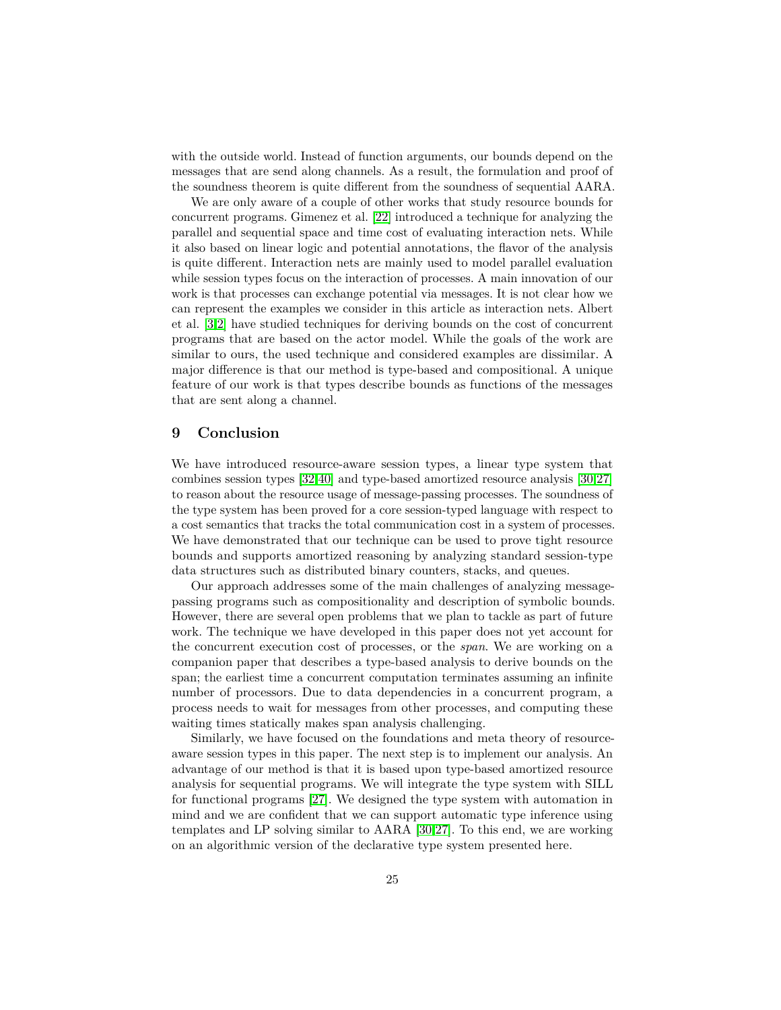with the outside world. Instead of function arguments, our bounds depend on the messages that are send along channels. As a result, the formulation and proof of the soundness theorem is quite different from the soundness of sequential AARA.

We are only aware of a couple of other works that study resource bounds for concurrent programs. Gimenez et al. [\[22\]](#page-25-13) introduced a technique for analyzing the parallel and sequential space and time cost of evaluating interaction nets. While it also based on linear logic and potential annotations, the flavor of the analysis is quite different. Interaction nets are mainly used to model parallel evaluation while session types focus on the interaction of processes. A main innovation of our work is that processes can exchange potential via messages. It is not clear how we can represent the examples we consider in this article as interaction nets. Albert et al. [\[3,](#page-25-14)[2\]](#page-25-15) have studied techniques for deriving bounds on the cost of concurrent programs that are based on the actor model. While the goals of the work are similar to ours, the used technique and considered examples are dissimilar. A major difference is that our method is type-based and compositional. A unique feature of our work is that types describe bounds as functions of the messages that are sent along a channel.

# **9 Conclusion**

We have introduced resource-aware session types, a linear type system that combines session types [\[32,](#page-26-10)[40\]](#page-26-15) and type-based amortized resource analysis [\[30](#page-26-0)[,27\]](#page-26-2) to reason about the resource usage of message-passing processes. The soundness of the type system has been proved for a core session-typed language with respect to a cost semantics that tracks the total communication cost in a system of processes. We have demonstrated that our technique can be used to prove tight resource bounds and supports amortized reasoning by analyzing standard session-type data structures such as distributed binary counters, stacks, and queues.

Our approach addresses some of the main challenges of analyzing messagepassing programs such as compositionality and description of symbolic bounds. However, there are several open problems that we plan to tackle as part of future work. The technique we have developed in this paper does not yet account for the concurrent execution cost of processes, or the *span*. We are working on a companion paper that describes a type-based analysis to derive bounds on the span; the earliest time a concurrent computation terminates assuming an infinite number of processors. Due to data dependencies in a concurrent program, a process needs to wait for messages from other processes, and computing these waiting times statically makes span analysis challenging.

Similarly, we have focused on the foundations and meta theory of resourceaware session types in this paper. The next step is to implement our analysis. An advantage of our method is that it is based upon type-based amortized resource analysis for sequential programs. We will integrate the type system with SILL for functional programs [\[27\]](#page-26-2). We designed the type system with automation in mind and we are confident that we can support automatic type inference using templates and LP solving similar to AARA [\[30](#page-26-0)[,27\]](#page-26-2). To this end, we are working on an algorithmic version of the declarative type system presented here.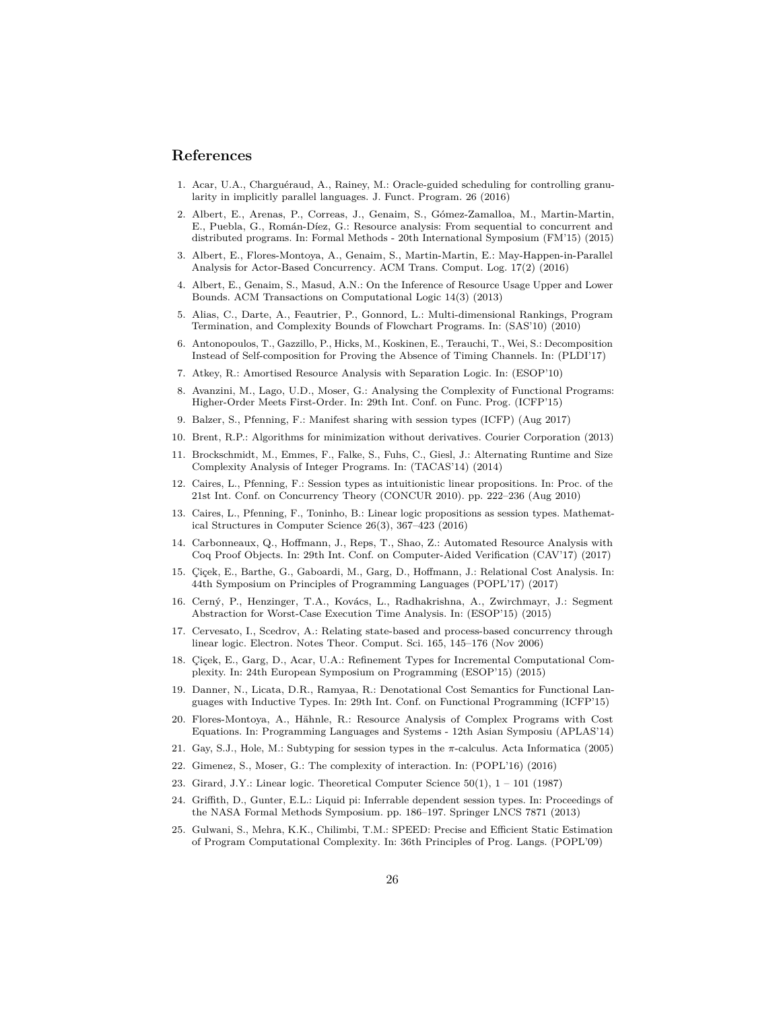### **References**

- <span id="page-25-12"></span>1. Acar, U.A., Charguéraud, A., Rainey, M.: Oracle-guided scheduling for controlling granularity in implicitly parallel languages. J. Funct. Program. 26 (2016)
- <span id="page-25-15"></span>2. Albert, E., Arenas, P., Correas, J., Genaim, S., Gómez-Zamalloa, M., Martin-Martin, E., Puebla, G., Román-Díez, G.: Resource analysis: From sequential to concurrent and distributed programs. In: Formal Methods - 20th International Symposium (FM'15) (2015)
- <span id="page-25-14"></span>3. Albert, E., Flores-Montoya, A., Genaim, S., Martin-Martin, E.: May-Happen-in-Parallel Analysis for Actor-Based Concurrency. ACM Trans. Comput. Log. 17(2) (2016)
- <span id="page-25-6"></span>4. Albert, E., Genaim, S., Masud, A.N.: On the Inference of Resource Usage Upper and Lower Bounds. ACM Transactions on Computational Logic 14(3) (2013)
- <span id="page-25-3"></span>5. Alias, C., Darte, A., Feautrier, P., Gonnord, L.: Multi-dimensional Rankings, Program Termination, and Complexity Bounds of Flowchart Programs. In: (SAS'10) (2010)
- <span id="page-25-11"></span>6. Antonopoulos, T., Gazzillo, P., Hicks, M., Koskinen, E., Terauchi, T., Wei, S.: Decomposition Instead of Self-composition for Proving the Absence of Timing Channels. In: (PLDI'17)
- <span id="page-25-24"></span>7. Atkey, R.: Amortised Resource Analysis with Separation Logic. In: (ESOP'10)
- <span id="page-25-8"></span>8. Avanzini, M., Lago, U.D., Moser, G.: Analysing the Complexity of Functional Programs: Higher-Order Meets First-Order. In: 29th Int. Conf. on Func. Prog. (ICFP'15)
- <span id="page-25-22"></span>9. Balzer, S., Pfenning, F.: Manifest sharing with session types (ICFP) (Aug 2017)

Complexity Analysis of Integer Programs. In: (TACAS'14) (2014)

- <span id="page-25-18"></span><span id="page-25-7"></span>10. Brent, R.P.: Algorithms for minimization without derivatives. Courier Corporation (2013) 11. Brockschmidt, M., Emmes, F., Falke, S., Fuhs, C., Giesl, J.: Alternating Runtime and Size
- <span id="page-25-16"></span>12. Caires, L., Pfenning, F.: Session types as intuitionistic linear propositions. In: Proc. of the 21st Int. Conf. on Concurrency Theory (CONCUR 2010). pp. 222–236 (Aug 2010)
- <span id="page-25-17"></span>13. Caires, L., Pfenning, F., Toninho, B.: Linear logic propositions as session types. Mathematical Structures in Computer Science 26(3), 367–423 (2016)
- <span id="page-25-9"></span>14. Carbonneaux, Q., Hoffmann, J., Reps, T., Shao, Z.: Automated Resource Analysis with Coq Proof Objects. In: 29th Int. Conf. on Computer-Aided Verification (CAV'17) (2017)
- <span id="page-25-1"></span>15. Çiçek, E., Barthe, G., Gaboardi, M., Garg, D., Hoffmann, J.: Relational Cost Analysis. In: 44th Symposium on Principles of Programming Languages (POPL'17) (2017)
- <span id="page-25-4"></span>16. Cerný, P., Henzinger, T.A., Kovács, L., Radhakrishna, A., Zwirchmayr, J.: Segment Abstraction for Worst-Case Execution Time Analysis. In: (ESOP'15) (2015)
- <span id="page-25-21"></span>17. Cervesato, I., Scedrov, A.: Relating state-based and process-based concurrency through linear logic. Electron. Notes Theor. Comput. Sci. 165, 145–176 (Nov 2006)
- <span id="page-25-0"></span>18. Çiçek, E., Garg, D., Acar, U.A.: Refinement Types for Incremental Computational Complexity. In: 24th European Symposium on Programming (ESOP'15) (2015)
- <span id="page-25-10"></span>19. Danner, N., Licata, D.R., Ramyaa, R.: Denotational Cost Semantics for Functional Languages with Inductive Types. In: 29th Int. Conf. on Functional Programming (ICFP'15)
- <span id="page-25-5"></span>20. Flores-Montoya, A., Hähnle, R.: Resource Analysis of Complex Programs with Cost Equations. In: Programming Languages and Systems - 12th Asian Symposiu (APLAS'14)
- <span id="page-25-20"></span>21. Gay, S.J., Hole, M.: Subtyping for session types in the *π*-calculus. Acta Informatica (2005)
- <span id="page-25-13"></span>22. Gimenez, S., Moser, G.: The complexity of interaction. In: (POPL'16) (2016)
- <span id="page-25-23"></span>23. Girard, J.Y.: Linear logic. Theoretical Computer Science 50(1), 1 – 101 (1987)
- <span id="page-25-19"></span>24. Griffith, D., Gunter, E.L.: Liquid pi: Inferrable dependent session types. In: Proceedings of the NASA Formal Methods Symposium. pp. 186–197. Springer LNCS 7871 (2013)
- <span id="page-25-2"></span>25. Gulwani, S., Mehra, K.K., Chilimbi, T.M.: SPEED: Precise and Efficient Static Estimation of Program Computational Complexity. In: 36th Principles of Prog. Langs. (POPL'09)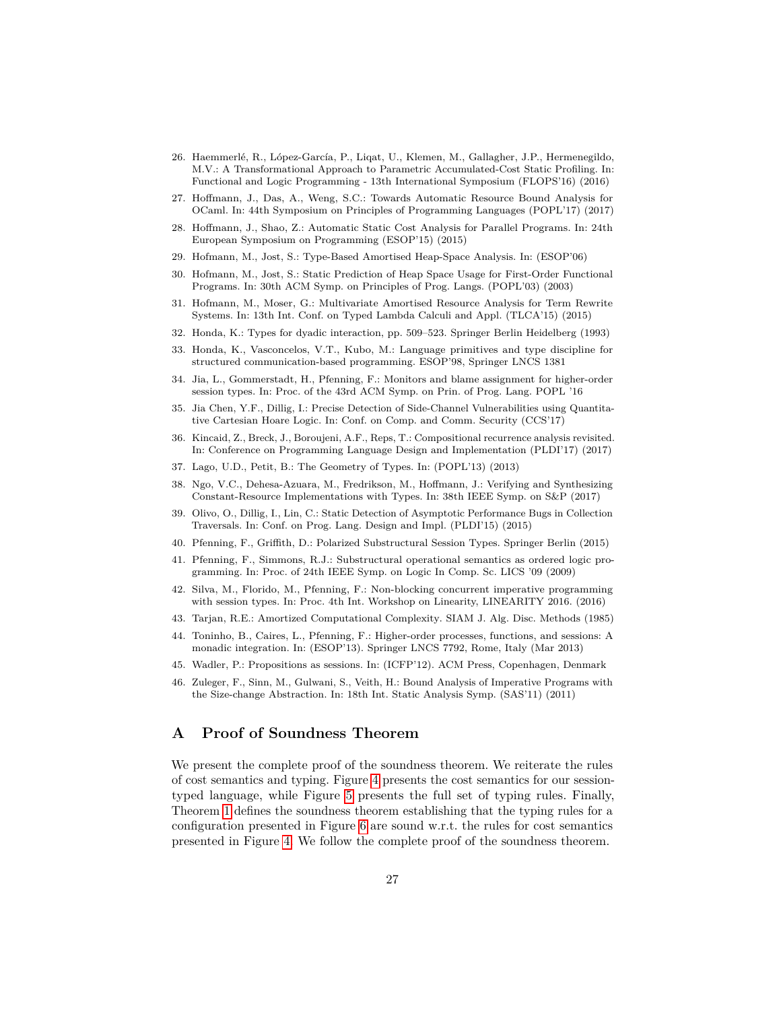- <span id="page-26-9"></span>26. Haemmerlé, R., López-García, P., Liqat, U., Klemen, M., Gallagher, J.P., Hermenegildo, M.V.: A Transformational Approach to Parametric Accumulated-Cost Static Profiling. In: Functional and Logic Programming - 13th International Symposium (FLOPS'16) (2016)
- <span id="page-26-2"></span>27. Hoffmann, J., Das, A., Weng, S.C.: Towards Automatic Resource Bound Analysis for OCaml. In: 44th Symposium on Principles of Programming Languages (POPL'17) (2017)
- <span id="page-26-21"></span>28. Hoffmann, J., Shao, Z.: Automatic Static Cost Analysis for Parallel Programs. In: 24th European Symposium on Programming (ESOP'15) (2015)
- <span id="page-26-20"></span>29. Hofmann, M., Jost, S.: Type-Based Amortised Heap-Space Analysis. In: (ESOP'06)
- <span id="page-26-0"></span>30. Hofmann, M., Jost, S.: Static Prediction of Heap Space Usage for First-Order Functional Programs. In: 30th ACM Symp. on Principles of Prog. Langs. (POPL'03) (2003)
- <span id="page-26-5"></span>31. Hofmann, M., Moser, G.: Multivariate Amortised Resource Analysis for Term Rewrite Systems. In: 13th Int. Conf. on Typed Lambda Calculi and Appl. (TLCA'15) (2015)
- <span id="page-26-10"></span>32. Honda, K.: Types for dyadic interaction, pp. 509–523. Springer Berlin Heidelberg (1993)
- <span id="page-26-11"></span>33. Honda, K., Vasconcelos, V.T., Kubo, M.: Language primitives and type discipline for structured communication-based programming. ESOP'98, Springer LNCS 1381
- <span id="page-26-19"></span>34. Jia, L., Gommerstadt, H., Pfenning, F.: Monitors and blame assignment for higher-order session types. In: Proc. of the 43rd ACM Symp. on Prin. of Prog. Lang. POPL '16
- <span id="page-26-7"></span>35. Jia Chen, Y.F., Dillig, I.: Precise Detection of Side-Channel Vulnerabilities using Quantitative Cartesian Hoare Logic. In: Conf. on Comp. and Comm. Security (CCS'17)
- <span id="page-26-3"></span>36. Kincaid, Z., Breck, J., Boroujeni, A.F., Reps, T.: Compositional recurrence analysis revisited. In: Conference on Programming Language Design and Implementation (PLDI'17) (2017)
- <span id="page-26-1"></span>37. Lago, U.D., Petit, B.: The Geometry of Types. In: (POPL'13) (2013)
- <span id="page-26-6"></span>38. Ngo, V.C., Dehesa-Azuara, M., Fredrikson, M., Hoffmann, J.: Verifying and Synthesizing Constant-Resource Implementations with Types. In: 38th IEEE Symp. on S&P (2017)
- <span id="page-26-8"></span>39. Olivo, O., Dillig, I., Lin, C.: Static Detection of Asymptotic Performance Bugs in Collection Traversals. In: Conf. on Prog. Lang. Design and Impl. (PLDI'15) (2015)
- <span id="page-26-15"></span>40. Pfenning, F., Griffith, D.: Polarized Substructural Session Types. Springer Berlin (2015)
- <span id="page-26-16"></span>41. Pfenning, F., Simmons, R.J.: Substructural operational semantics as ordered logic programming. In: Proc. of 24th IEEE Symp. on Logic In Comp. Sc. LICS '09 (2009)
- <span id="page-26-17"></span>42. Silva, M., Florido, M., Pfenning, F.: Non-blocking concurrent imperative programming with session types. In: Proc. 4th Int. Workshop on Linearity, LINEARITY 2016. (2016)
- <span id="page-26-13"></span>43. Tarjan, R.E.: Amortized Computational Complexity. SIAM J. Alg. Disc. Methods (1985)
- <span id="page-26-14"></span>44. Toninho, B., Caires, L., Pfenning, F.: Higher-order processes, functions, and sessions: A monadic integration. In: (ESOP'13). Springer LNCS 7792, Rome, Italy (Mar 2013)
- <span id="page-26-12"></span>45. Wadler, P.: Propositions as sessions. In: (ICFP'12). ACM Press, Copenhagen, Denmark
- <span id="page-26-4"></span>46. Zuleger, F., Sinn, M., Gulwani, S., Veith, H.: Bound Analysis of Imperative Programs with the Size-change Abstraction. In: 18th Int. Static Analysis Symp. (SAS'11) (2011)

# <span id="page-26-18"></span>**A Proof of Soundness Theorem**

We present the complete proof of the soundness theorem. We reiterate the rules of cost semantics and typing. Figure [4](#page-11-0) presents the cost semantics for our sessiontyped language, while Figure [5](#page-14-0) presents the full set of typing rules. Finally, Theorem [1](#page-17-1) defines the soundness theorem establishing that the typing rules for a configuration presented in Figure [6](#page-16-1) are sound w.r.t. the rules for cost semantics presented in Figure [4.](#page-11-0) We follow the complete proof of the soundness theorem.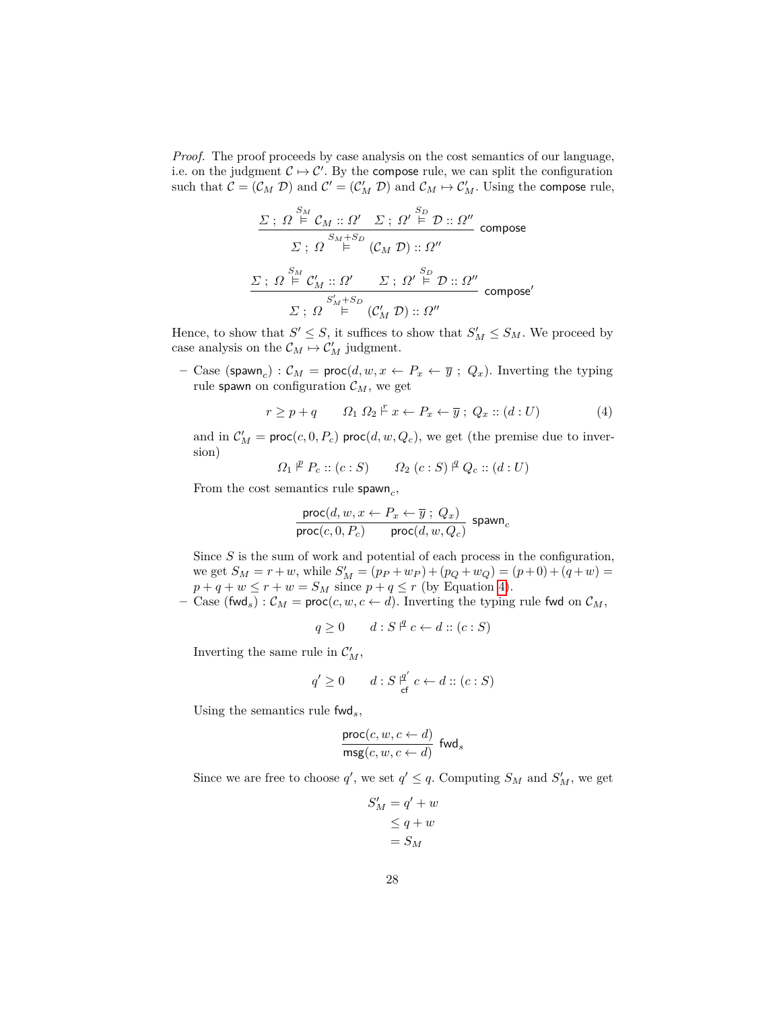*Proof.* The proof proceeds by case analysis on the cost semantics of our language, i.e. on the judgment  $C \mapsto C'$ . By the compose rule, we can split the configuration such that  $C = (\mathcal{C}_M \mathcal{D})$  and  $\mathcal{C}' = (\mathcal{C}'_M \mathcal{D})$  and  $\mathcal{C}_M \mapsto \mathcal{C}'_M$ . Using the compose rule,

$$
\frac{\Sigma: \ \Omega \stackrel{S_M}{\models} \mathcal{C}_M :: \Omega' \quad \Sigma: \ \Omega' \stackrel{S_D}{\models} \mathcal{D} :: \Omega''}{\Sigma: \ \Omega \stackrel{S_M+S_D}{\models} (\mathcal{C}_M \ \mathcal{D}) :: \Omega''}
$$
 compose  

$$
\frac{\Sigma: \ \Omega \stackrel{S_M}{\models} \mathcal{C}'_M :: \Omega' \quad \Sigma: \ \Omega' \stackrel{S_D}{\models} \mathcal{D} :: \Omega''}{\Sigma: \ \Omega''}
$$
 compose'  

$$
\Sigma: \ \Omega \stackrel{S'_M+S_D}{\models} (\mathcal{C}'_M \ \mathcal{D}) :: \ \Omega''
$$

Hence, to show that  $S' \leq S$ , it suffices to show that  $S'_M \leq S_M$ . We proceed by case analysis on the  $C_M \mapsto C'_M$  judgment.

**–** Case (spawn<sub>c</sub>) :  $\mathcal{C}_M$  = proc( $d, w, x \leftarrow P_x \leftarrow \overline{y}$ ;  $Q_x$ ). Inverting the typing rule spawn on configuration  $\mathcal{C}_M$ , we get

<span id="page-27-0"></span>
$$
r \ge p + q \qquad \Omega_1 \Omega_2 \xrightarrow{p} x \leftarrow P_x \leftarrow \overline{y} \; ; \; Q_x :: (d : U) \tag{4}
$$

and in  $\mathcal{C}'_M$  = proc(*c*, 0,  $P_c$ ) proc(*d*, *w*,  $Q_c$ ), we get (the premise due to inversion)

$$
\Omega_1 \nightharpoonup^p P_c :: (c : S) \qquad \Omega_2 \ (c : S) \nightharpoonup^q Q_c :: (d : U)
$$

From the cost semantics rule spawn<sub>c</sub>,

$$
\frac{\text{proc}(d, w, x \leftarrow P_x \leftarrow \overline{y} \; ; \; Q_x)}{\text{proc}(c, 0, P_c)} \; \; \text{proc}(d, w, Q_c)} \; \text{spam}_c
$$

Since *S* is the sum of work and potential of each process in the configuration, we get  $S_M = r + w$ , while  $S'_M = (p_P + w_P) + (p_Q + w_Q) = (p + 0) + (q + w) =$  $p + q + w \leq r + w = S_M$  since  $p + q \leq r$  (by Equation [4\)](#page-27-0).

**–** Case (fwd<sub>s</sub>) :  $\mathcal{C}_M$  = proc(*c*, *w*, *c*  $\leftarrow$  *d*). Inverting the typing rule fwd on  $\mathcal{C}_M$ ,

$$
q \ge 0 \qquad d : S \nvert^q c \leftarrow d :: (c : S)
$$

Inverting the same rule in  $C_M$ ,

$$
q' \ge 0 \qquad d : S \, \mathop{\rm gr} \limits^{q'}_{\mathsf{cf}} \, c \leftarrow d :: (c : S)
$$

Using the semantics rule fwd*s*,

$$
\frac{\operatorname{proc}(c, w, c \leftarrow d)}{\operatorname{msg}(c, w, c \leftarrow d)} \text{ fwd}_s
$$

Since we are free to choose  $q'$ , we set  $q' \leq q$ . Computing  $S_M$  and  $S'_M$ , we get

$$
S'_M = q' + w
$$
  
\n
$$
\leq q + w
$$
  
\n
$$
= S_M
$$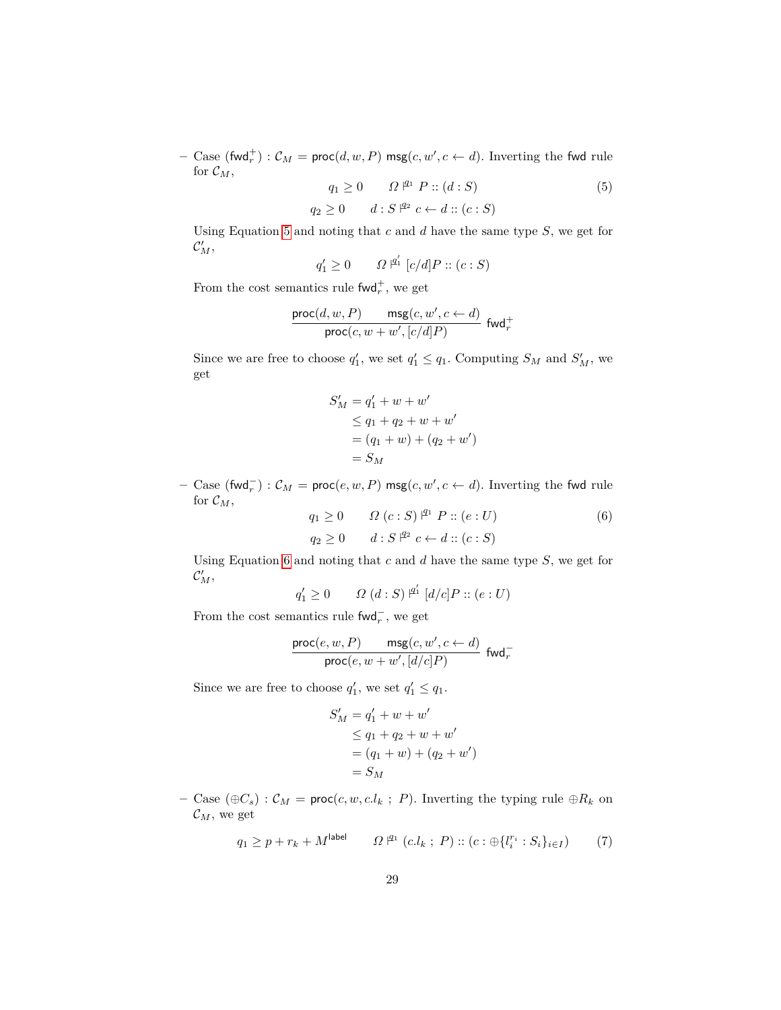$-$  Case (fwd<sup>+</sup><sub>r</sub>) :  $\mathcal{C}_M$  = proc( $d, w, P$ ) msg( $c, w', c \leftarrow d$ ). Inverting the fwd rule for  $\mathcal{C}_M$ ,

<span id="page-28-0"></span>
$$
q_1 \ge 0 \qquad \Omega^{\mathfrak{P}1} P :: (d : S)
$$
  
\n
$$
q_2 \ge 0 \qquad d : S^{\mathfrak{P}2} c \leftarrow d :: (c : S)
$$
  
\n
$$
(5)
$$

Using Equation [5](#page-28-0) and noting that *c* and *d* have the same type *S*, we get for  $\mathcal{C}'_M$ ,

$$
q'_1 \ge 0 \qquad \Omega^{\; \not\perp_1} \; [c/d] P :: (c : S)
$$

From the cost semantics rule  $\text{fwd}_r^+$ , we get

$$
\frac{\operatorname{proc}(d,w,P)}{\operatorname{proc}(c,w+w',[c/d]P)}\ \ \operatorname{fwd}^+_r
$$

Since we are free to choose  $q'_1$ , we set  $q'_1 \leq q_1$ . Computing  $S_M$  and  $S'_M$ , we get

$$
S'_{M} = q'_{1} + w + w'
$$
  
\n
$$
\leq q_{1} + q_{2} + w + w'
$$
  
\n
$$
= (q_{1} + w) + (q_{2} + w')
$$
  
\n
$$
= S_{M}
$$

*−* Case (fwd<sub>r</sub><sup>−</sup>) :  $\mathcal{C}_M$  = proc(*e, w, P*) msg(*c, w', c* ← *d*). Inverting the fwd rule for  $\mathcal{C}_M$ ,

<span id="page-28-1"></span>
$$
q_1 \ge 0 \qquad \Omega(c:S)^{\mathfrak{A}^1} P :: (e:U)
$$
  
\n
$$
q_2 \ge 0 \qquad d:S^{\mathfrak{A}^2} c \leftarrow d :: (c:S)
$$
 (6)

Using Equation [6](#page-28-1) and noting that *c* and *d* have the same type *S*, we get for  $\mathcal{C}'_M$ 

 $q'_1 \ge 0$  *Q*  $(d : S) \nvert^{q'_1} [d/c]P :: (e : U)$ 

From the cost semantics rule  $\text{fwd}_r^-$ , we get

$$
\frac{\operatorname{proc}(e, w, P)}{\operatorname{proc}(e, w + w', [d/c]P)} \; \operatorname{fwd}_r^-
$$

Since we are free to choose  $q'_1$ , we set  $q'_1 \leq q_1$ .

$$
S'_{M} = q'_{1} + w + w'
$$
  
\n
$$
\leq q_{1} + q_{2} + w + w'
$$
  
\n
$$
= (q_{1} + w) + (q_{2} + w')
$$
  
\n
$$
= S_{M}
$$

**–** Case (⊕*Cs*) : C*<sup>M</sup>* = proc(*c, w, c.l<sup>k</sup>* ; *P*). Inverting the typing rule ⊕*R<sup>k</sup>* on  $\mathcal{C}_M$ , we get

<span id="page-28-2"></span>
$$
q_1 \ge p + r_k + M^{\text{label}} \qquad \Omega^{\; \mathsf{I}^{q_1} \; (c.l_k \; ; \; P) :: (c : \bigoplus \{ l^{r_i}_i : S_i \}_{i \in I}) \qquad \text{(7)}
$$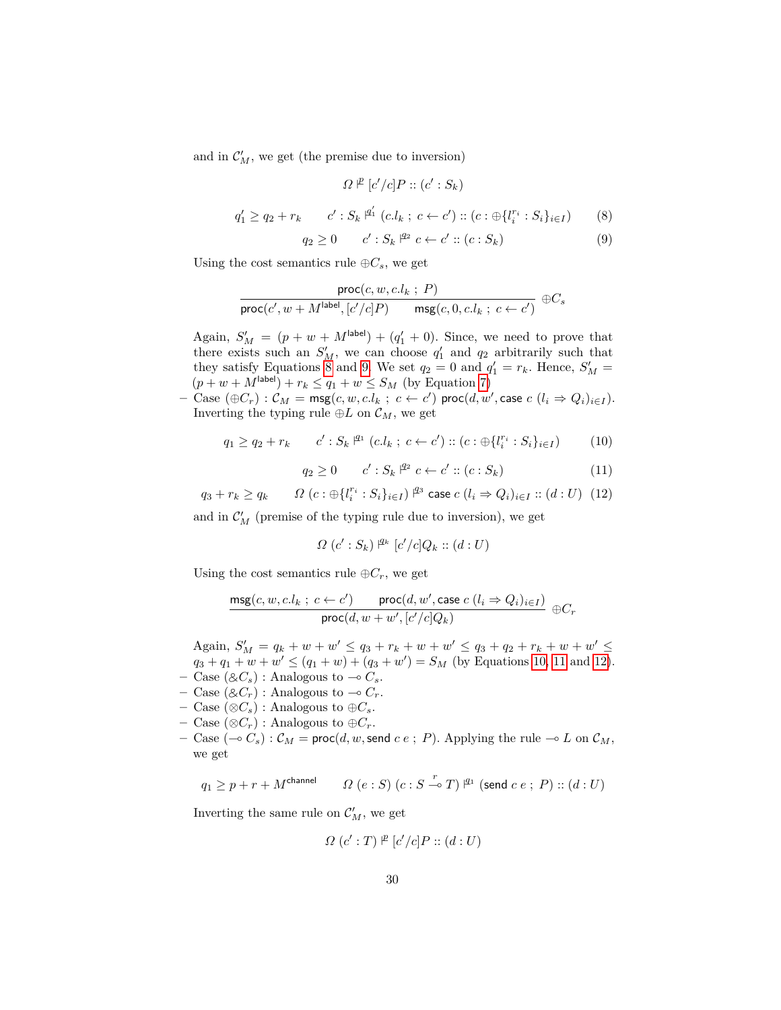and in  $\mathcal{C}'_M$ , we get (the premise due to inversion)

<span id="page-29-0"></span>
$$
\Omega \nVdash [c'/c] \nP :: (c' : S_k)
$$
\n
$$
q'_1 \geq q_2 + r_k \qquad c' : S_k \nVdash^{\mathcal{A}'} (c.l_k : c \leftarrow c') :: (c : \bigoplus \{l_i^{r_i} : S_i\}_{i \in I}) \qquad (8)
$$

<span id="page-29-1"></span>
$$
q_2 \ge 0 \t c' : S_k \rvert^{q_2} c \leftarrow c' :: (c : S_k) \t (9)
$$

Using the cost semantics rule  $\oplus C_s$ , we get

$$
\frac{\textsf{proc}(c, w, c.l_k \; ; \; P)}{\textsf{proc}(c', w + M^{\textsf{label}}, [c'/c]P) \qquad \textsf{msg}(c, 0, c.l_k \; ; \; c \leftarrow c')} \; \oplus C_s
$$

Again,  $S'_M = (p + w + M^{\text{label}}) + (q'_1 + 0)$ . Since, we need to prove that there exists such an  $S'_M$ , we can choose  $q'_1$  and  $q_2$  arbitrarily such that they satisfy Equations [8](#page-29-0) and [9.](#page-29-1) We set  $q_2 = 0$  and  $q'_1 = r_k$ . Hence,  $S'_M =$  $(p + w + M^{\text{label}}) + r_k \leq q_1 + w \leq S_M$  (by Equation [7\)](#page-28-2)

 $-$  Case  $(\oplus C_r)$  :  $\mathcal{C}_M$  = msg $(c, w, c.l_k ; c \leftarrow c')$  proc $(d, w', \text{case } c \ (l_i \Rightarrow Q_i)_{i \in I}).$ Inverting the typing rule  $oplus L$  on  $\mathcal{C}_M$ , we get

<span id="page-29-2"></span>
$$
q_1 \ge q_2 + r_k \qquad c' : S_k \stackrel{\text{q}_1}{\vdash} (c.l_k \; ; \; c \leftarrow c') :: (c : \bigoplus \{l_i^{r_i} : S_i\}_{i \in I}) \tag{10}
$$

<span id="page-29-3"></span>
$$
q_2 \ge 0 \t c' : S_k \rvert^{q_2} c \leftarrow c' :: (c : S_k) \t(11)
$$

<span id="page-29-4"></span> $q_3 + r_k > q_k$  $r_i^r : S_i\}_{i \in I}$  ) <sup>*q*3</sup> case *c* (*l*<sub>*i*</sub> ⇒ *Q*<sub>*i*</sub>)<sub>*i*∈*I* :: (*d* : *U*) (12)</sub>

and in  $\mathcal{C}'_M$  (premise of the typing rule due to inversion), we get

$$
\Omega\ (c':S_k)\,|^{\mathcal{Q}_k}\ [c'/c]Q_k::(d:U)
$$

Using the cost semantics rule  $\oplus C_r$ , we get

$$
\frac{\text{msg}(c, w, c.l_k \; ; \; c \leftarrow c')}{\text{proc}(d, w + w', [c'/c]Q_k)} \; \oplus C_r
$$

Again,  $S'_M = q_k + w + w' \le q_3 + r_k + w + w' \le q_3 + q_2 + r_k + w + w' \le$  $q_3 + q_1 + w + w' \leq (q_1 + w) + (q_3 + w') = S_M$  (by Equations [10,](#page-29-2) [11](#page-29-3) and [12\)](#page-29-4).

- $-$  Case ( $\&C_s$ ) : Analogous to  $\multimap$   $C_s$ .
- $-$  Case ( $\&C_r$ ) : Analogous to  $\multimap$   $C_r$ .
- **–** Case (⊗*Cs*) : Analogous to ⊕*Cs*.
- **–** Case (⊗*Cr*) : Analogous to ⊕*Cr*.
- $-$  Case  $(-\infty)$ :  $\mathcal{C}_M$  = proc $(d, w, \text{send } c \, e; P)$ . Applying the rule  $\multimap L$  on  $\mathcal{C}_M$ , we get

$$
q_1 \geq p + r + M^{\mathsf{channel}} \qquad \varOmega\ (e:S)\ (c:S \xrightarrow{r} T) \not\sqsubseteq^1 (\mathsf{send}\ c\ e\ ;\ P) :: (d:U)
$$

Inverting the same rule on  $\mathcal{C}'_M$ , we get

$$
\Omega\ (c':T)\nVdash [c'/c]P :: (d:U)
$$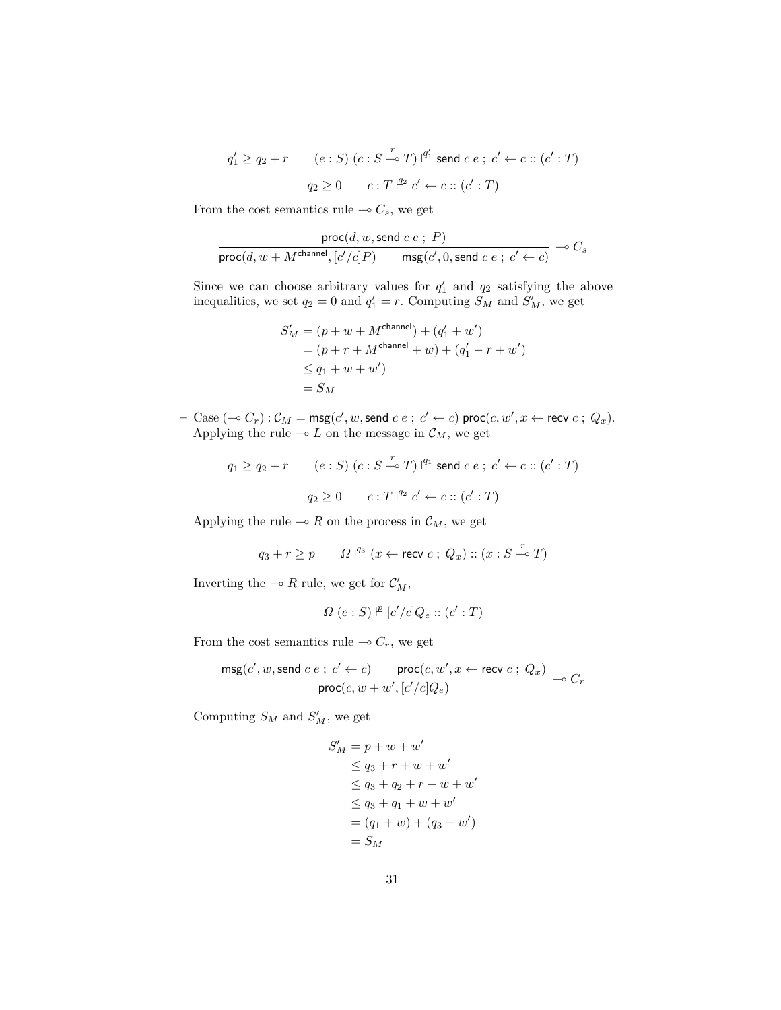$$
q'_1 \ge q_2 + r \qquad (e : S) (c : S \xrightarrow{r} T) \xrightarrow{q'_1} \text{send } c e ; c' \leftarrow c :: (c' : T)
$$

$$
q_2 \ge 0 \qquad c : T \xrightarrow{q_2} c' \leftarrow c :: (c' : T)
$$

From the cost semantics rule  $\multimap C_s$ , we get

$$
\frac{\text{proc}(d, w, \text{send } c \ e \ ; \ P)}{\text{proc}(d, w + M^{\text{channel}}, [c'/c]P) \qquad \text{msg}(c', 0, \text{send } c \ e \ ; \ c' \leftarrow c)} \rightharpoonup C_s
$$

Since we can choose arbitrary values for  $q'_1$  and  $q_2$  satisfying the above inequalities, we set  $q_2 = 0$  and  $q'_1 = r$ . Computing  $S_M$  and  $S'_M$ , we get

$$
S'_{M} = (p + w + M^{\text{channel}}) + (q'_{1} + w')
$$
  
= (p + r + M^{\text{channel}} + w) + (q'\_{1} - r + w')  

$$
\leq q_{1} + w + w')
$$
  
= S<sub>M</sub>

 $-$  Case  $(-\circ C_r): \mathcal{C}_M = \mathsf{msg}(c', w, \mathsf{send} \; c \; e \; ; \; c' \leftarrow c) \; \mathsf{proc}(c, w', x \leftarrow \mathsf{recv} \; c \; ; \; Q_x).$ Applying the rule  $\multimap$  *L* on the message in  $\mathcal{C}_M$ , we get

$$
q_1 \ge q_2 + r \qquad (e : S) (c : S \xrightarrow{r} T) \xrightarrow{q_1} \text{send } c e ; c' \leftarrow c :: (c' : T)
$$

$$
q_2 \ge 0 \qquad c : T \xrightarrow{q_2} c' \leftarrow c :: (c' : T)
$$

Applying the rule  $\multimap$  R on the process in  $\mathcal{C}_M$ , we get

$$
q_3 + r \geq p \qquad \varOmega \not\!{=}^3 \ (x \leftarrow \text{recv } c \; ; \; Q_x) :: (x : S \xrightarrow{r} T)
$$

Inverting the  $\multimap$  *R* rule, we get for  $C'_M$ ,

$$
\varOmega\ (e:S)\overset{p}{\vdash}[c'/c]Q_e::(c':T)
$$

From the cost semantics rule  $\multimap C_r$ , we get

$$
\frac{\text{msg}(c',w,\text{send }c\ e\ ;\ c'\leftarrow c)\qquad \text{proc}(c,w',x\leftarrow \text{recv }c\ ;\ Q_x)}{\text{proc}(c,w+w',[c'/c]Q_e)}\rightharpoonup C_r
$$

Computing  $S_M$  and  $S'_M$ , we get

$$
S'_{M} = p + w + w'
$$
  
\n
$$
\leq q_{3} + r + w + w'
$$
  
\n
$$
\leq q_{3} + q_{2} + r + w + w'
$$
  
\n
$$
\leq q_{3} + q_{1} + w + w'
$$
  
\n
$$
= (q_{1} + w) + (q_{3} + w')
$$
  
\n
$$
= S_{M}
$$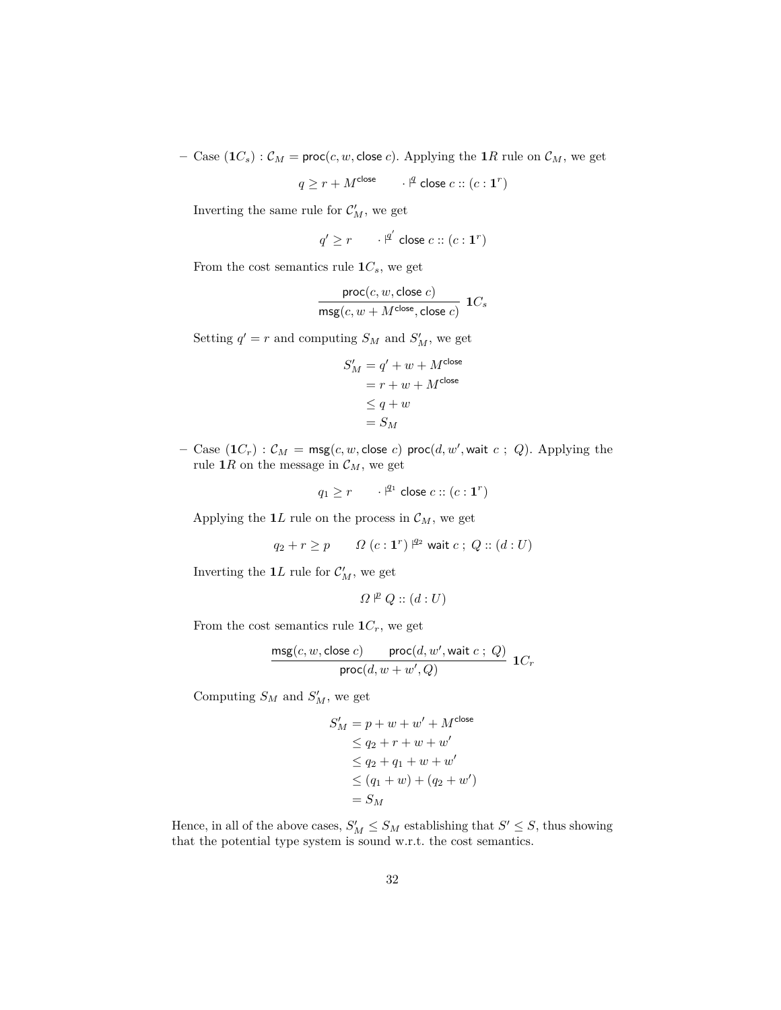$-$  Case  $(\mathbf{1}C_s): \mathcal{C}_M = \text{proc}(c, w, \text{close } c)$ . Applying the  $\mathbf{1}R$  rule on  $\mathcal{C}_M$ , we get

$$
q \ge r + M^{\text{close}} \qquad \cdot \, \mathsf{I}^{\text{close}} \, c :: (c : \mathbf{1}^r)
$$

Inverting the same rule for  $\mathcal{C}'_M$ , we get

$$
q' \ge r \qquad \cdot \mathsf{I}^{q'} \text{ close } c :: (c : \mathbf{1}^r)
$$

From the cost semantics rule  $1C_s$ , we get

$$
\frac{\text{proc}(c, w, \text{close } c)}{\text{msg}(c, w + M^{\text{close}}, \text{close } c)} \ \ 1C_s
$$

Setting  $q' = r$  and computing  $S_M$  and  $S'_M$ , we get

$$
S'_M = q' + w + M^{\text{close}}
$$
  
=  $r + w + M^{\text{close}}$   
 $\leq q + w$   
=  $S_M$ 

 $-$  Case  $(\mathbf{1}C_r): \mathcal{C}_M = \mathsf{msg}(c, w, \mathsf{close} \ c) \ \mathsf{proc}(d, w', \mathsf{wait} \ c \ ; \ Q).$  Applying the rule 1*R* on the message in  $C_M$ , we get

$$
q_1 \ge r \qquad \cdot \xrightarrow{q_1} \text{close } c :: (c : \mathbf{1}^r)
$$

Applying the  $1L$  rule on the process in  $\mathcal{C}_M$ , we get

$$
q_2 + r \ge p \qquad \Omega\left(c : \mathbf{1}^r\right) \stackrel{q_2}{\sim} \text{wait } c \; ; \; Q :: (d : U)
$$

Inverting the  $1L$  rule for  $C_M'$ , we get

$$
\varOmega \nvdash Q :: (d : U)
$$

From the cost semantics rule  $1C_r$ , we get

$$
\frac{\mathsf{msg}(c,w,\mathsf{close}\;c)}{\mathsf{proc}(d,w+w',Q)}\;1C_r
$$

Computing  $S_M$  and  $S'_M$ , we get

$$
S'_M = p + w + w' + M^{\text{close}}
$$
  
\n
$$
\leq q_2 + r + w + w'
$$
  
\n
$$
\leq q_2 + q_1 + w + w'
$$
  
\n
$$
\leq (q_1 + w) + (q_2 + w')
$$
  
\n
$$
= S_M
$$

Hence, in all of the above cases,  $S'_M \leq S_M$  establishing that  $S' \leq S$ , thus showing that the potential type system is sound w.r.t. the cost semantics.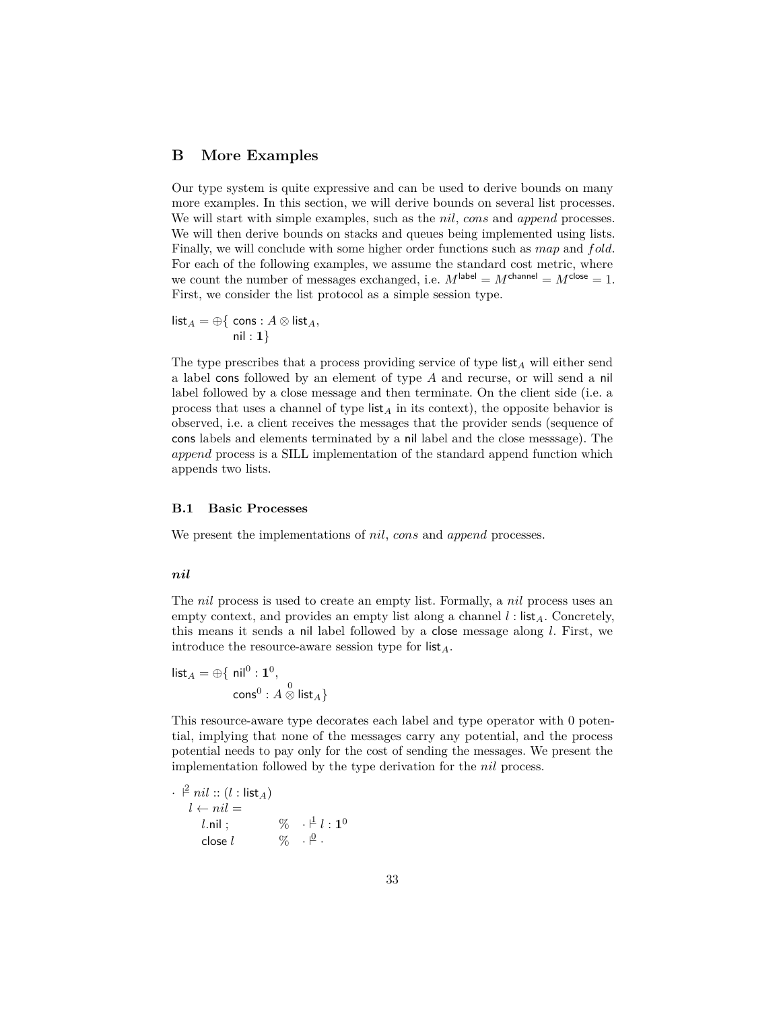## <span id="page-32-0"></span>**B More Examples**

Our type system is quite expressive and can be used to derive bounds on many more examples. In this section, we will derive bounds on several list processes. We will start with simple examples, such as the *nil*, *cons* and *append* processes. We will then derive bounds on stacks and queues being implemented using lists. Finally, we will conclude with some higher order functions such as *map* and *fold*. For each of the following examples, we assume the standard cost metric, where we count the number of messages exchanged, i.e.  $M^{\text{label}} = M^{\text{channel}} = M^{\text{close}} = 1$ . First, we consider the list protocol as a simple session type.

 $\mathsf{list}_A = \oplus \{ \text{ cons} : A \otimes \mathsf{list}_A,$ nil : **1**}

The type prescribes that a process providing service of type list*<sup>A</sup>* will either send a label cons followed by an element of type *A* and recurse, or will send a nil label followed by a close message and then terminate. On the client side (i.e. a process that uses a channel of type  $\mathsf{list}_A$  in its context), the opposite behavior is observed, i.e. a client receives the messages that the provider sends (sequence of cons labels and elements terminated by a nil label and the close messsage). The *append* process is a SILL implementation of the standard append function which appends two lists.

#### **B.1 Basic Processes**

We present the implementations of *nil*, *cons* and *append* processes.

#### *nil*

The *nil* process is used to create an empty list. Formally, a *nil* process uses an empty context, and provides an empty list along a channel *l* : list*A*. Concretely, this means it sends a nil label followed by a close message along *l*. First, we introduce the resource-aware session type for list*A*.

 $\mathsf{list}_A = \oplus \{ \ \mathsf{nil}^0 : \mathbf{1}^0,$  $\mathsf{cons}^0 : A \overset{0}{\otimes} \mathsf{list}_A \}$ 

This resource-aware type decorates each label and type operator with 0 potential, implying that none of the messages carry any potential, and the process potential needs to pay only for the cost of sending the messages. We present the implementation followed by the type derivation for the *nil* process.

$$
\vec{l} = \begin{cases}\n\vec{l} & \text{if } i : (l : \text{list}_A) \\
l \leftarrow \text{nil} = \\
l \cdot \text{nil} & ; \\
\text{close } l & \text{if } i : \mathbf{1}^0 \\
\end{cases}
$$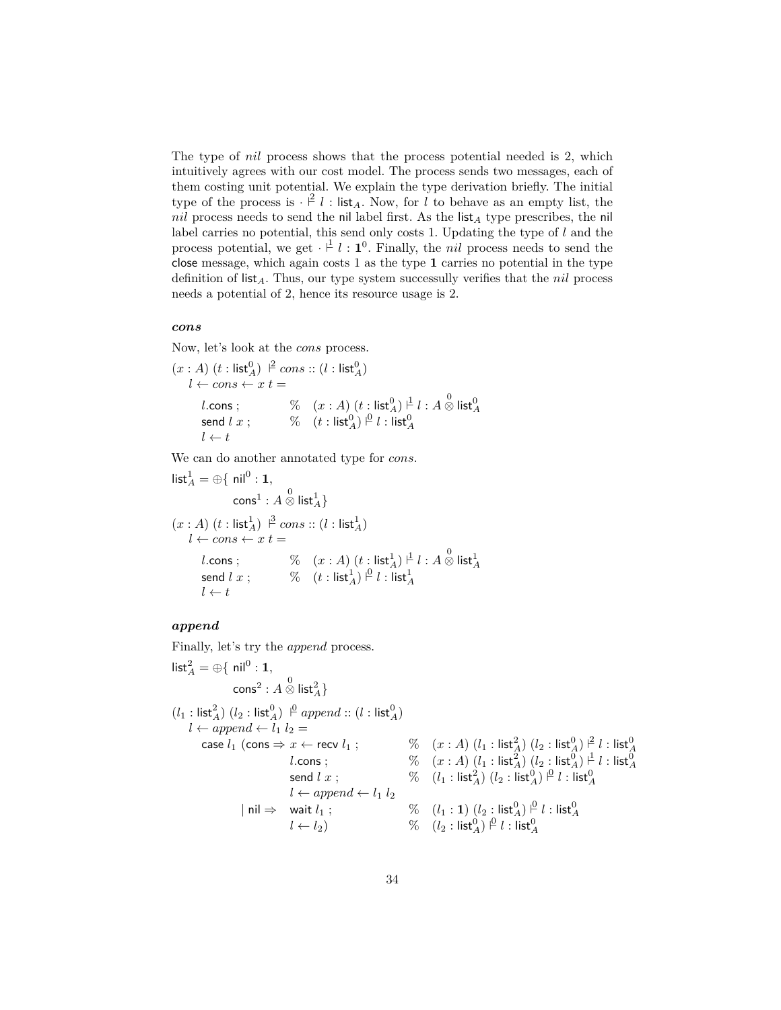The type of *nil* process shows that the process potential needed is 2, which intuitively agrees with our cost model. The process sends two messages, each of them costing unit potential. We explain the type derivation briefly. The initial type of the process is  $\cdot \nvert^2 l$  : list<sub>A</sub>. Now, for *l* to behave as an empty list, the *nil* process needs to send the nil label first. As the list*<sup>A</sup>* type prescribes, the nil label carries no potential, this send only costs 1. Updating the type of *l* and the process potential, we get  $\cdot \cdot^{\frac{1}{2}} l : 1^0$ . Finally, the *nil* process needs to send the close message, which again costs 1 as the type **1** carries no potential in the type definition of list*A*. Thus, our type system successully verifies that the *nil* process needs a potential of 2, hence its resource usage is 2.

#### *cons*

Now, let's look at the *cons* process.

$$
(x : A) (t : \text{list}_{A}^{0}) \xrightarrow{\beta} cons :: (l : \text{list}_{A}^{0})
$$
  

$$
l \leftarrow cons \leftarrow x t =
$$
  
*l*.cons ;  

$$
\begin{array}{ccc} \% & (x : A) (t : \text{list}_{A}^{0}) \xrightarrow{\beta} l : A \otimes \text{list}_{A}^{0} \\ \text{send } l x ; & \% & (t : \text{list}_{A}^{0}) \xrightarrow{\beta} l : \text{list}_{A}^{0} \\ l \leftarrow t \end{array}
$$

We can do another annotated type for *cons*.

$$
\begin{aligned}\n\text{list}_{A}^{1} &= \bigoplus \{ \text{ nil}^{0} : 1, \\
& \text{cons}^{1} : A \otimes \text{list}_{A}^{1} \} \\
(x : A) \ (t : \text{list}_{A}^{1}) \ \stackrel{\beta}{\sim} \text{cons} :: (l : \text{list}_{A}^{1}) \\
l \leftarrow \text{cons} \leftarrow x \ t = \\
l.\text{cons} ; \qquad \%\ (x : A) \ (t : \text{list}_{A}^{1}) \stackrel{\beta}{\sim} l : A \otimes \text{list}_{A}^{1} \\
& \text{send } l \ x ; \qquad \%\ (t : \text{list}_{A}^{1}) \stackrel{\beta}{\sim} l : \text{list}_{A}^{1} \\
l \leftarrow t\n\end{aligned}
$$

# *append*

Finally, let's try the *append* process.

$$
\begin{aligned}\n\text{list}_{A}^{2} &= \bigoplus \{ \text{ nil}^{0}: \textbf{1}, \\
&\text{cons}^{2}: A \overset{0}{\otimes} \text{list}_{A}^{2} \} \\
&\text{(}l_{1}: \text{list}_{A}^{2}) \; (l_{2}: \text{list}_{A}^{0}) \overset{\text{p}}{\vdash} \text{append} :: (l: \text{list}_{A}^{0}) \\
&\text{l} \leftarrow \text{append} \leftarrow l_{1} \; l_{2} = \\
&\text{case } l_{1} \; (\text{cons} \Rightarrow x \leftarrow \text{recv } l_{1} \; ; \\
&\text{l.cons} \; ; \\
&\text{l.cons} \; ; \\
&\text{l.cons} \; ; \\
&\text{l.cons} \; ; \\
&\text{l.cons} \; ; \\
&\text{l.cons} \; ; \\
&\text{l.cons} \; ; \\
&\text{l.cons} \; ; \\
&\text{l.cons} \; ; \\
&\text{l.cons} \; ; \\
&\text{l.cons} \; ; \\
&\text{l.cons} \; ; \\
&\text{l.cons} \; ; \\
&\text{l.cons} \; ; \\
&\text{l.cons} \; ; \\
&\text{l.cons} \; ; \\
&\text{l.cons} \; ; \\
&\text{l.cons} \; ; \\
&\text{l.cons} \; ; \\
&\text{l.cons} \; ; \\
&\text{l.cons} \; ; \\
&\text{l.cons} \; ; \\
&\text{l.cons} \; ; \\
&\text{l.cons} \; ; \\
&\text{l.cons} \; ; \\
&\text{l.cons} \; ; \\
&\text{l.cons} \; ; \\
&\text{l.cons} \; ; \\
&\text{l.cons} \; ; \\
&\text{l.cons} \; ; \\
&\text{l.cons} \; ; \\
&\text{l.cons} \; ; \\
&\text{l.cons} \; ; \\
&\text{l.cons} \; ; \\
&\text{l.cons} \; ; \\
&\text{l.cons} \; ; \\
&\text{l.cons} \; ; \\
&\text{l.cons} \; ; \\
&\text{l.cons} \; ; \\
&\text{l.cons} \; ; \\
&\text{l.cons} \; ; \\
&\text{l.cons} \; ; \\
&\text{l.cons} \; ; \\
&\text{l.cons} \; ; \\
&\text{l.cons} \; ; \\
&\text{l.cons} \; ; \\
&\text{l.cons} \; ; \\
&\text{l.cons} \; ; \\
&\text{l.cons} \; ; \\
&\text{l.cons} \; ; \\
&\
$$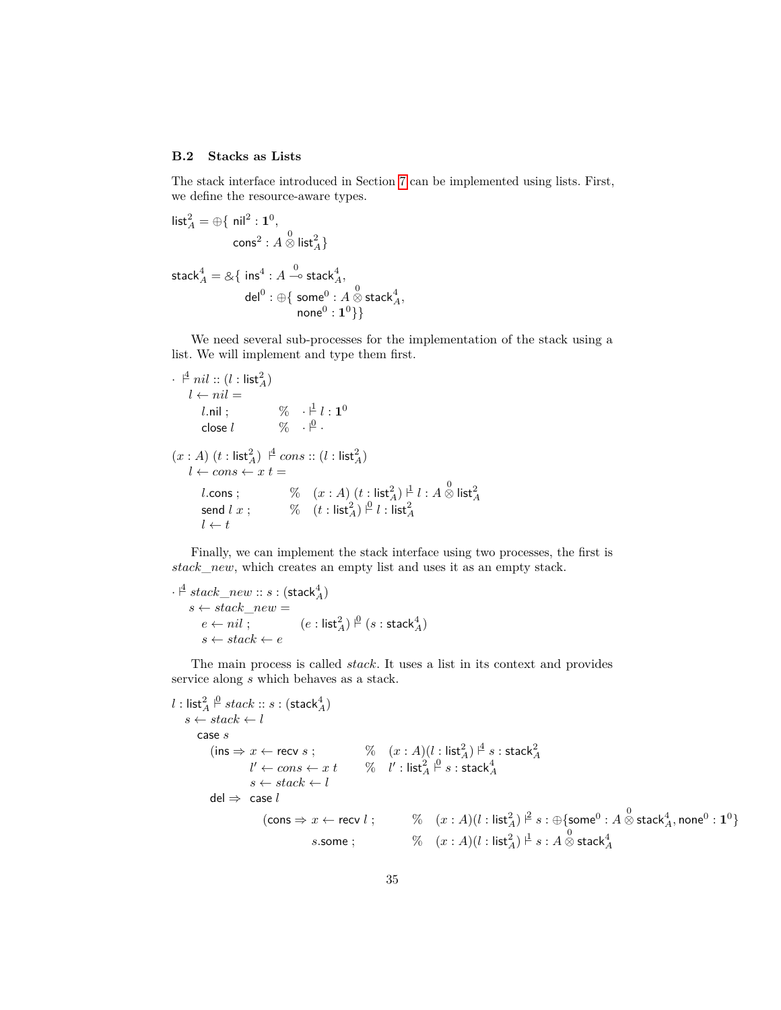#### **B.2 Stacks as Lists**

The stack interface introduced in Section [7](#page-17-0) can be implemented using lists. First, we define the resource-aware types.

$$
\begin{aligned}\n\text{list}_{A}^{2} &= \bigoplus \{ \text{ nil}^{2} : 1^{0}, \\
&\text{cons}^{2} : A \overset{0}{\otimes} \text{list}_{A}^{2} \} \\
\text{stack}_{A}^{4} &= \mathcal{A} \{ \text{ ins}^{4} : A \overset{0}{\multimap} \text{stack}_{A}^{4}, \\
&\text{del}^{0} : \bigoplus \{ \text{ some}^{0} : A \overset{0}{\otimes} \text{stack}_{A}^{4}, \\
&\text{none}^{0} : 1^{0} \} \}\n\end{aligned}
$$

We need several sub-processes for the implementation of the stack using a list. We will implement and type them first.

· `<sup>4</sup> *nil* :: (*l* : list<sup>2</sup> *A*) *l* ← *nil* = *l.*nil ; % · `<sup>1</sup> *l* : **1** 0 close *l* % · `<sup>0</sup> · (*x* : *A*) (*t* : list<sup>2</sup> *<sup>A</sup>*) ` 4 *cons* :: (*l* : list<sup>2</sup> *A*) *l* ← *cons* ← *x t* = *l.*cons ; % (*x* : *A*) (*t* : list<sup>2</sup> *<sup>A</sup>*) ` 1 *l* : *A* 0 ⊗ list<sup>2</sup> *A* send *l x* ; % (*t* : list<sup>2</sup> *<sup>A</sup>*) ` 0 *l* : list<sup>2</sup> *A l* ← *t*

Finally, we can implement the stack interface using two processes, the first is *stack*\_*new*, which creates an empty list and uses it as an empty stack.

$$
\cdot \stackrel{\mathcal{A}}{=} stack\_new::s:(stack_A^4) s \leftarrow stack\_new = e \leftarrow nil: \qquad (e:list_A^2) \stackrel{\mathsf{p}}{=} (s:stack_A^4) s \leftarrow stack \leftarrow e
$$

The main process is called *stack*. It uses a list in its context and provides service along *s* which behaves as a stack.

```
l: \mathsf{list}_A^2 \stackrel{\mathsf{0}}{=} stack::s:(\mathsf{stack}_A^4)s \leftarrow stack \leftarrow lcase s
                (\mathsf{ins} \Rightarrow x \leftarrow \mathsf{recv}\ s\ ; \qquad\qquad\%\quad (x:A) (l: \mathsf{list}_A^2) \nmid^{\underline{4}} s: \mathsf{stack}_A^2l' \leftarrow cons \leftarrow x\; t \qquad \% \quad l' : \mathsf{list}_A^2 \stackrel{\mathsf{p}}{=} s : \mathsf{stack}_A^4s \leftarrow stack \leftarrow ldel \Rightarrow case l(\mathsf{cons}\Rightarrow x\leftarrow\mathsf{recv}\;l\;;\;\;\;\;\;\;\;\;\;\;\%\quad(x:A)(l:\mathsf{list}_A^2)\models s:\oplus\{\mathsf{some}^0:A\stackrel{0}{\otimes}\mathsf{stack}_A^4,\mathsf{none}^0:\mathbf{1}^0\}s.\mathsf{some} \; ; \qquad \qquad \% \quad (x:A) (l:\mathsf{list}^2_A) \stackrel{\mathsf{I}}{=} s:A \stackrel{0}{\otimes} \mathsf{stack}^4_A
```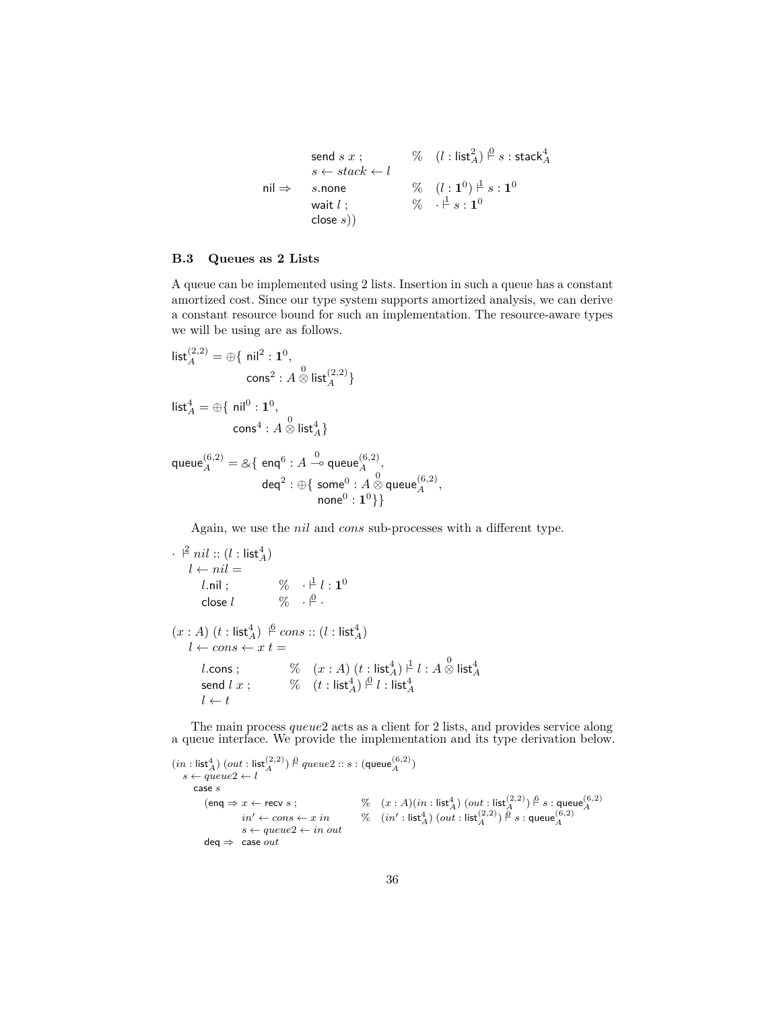$$
\begin{array}{ll}\n\text{send } s \ x \ ; & \%\quad (l : \text{list}_A^2) \stackrel{\text{d}}{=} s : \text{stack}_A^4 \\
s \leftarrow stack \leftarrow l \\
\text{nil} \Rightarrow \quad s.\text{none} \quad \forall \quad (l : 1^0) \stackrel{\text{d}}{=} s : 1^0 \\
\text{wait } l \ ; & \%\quad \leftarrow \stackrel{\text{d}}{=} s : 1^0 \\
\text{close } s))\n\end{array}
$$

#### <span id="page-35-0"></span>**B.3 Queues as 2 Lists**

A queue can be implemented using 2 lists. Insertion in such a queue has a constant amortized cost. Since our type system supports amortized analysis, we can derive a constant resource bound for such an implementation. The resource-aware types we will be using are as follows.

$$
\begin{aligned}\n\text{list}_{A}^{(2,2)} &= \bigoplus \{ \text{ nil}^2 : \mathbf{1}^0, \\
& \text{cons}^2 : A \overset{0}{\otimes} \text{list}_{A}^{(2,2)} \} \\
\text{list}_{A}^4 &= \bigoplus \{ \text{ nil}^0 : \mathbf{1}^0, \\
& \text{cons}^4 : A \overset{0}{\otimes} \text{list}_{A}^4 \}\n\end{aligned}
$$

queue<sup>(6,2)</sup> = &{ enq<sup>6</sup> : *A*  $\stackrel{0}{\multimap}$  queue<sup>(6,2)</sup>,  $\mathsf{deq}^2: \oplus \{ \; \mathsf{some}^0 \, \colon \! A \overset{0}{\otimes} \mathsf{queue}^{(6,2)}_A, \;$  $\mathsf{none}^0 : \mathbf{1}^0\}\}$ 

Again, we use the *nil* and *cons* sub-processes with a different type.

```
\cdot \ \stackrel{2}{\vdash} nil :: (l : \mathsf{list}_A^4)l \leftarrow nil =l.nil ; \% \cdot \frac{\uparrow}{\downarrow} l : \mathbf{1}^{0}close l \qquad \qquad \% \quad \cdot \r \vert^{\underline{0}} \; .(x : A) (t : \mathsf{list}_A^4) \stackrel{6}{\vdash} cons :: (l : \mathsf{list}_A^4)l \leftarrow cons \leftarrow x t =l.\mathsf{cons}~; \qquad \begin{array}{c} \mathcal{C} \qquad (x:A)~(t:\mathsf{list}_A^4) \overset{\perp}{\vdash} l : A\overset{0}{\otimes}\mathsf{list}_A^4\ \mathsf{send}~l~x~; \qquad \begin{array}{c} \mathcal{C} \qquad (t:\mathsf{list}_A^4) \overset{\triangle}{\vdash} l : \mathsf{list}_A^4 \end{array} \end{array}l \leftarrow t
```
The main process *queue*2 acts as a client for 2 lists, and provides service along a queue interface. We provide the implementation and its type derivation below.

 $(in:\textsf{list}_A^4)\ (out:\textsf{list}_A^{(2,2)}) \stackrel{\mathsf{0}}{\sim} queue2::s:(\textsf{queue}_A^{(6,2)})$  $s \leftarrow queue2 \leftarrow l$ case *s*  $(\textsf{enq} \Rightarrow x \leftarrow \textsf{recv}\ s\ ; \newline \hspace*{1.5in} \begin{array}{ll} \%\ \ (x:A)(in:\textsf{list}_A^A)\ (out:\textsf{list}_A^{(2,2)})\stackrel{\beta}{\vdash} s: \textsf{queue}_A^{(6,2)}\\ \textit{in'} \leftarrow cons \leftarrow x\ in \end{array} \begin{array}{ll} \%\ \ (n':\textsf{list}_A^A)\ (out:\textsf{list}_A^{(2,2)})\stackrel{\beta}{\vdash} s: \textsf{queue}_A^{(6,2)} \end{array}$  $in' \leftarrow cons \leftarrow x \textit{ in }$  $s \leftarrow queue2 \leftarrow in \ out$ deq ⇒ case *out*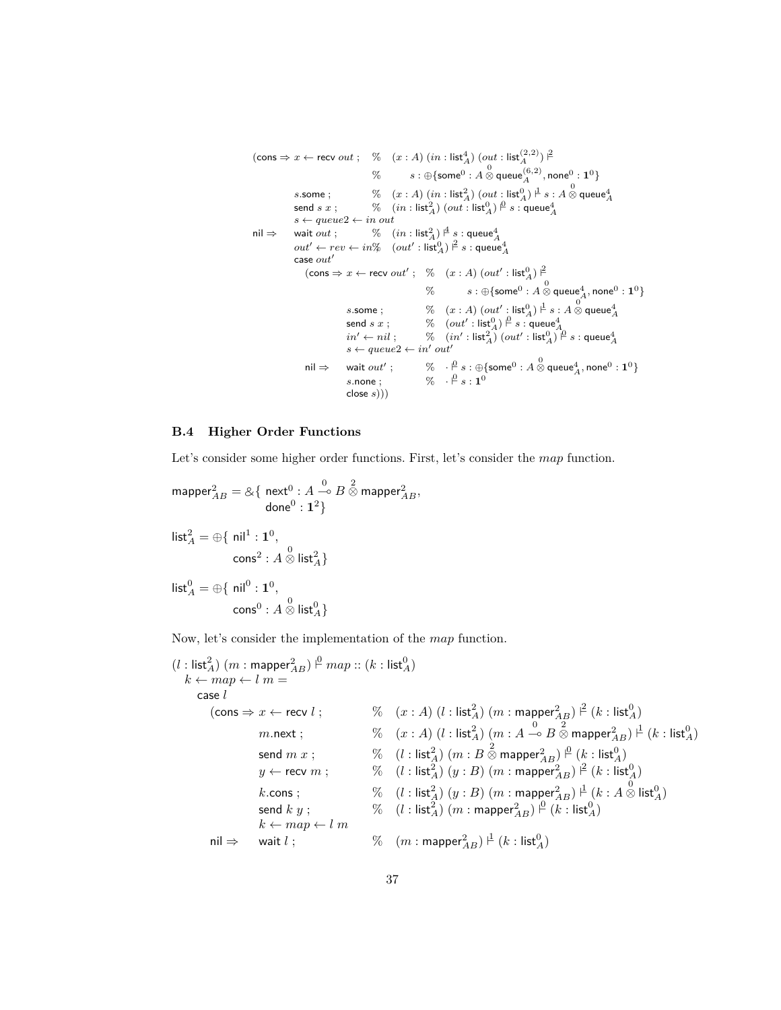```
(\textsf{cons} \Rightarrow x \leftarrow \textsf{recv} \ out \ ; \quad \% \quad (x : A) \ (in : \textsf{list}^4_A) \ (out : \textsf{list}^{(2,2)}_A) \ ^2\% \qquad \quad s:\oplus \{\mathsf{some}^0:A\stackrel{0}{\otimes}\mathsf{queue}^{(6,2)}_A,\mathsf{none}^0:\mathbf{1}^0\}s.\mathsf{some}~; \quad \quad \quad \mathcal{C} \quad (x:A)~(in:\mathsf{list}_A^2)~(out:\mathsf{list}_A^0) \stackrel{\mathsf{I}}{\vdash} s:A\stackrel{0}{\otimes} \mathsf{queue}_A^4\ \mathsf{send}~s~x~; \quad \quad \quad \mathcal{C} \quad (in:\mathsf{list}_A^2)~(out:\mathsf{list}_A^0) \stackrel{\mathsf{I}}{\vdash} s:\mathsf{queue}_A^4s \leftarrow queue2 \leftarrow in \ out\begin{array}{lll} \mathsf{null} \Rightarrow & \mathsf{wait}\ out \end{array} \begin{array}{lll} \mathsf{wait} & \mathcal{K} & \mathsf{(in:list}_A^2) \overset{\mathsf{\scriptscriptstyle \#}}{\to} s : \mathsf{queue}_A^4 \ \mathsf{out}' \leftarrow rev \leftarrow in\% & (\mathsf{out}' : \mathsf{list}_A^0) \overset{\mathsf{\scriptscriptstyle \#}}{\to} s : \mathsf{queue}_A^4 \end{array}case out'(\textsf{cons} \Rightarrow x \leftarrow \textsf{recv}~out' ; \quad \% \quad (x : A)~(out' : \textsf{list}_A^0) \models\% \qquad \quad s:\oplus \{\mathsf{some}^0:A\overset{0}{\otimes}\mathsf{queue}^4_A,\mathsf{none}^0:\mathbf{1}^0\}s.some ; \% (x : A) (out' : list_A^0) \stackrel{\text{d}}{\rightharpoonup} s : A \stackrel{0}{\otimes} \text{queue}_A^4<br>send s x ; \% (out' : list_A^0) \stackrel{\text{d}}{\rightharpoonup} s : \text{queue}_A^4<br>in' \leftarrow nil ; \qquad \% (in' : list_A^2) (out' : list_A^0) \stackrel{\text{d}}{\rightharpoonup} s : \text{queue}_A^4<br>s \leftarrow queue2 \leftarrow in' out'nil ⇒ wait out';
                                                                                                      \% \quad \frac{\beta}{\alpha} s : \oplus \{\textsf{some}^0 : A \overset{0}{\otimes} \textsf{queue}^4_A, \textsf{none}^0 : \mathbf{1}^0 \}s.\mathsf{none} ; \%\quad \frac{\beta}{s} : \mathbf{1}^0close s)))
```
#### **B.4 Higher Order Functions**

Let's consider some higher order functions. First, let's consider the *map* function.

$$
\begin{aligned}\n\text{mapper}_{AB}^2 &= \& \{ \text{ next}^0 : A \stackrel{0}{\multimap} B \stackrel{2}{\otimes} \text{mapper}_{AB}^2, \\ \text{done}^0 : 1^2 \} \\
\text{list}_A^2 &= \bigoplus \{ \text{ nil}^1 : 1^0, \\ \text{cons}^2 : A \stackrel{0}{\otimes} \text{list}_A^2 \} \\
\text{list}_A^0 &= \bigoplus \{ \text{ nil}^0 : 1^0, \\ \text{cons}^0 : A \stackrel{0}{\otimes} \text{list}_A^0 \} \n\end{aligned}
$$

Now, let's consider the implementation of the *map* function.

(*l* : list<sup>2</sup> *<sup>A</sup>*) (*m* : mapper<sup>2</sup> *AB*) ` 0 *map* :: (*k* : list<sup>0</sup> *A*) *k* ← *map* ← *l m* = case *l* (cons ⇒ *x* ← recv *l* ; % (*x* : *A*) (*l* : list<sup>2</sup> *<sup>A</sup>*) (*m* : mapper<sup>2</sup> *AB*) ` 2 (*k* : list<sup>0</sup> *A*) *m.*next ; % (*x* : *A*) (*l* : list<sup>2</sup> *<sup>A</sup>*) (*m* : *A* <sup>0</sup>( *<sup>B</sup>* 2 ⊗ mapper<sup>2</sup> *AB*) ` 1 (*k* : list<sup>0</sup> *A*) send *m x* ; % (*l* : list<sup>2</sup> *<sup>A</sup>*) (*m* : *B* 2 ⊗ mapper<sup>2</sup> *AB*) ` 0 (*k* : list<sup>0</sup> *A*) *y* ← recv *m* ; % (*l* : list<sup>2</sup> *<sup>A</sup>*) (*y* : *B*) (*m* : mapper<sup>2</sup> *AB*) ` 2 (*k* : list<sup>0</sup> *A*) *k.*cons ; % (*l* : list<sup>2</sup> *<sup>A</sup>*) (*y* : *B*) (*m* : mapper<sup>2</sup> *AB*) ` 1 (*k* : *A* 0 ⊗ list<sup>0</sup> *A*) send *k y* ; % (*l* : list<sup>2</sup> *<sup>A</sup>*) (*m* : mapper<sup>2</sup> *AB*) ` 0 (*k* : list<sup>0</sup> *A*) *k* ← *map* ← *l m* nil ⇒ wait *l* ; % (*m* : mapper<sup>2</sup> *AB*) ` 1 (*k* : list<sup>0</sup> *A*)